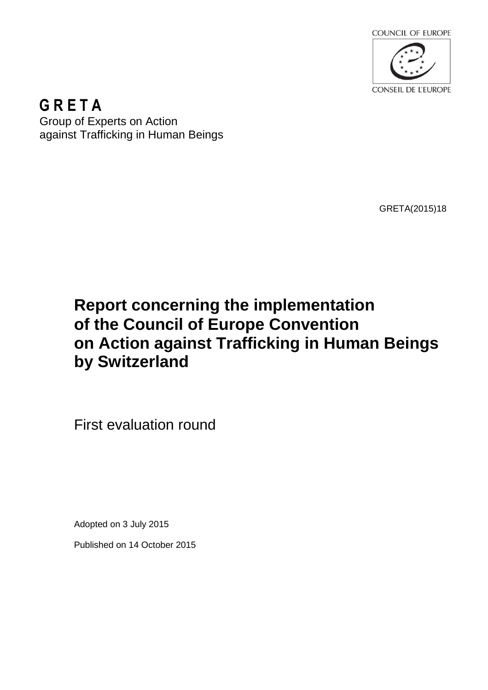

**G R E T A**  Group of Experts on Action against Trafficking in Human Beings

GRETA(2015)18

# **Report concerning the implementation of the Council of Europe Convention on Action against Trafficking in Human Beings by Switzerland**

First evaluation round

Adopted on 3 July 2015

Published on 14 October 2015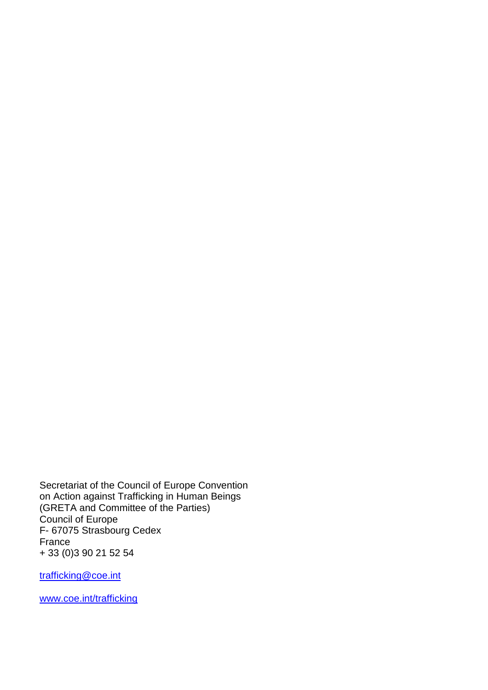Secretariat of the Council of Europe Convention on Action against Trafficking in Human Beings (GRETA and Committee of the Parties) Council of Europe F- 67075 Strasbourg Cedex France + 33 (0)3 90 21 52 54

trafficking@coe.int

www.coe.int/trafficking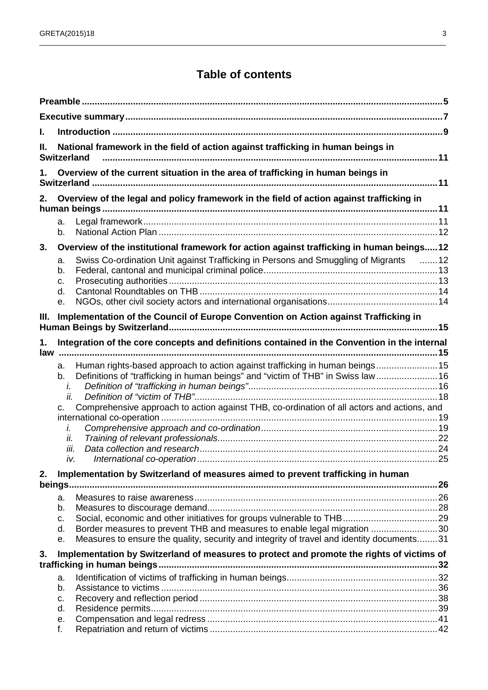## **Table of contents**

\_\_\_\_\_\_\_\_\_\_\_\_\_\_\_\_\_\_\_\_\_\_\_\_\_\_\_\_\_\_\_\_\_\_\_\_\_\_\_\_\_\_\_\_\_\_\_\_\_\_\_\_\_\_\_\_\_\_\_\_\_\_\_\_\_\_\_\_\_\_\_\_\_\_\_\_\_\_\_\_\_\_\_\_\_\_\_\_\_\_\_\_\_\_\_\_\_\_\_

| I.  |                                                                                                                                                                             |  |  |  |
|-----|-----------------------------------------------------------------------------------------------------------------------------------------------------------------------------|--|--|--|
| П.  | National framework in the field of action against trafficking in human beings in<br><b>Switzerland</b>                                                                      |  |  |  |
|     | Overview of the current situation in the area of trafficking in human beings in                                                                                             |  |  |  |
| 2.  | Overview of the legal and policy framework in the field of action against trafficking in                                                                                    |  |  |  |
|     | a.<br>b.                                                                                                                                                                    |  |  |  |
| 3.  | Overview of the institutional framework for action against trafficking in human beings12                                                                                    |  |  |  |
|     | Swiss Co-ordination Unit against Trafficking in Persons and Smuggling of Migrants 12<br>a.<br>b.<br>c.<br>d.<br>е.                                                          |  |  |  |
| Ш.  | Implementation of the Council of Europe Convention on Action against Trafficking in                                                                                         |  |  |  |
| 1.  | Integration of the core concepts and definitions contained in the Convention in the internal                                                                                |  |  |  |
| law |                                                                                                                                                                             |  |  |  |
|     | Human rights-based approach to action against trafficking in human beings15<br>a.<br>Definitions of "trafficking in human beings" and "victim of THB" in Swiss law 16<br>b. |  |  |  |
|     | i.                                                                                                                                                                          |  |  |  |
|     | ii.                                                                                                                                                                         |  |  |  |
|     | Comprehensive approach to action against THB, co-ordination of all actors and actions, and<br>c.                                                                            |  |  |  |
|     | i.                                                                                                                                                                          |  |  |  |
|     | ii.                                                                                                                                                                         |  |  |  |
|     | iii.                                                                                                                                                                        |  |  |  |
|     | iv.                                                                                                                                                                         |  |  |  |
| 2.  | Implementation by Switzerland of measures aimed to prevent trafficking in human                                                                                             |  |  |  |
|     |                                                                                                                                                                             |  |  |  |
|     | a.<br>b.                                                                                                                                                                    |  |  |  |
|     | C.                                                                                                                                                                          |  |  |  |
|     | Border measures to prevent THB and measures to enable legal migration 30<br>d.                                                                                              |  |  |  |
|     | Measures to ensure the quality, security and integrity of travel and identity documents31<br>е.                                                                             |  |  |  |
| 3.  | Implementation by Switzerland of measures to protect and promote the rights of victims of                                                                                   |  |  |  |
|     |                                                                                                                                                                             |  |  |  |
|     | a.<br>b.                                                                                                                                                                    |  |  |  |
|     | C.                                                                                                                                                                          |  |  |  |
|     | d.                                                                                                                                                                          |  |  |  |
|     | е.                                                                                                                                                                          |  |  |  |
|     | f.                                                                                                                                                                          |  |  |  |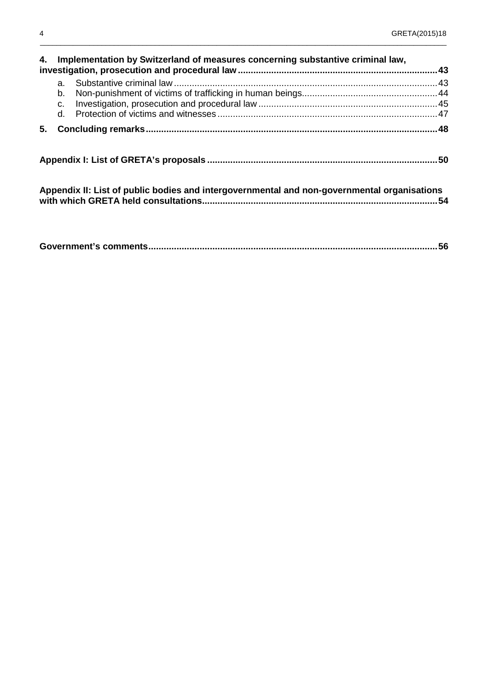| 4. Implementation by Switzerland of measures concerning substantive criminal law, |                |                                                                                             |  |  |  |
|-----------------------------------------------------------------------------------|----------------|---------------------------------------------------------------------------------------------|--|--|--|
|                                                                                   | a.<br>b.<br>C. |                                                                                             |  |  |  |
| 5.                                                                                |                |                                                                                             |  |  |  |
|                                                                                   |                |                                                                                             |  |  |  |
|                                                                                   |                | Appendix II: List of public bodies and intergovernmental and non-governmental organisations |  |  |  |

 $\_$  ,  $\_$  ,  $\_$  ,  $\_$  ,  $\_$  ,  $\_$  ,  $\_$  ,  $\_$  ,  $\_$  ,  $\_$  ,  $\_$  ,  $\_$  ,  $\_$  ,  $\_$  ,  $\_$  ,  $\_$  ,  $\_$  ,  $\_$  ,  $\_$  ,  $\_$  ,  $\_$  ,  $\_$  ,  $\_$  ,  $\_$  ,  $\_$  ,  $\_$  ,  $\_$  ,  $\_$  ,  $\_$  ,  $\_$  ,  $\_$  ,  $\_$  ,  $\_$  ,  $\_$  ,  $\_$  ,  $\_$  ,  $\_$  ,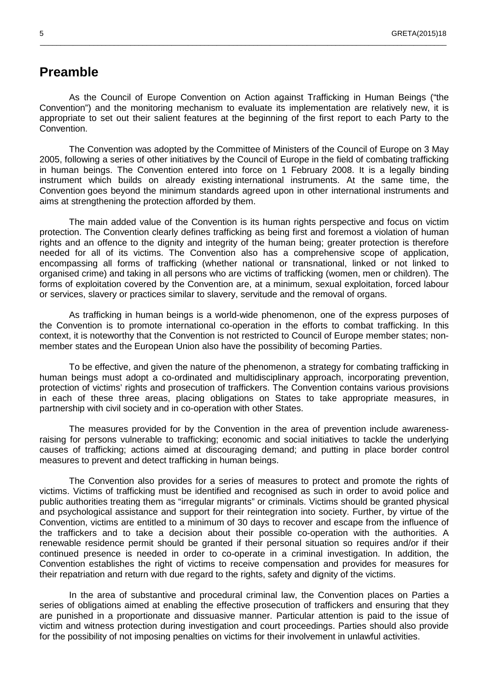### **Preamble**

As the Council of Europe Convention on Action against Trafficking in Human Beings ("the Convention") and the monitoring mechanism to evaluate its implementation are relatively new, it is appropriate to set out their salient features at the beginning of the first report to each Party to the Convention.

 $\_$  ,  $\_$  ,  $\_$  ,  $\_$  ,  $\_$  ,  $\_$  ,  $\_$  ,  $\_$  ,  $\_$  ,  $\_$  ,  $\_$  ,  $\_$  ,  $\_$  ,  $\_$  ,  $\_$  ,  $\_$  ,  $\_$  ,  $\_$  ,  $\_$  ,  $\_$  ,  $\_$  ,  $\_$  ,  $\_$  ,  $\_$  ,  $\_$  ,  $\_$  ,  $\_$  ,  $\_$  ,  $\_$  ,  $\_$  ,  $\_$  ,  $\_$  ,  $\_$  ,  $\_$  ,  $\_$  ,  $\_$  ,  $\_$  ,

The Convention was adopted by the Committee of Ministers of the Council of Europe on 3 May 2005, following a series of other initiatives by the Council of Europe in the field of combating trafficking in human beings. The Convention entered into force on 1 February 2008. It is a legally binding instrument which builds on already existing international instruments. At the same time, the Convention goes beyond the minimum standards agreed upon in other international instruments and aims at strengthening the protection afforded by them.

The main added value of the Convention is its human rights perspective and focus on victim protection. The Convention clearly defines trafficking as being first and foremost a violation of human rights and an offence to the dignity and integrity of the human being; greater protection is therefore needed for all of its victims. The Convention also has a comprehensive scope of application, encompassing all forms of trafficking (whether national or transnational, linked or not linked to organised crime) and taking in all persons who are victims of trafficking (women, men or children). The forms of exploitation covered by the Convention are, at a minimum, sexual exploitation, forced labour or services, slavery or practices similar to slavery, servitude and the removal of organs.

As trafficking in human beings is a world-wide phenomenon, one of the express purposes of the Convention is to promote international co-operation in the efforts to combat trafficking. In this context, it is noteworthy that the Convention is not restricted to Council of Europe member states; nonmember states and the European Union also have the possibility of becoming Parties.

To be effective, and given the nature of the phenomenon, a strategy for combating trafficking in human beings must adopt a co-ordinated and multidisciplinary approach, incorporating prevention, protection of victims' rights and prosecution of traffickers. The Convention contains various provisions in each of these three areas, placing obligations on States to take appropriate measures, in partnership with civil society and in co-operation with other States.

The measures provided for by the Convention in the area of prevention include awarenessraising for persons vulnerable to trafficking; economic and social initiatives to tackle the underlying causes of trafficking; actions aimed at discouraging demand; and putting in place border control measures to prevent and detect trafficking in human beings.

The Convention also provides for a series of measures to protect and promote the rights of victims. Victims of trafficking must be identified and recognised as such in order to avoid police and public authorities treating them as "irregular migrants" or criminals. Victims should be granted physical and psychological assistance and support for their reintegration into society. Further, by virtue of the Convention, victims are entitled to a minimum of 30 days to recover and escape from the influence of the traffickers and to take a decision about their possible co-operation with the authorities. A renewable residence permit should be granted if their personal situation so requires and/or if their continued presence is needed in order to co-operate in a criminal investigation. In addition, the Convention establishes the right of victims to receive compensation and provides for measures for their repatriation and return with due regard to the rights, safety and dignity of the victims.

In the area of substantive and procedural criminal law, the Convention places on Parties a series of obligations aimed at enabling the effective prosecution of traffickers and ensuring that they are punished in a proportionate and dissuasive manner. Particular attention is paid to the issue of victim and witness protection during investigation and court proceedings. Parties should also provide for the possibility of not imposing penalties on victims for their involvement in unlawful activities.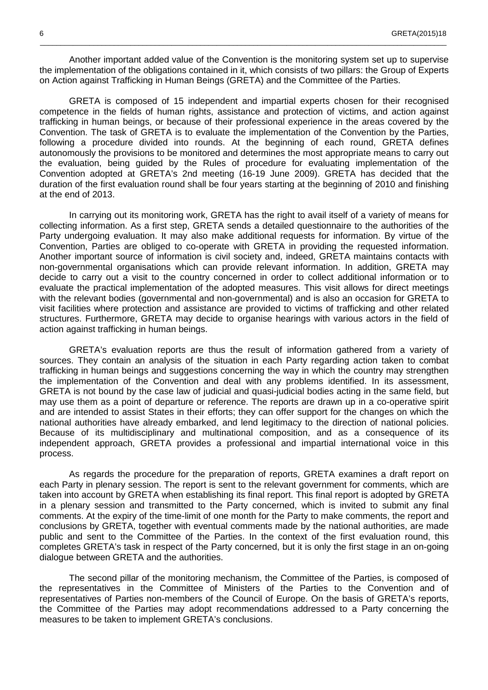Another important added value of the Convention is the monitoring system set up to supervise the implementation of the obligations contained in it, which consists of two pillars: the Group of Experts on Action against Trafficking in Human Beings (GRETA) and the Committee of the Parties.

 $\_$  ,  $\_$  ,  $\_$  ,  $\_$  ,  $\_$  ,  $\_$  ,  $\_$  ,  $\_$  ,  $\_$  ,  $\_$  ,  $\_$  ,  $\_$  ,  $\_$  ,  $\_$  ,  $\_$  ,  $\_$  ,  $\_$  ,  $\_$  ,  $\_$  ,  $\_$  ,  $\_$  ,  $\_$  ,  $\_$  ,  $\_$  ,  $\_$  ,  $\_$  ,  $\_$  ,  $\_$  ,  $\_$  ,  $\_$  ,  $\_$  ,  $\_$  ,  $\_$  ,  $\_$  ,  $\_$  ,  $\_$  ,  $\_$  ,

GRETA is composed of 15 independent and impartial experts chosen for their recognised competence in the fields of human rights, assistance and protection of victims, and action against trafficking in human beings, or because of their professional experience in the areas covered by the Convention. The task of GRETA is to evaluate the implementation of the Convention by the Parties, following a procedure divided into rounds. At the beginning of each round, GRETA defines autonomously the provisions to be monitored and determines the most appropriate means to carry out the evaluation, being guided by the Rules of procedure for evaluating implementation of the Convention adopted at GRETA's 2nd meeting (16-19 June 2009). GRETA has decided that the duration of the first evaluation round shall be four years starting at the beginning of 2010 and finishing at the end of 2013.

In carrying out its monitoring work, GRETA has the right to avail itself of a variety of means for collecting information. As a first step, GRETA sends a detailed questionnaire to the authorities of the Party undergoing evaluation. It may also make additional requests for information. By virtue of the Convention, Parties are obliged to co-operate with GRETA in providing the requested information. Another important source of information is civil society and, indeed, GRETA maintains contacts with non-governmental organisations which can provide relevant information. In addition, GRETA may decide to carry out a visit to the country concerned in order to collect additional information or to evaluate the practical implementation of the adopted measures. This visit allows for direct meetings with the relevant bodies (governmental and non-governmental) and is also an occasion for GRETA to visit facilities where protection and assistance are provided to victims of trafficking and other related structures. Furthermore, GRETA may decide to organise hearings with various actors in the field of action against trafficking in human beings.

GRETA's evaluation reports are thus the result of information gathered from a variety of sources. They contain an analysis of the situation in each Party regarding action taken to combat trafficking in human beings and suggestions concerning the way in which the country may strengthen the implementation of the Convention and deal with any problems identified. In its assessment, GRETA is not bound by the case law of judicial and quasi-judicial bodies acting in the same field, but may use them as a point of departure or reference. The reports are drawn up in a co-operative spirit and are intended to assist States in their efforts; they can offer support for the changes on which the national authorities have already embarked, and lend legitimacy to the direction of national policies. Because of its multidisciplinary and multinational composition, and as a consequence of its independent approach, GRETA provides a professional and impartial international voice in this process.

As regards the procedure for the preparation of reports, GRETA examines a draft report on each Party in plenary session. The report is sent to the relevant government for comments, which are taken into account by GRETA when establishing its final report. This final report is adopted by GRETA in a plenary session and transmitted to the Party concerned, which is invited to submit any final comments. At the expiry of the time-limit of one month for the Party to make comments, the report and conclusions by GRETA, together with eventual comments made by the national authorities, are made public and sent to the Committee of the Parties. In the context of the first evaluation round, this completes GRETA's task in respect of the Party concerned, but it is only the first stage in an on-going dialogue between GRETA and the authorities.

The second pillar of the monitoring mechanism, the Committee of the Parties, is composed of the representatives in the Committee of Ministers of the Parties to the Convention and of representatives of Parties non-members of the Council of Europe. On the basis of GRETA's reports, the Committee of the Parties may adopt recommendations addressed to a Party concerning the measures to be taken to implement GRETA's conclusions.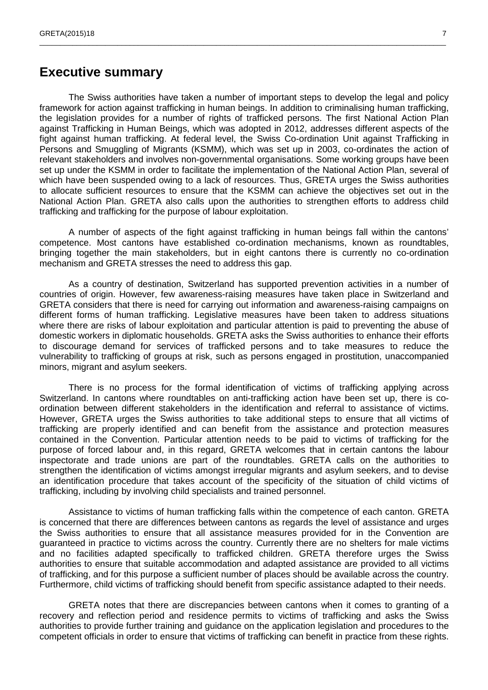### **Executive summary**

The Swiss authorities have taken a number of important steps to develop the legal and policy framework for action against trafficking in human beings. In addition to criminalising human trafficking, the legislation provides for a number of rights of trafficked persons. The first National Action Plan against Trafficking in Human Beings, which was adopted in 2012, addresses different aspects of the fight against human trafficking. At federal level, the Swiss Co-ordination Unit against Trafficking in Persons and Smuggling of Migrants (KSMM), which was set up in 2003, co-ordinates the action of relevant stakeholders and involves non-governmental organisations. Some working groups have been set up under the KSMM in order to facilitate the implementation of the National Action Plan, several of which have been suspended owing to a lack of resources. Thus, GRETA urges the Swiss authorities to allocate sufficient resources to ensure that the KSMM can achieve the objectives set out in the National Action Plan. GRETA also calls upon the authorities to strengthen efforts to address child trafficking and trafficking for the purpose of labour exploitation.

\_\_\_\_\_\_\_\_\_\_\_\_\_\_\_\_\_\_\_\_\_\_\_\_\_\_\_\_\_\_\_\_\_\_\_\_\_\_\_\_\_\_\_\_\_\_\_\_\_\_\_\_\_\_\_\_\_\_\_\_\_\_\_\_\_\_\_\_\_\_\_\_\_\_\_\_\_\_\_\_\_\_\_\_\_\_\_\_\_\_\_\_\_\_\_\_\_\_\_

A number of aspects of the fight against trafficking in human beings fall within the cantons' competence. Most cantons have established co-ordination mechanisms, known as roundtables, bringing together the main stakeholders, but in eight cantons there is currently no co-ordination mechanism and GRETA stresses the need to address this gap.

As a country of destination, Switzerland has supported prevention activities in a number of countries of origin. However, few awareness-raising measures have taken place in Switzerland and GRETA considers that there is need for carrying out information and awareness-raising campaigns on different forms of human trafficking. Legislative measures have been taken to address situations where there are risks of labour exploitation and particular attention is paid to preventing the abuse of domestic workers in diplomatic households. GRETA asks the Swiss authorities to enhance their efforts to discourage demand for services of trafficked persons and to take measures to reduce the vulnerability to trafficking of groups at risk, such as persons engaged in prostitution, unaccompanied minors, migrant and asylum seekers.

There is no process for the formal identification of victims of trafficking applying across Switzerland. In cantons where roundtables on anti-trafficking action have been set up, there is coordination between different stakeholders in the identification and referral to assistance of victims. However, GRETA urges the Swiss authorities to take additional steps to ensure that all victims of trafficking are properly identified and can benefit from the assistance and protection measures contained in the Convention. Particular attention needs to be paid to victims of trafficking for the purpose of forced labour and, in this regard, GRETA welcomes that in certain cantons the labour inspectorate and trade unions are part of the roundtables. GRETA calls on the authorities to strengthen the identification of victims amongst irregular migrants and asylum seekers, and to devise an identification procedure that takes account of the specificity of the situation of child victims of trafficking, including by involving child specialists and trained personnel.

Assistance to victims of human trafficking falls within the competence of each canton. GRETA is concerned that there are differences between cantons as regards the level of assistance and urges the Swiss authorities to ensure that all assistance measures provided for in the Convention are guaranteed in practice to victims across the country. Currently there are no shelters for male victims and no facilities adapted specifically to trafficked children. GRETA therefore urges the Swiss authorities to ensure that suitable accommodation and adapted assistance are provided to all victims of trafficking, and for this purpose a sufficient number of places should be available across the country. Furthermore, child victims of trafficking should benefit from specific assistance adapted to their needs.

GRETA notes that there are discrepancies between cantons when it comes to granting of a recovery and reflection period and residence permits to victims of trafficking and asks the Swiss authorities to provide further training and guidance on the application legislation and procedures to the competent officials in order to ensure that victims of trafficking can benefit in practice from these rights.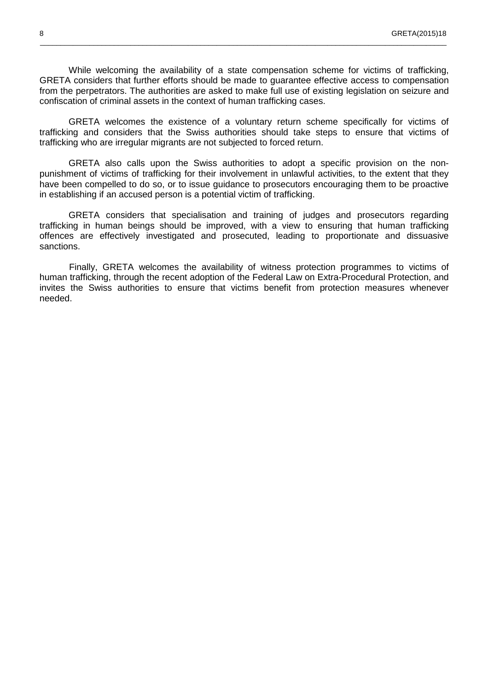While welcoming the availability of a state compensation scheme for victims of trafficking, GRETA considers that further efforts should be made to guarantee effective access to compensation from the perpetrators. The authorities are asked to make full use of existing legislation on seizure and confiscation of criminal assets in the context of human trafficking cases.

 $\_$  ,  $\_$  ,  $\_$  ,  $\_$  ,  $\_$  ,  $\_$  ,  $\_$  ,  $\_$  ,  $\_$  ,  $\_$  ,  $\_$  ,  $\_$  ,  $\_$  ,  $\_$  ,  $\_$  ,  $\_$  ,  $\_$  ,  $\_$  ,  $\_$  ,  $\_$  ,  $\_$  ,  $\_$  ,  $\_$  ,  $\_$  ,  $\_$  ,  $\_$  ,  $\_$  ,  $\_$  ,  $\_$  ,  $\_$  ,  $\_$  ,  $\_$  ,  $\_$  ,  $\_$  ,  $\_$  ,  $\_$  ,  $\_$  ,

GRETA welcomes the existence of a voluntary return scheme specifically for victims of trafficking and considers that the Swiss authorities should take steps to ensure that victims of trafficking who are irregular migrants are not subjected to forced return.

GRETA also calls upon the Swiss authorities to adopt a specific provision on the nonpunishment of victims of trafficking for their involvement in unlawful activities, to the extent that they have been compelled to do so, or to issue guidance to prosecutors encouraging them to be proactive in establishing if an accused person is a potential victim of trafficking.

GRETA considers that specialisation and training of judges and prosecutors regarding trafficking in human beings should be improved, with a view to ensuring that human trafficking offences are effectively investigated and prosecuted, leading to proportionate and dissuasive sanctions.

Finally, GRETA welcomes the availability of witness protection programmes to victims of human trafficking, through the recent adoption of the Federal Law on Extra-Procedural Protection, and invites the Swiss authorities to ensure that victims benefit from protection measures whenever needed.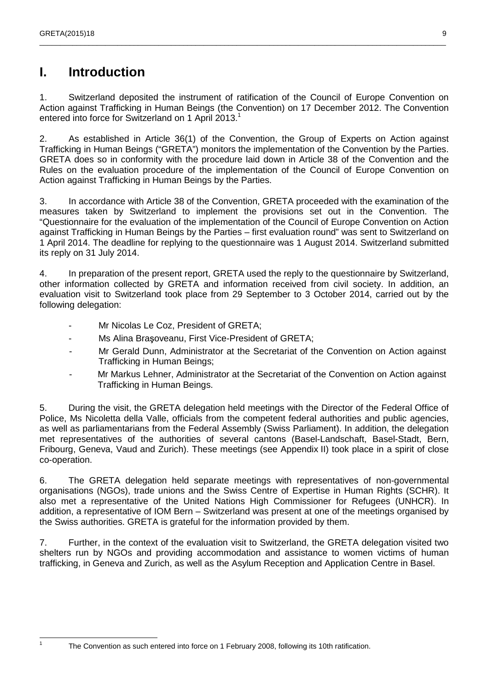## **I. Introduction**

1. Switzerland deposited the instrument of ratification of the Council of Europe Convention on Action against Trafficking in Human Beings (the Convention) on 17 December 2012. The Convention entered into force for Switzerland on 1 April 2013.<sup>1</sup>

\_\_\_\_\_\_\_\_\_\_\_\_\_\_\_\_\_\_\_\_\_\_\_\_\_\_\_\_\_\_\_\_\_\_\_\_\_\_\_\_\_\_\_\_\_\_\_\_\_\_\_\_\_\_\_\_\_\_\_\_\_\_\_\_\_\_\_\_\_\_\_\_\_\_\_\_\_\_\_\_\_\_\_\_\_\_\_\_\_\_\_\_\_\_\_\_\_\_\_

2. As established in Article 36(1) of the Convention, the Group of Experts on Action against Trafficking in Human Beings ("GRETA") monitors the implementation of the Convention by the Parties. GRETA does so in conformity with the procedure laid down in Article 38 of the Convention and the Rules on the evaluation procedure of the implementation of the Council of Europe Convention on Action against Trafficking in Human Beings by the Parties.

3. In accordance with Article 38 of the Convention, GRETA proceeded with the examination of the measures taken by Switzerland to implement the provisions set out in the Convention. The "Questionnaire for the evaluation of the implementation of the Council of Europe Convention on Action against Trafficking in Human Beings by the Parties – first evaluation round" was sent to Switzerland on 1 April 2014. The deadline for replying to the questionnaire was 1 August 2014. Switzerland submitted its reply on 31 July 2014.

4. In preparation of the present report, GRETA used the reply to the questionnaire by Switzerland, other information collected by GRETA and information received from civil society. In addition, an evaluation visit to Switzerland took place from 29 September to 3 October 2014, carried out by the following delegation:

- Mr Nicolas Le Coz, President of GRETA;
- Ms Alina Braşoveanu, First Vice-President of GRETA;
- Mr Gerald Dunn, Administrator at the Secretariat of the Convention on Action against Trafficking in Human Beings;
- Mr Markus Lehner, Administrator at the Secretariat of the Convention on Action against Trafficking in Human Beings.

5. During the visit, the GRETA delegation held meetings with the Director of the Federal Office of Police, Ms Nicoletta della Valle, officials from the competent federal authorities and public agencies, as well as parliamentarians from the Federal Assembly (Swiss Parliament). In addition, the delegation met representatives of the authorities of several cantons (Basel-Landschaft, Basel-Stadt, Bern, Fribourg, Geneva, Vaud and Zurich). These meetings (see Appendix II) took place in a spirit of close co-operation.

6. The GRETA delegation held separate meetings with representatives of non-governmental organisations (NGOs), trade unions and the Swiss Centre of Expertise in Human Rights (SCHR). It also met a representative of the United Nations High Commissioner for Refugees (UNHCR). In addition, a representative of IOM Bern – Switzerland was present at one of the meetings organised by the Swiss authorities. GRETA is grateful for the information provided by them.

7. Further, in the context of the evaluation visit to Switzerland, the GRETA delegation visited two shelters run by NGOs and providing accommodation and assistance to women victims of human trafficking, in Geneva and Zurich, as well as the Asylum Reception and Application Centre in Basel.

The Convention as such entered into force on 1 February 2008, following its 10th ratification.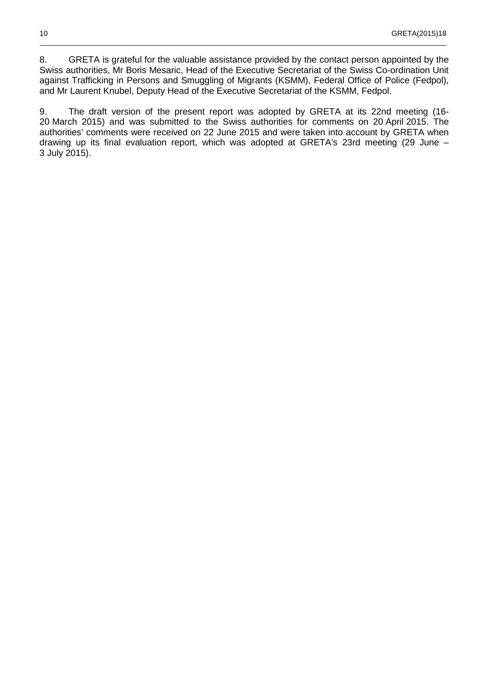8. GRETA is grateful for the valuable assistance provided by the contact person appointed by the Swiss authorities, Mr Boris Mesaric, Head of the Executive Secretariat of the Swiss Co-ordination Unit against Trafficking in Persons and Smuggling of Migrants (KSMM), Federal Office of Police (Fedpol), and Mr Laurent Knubel, Deputy Head of the Executive Secretariat of the KSMM, Fedpol.

 $\_$  ,  $\_$  ,  $\_$  ,  $\_$  ,  $\_$  ,  $\_$  ,  $\_$  ,  $\_$  ,  $\_$  ,  $\_$  ,  $\_$  ,  $\_$  ,  $\_$  ,  $\_$  ,  $\_$  ,  $\_$  ,  $\_$  ,  $\_$  ,  $\_$  ,  $\_$  ,  $\_$  ,  $\_$  ,  $\_$  ,  $\_$  ,  $\_$  ,  $\_$  ,  $\_$  ,  $\_$  ,  $\_$  ,  $\_$  ,  $\_$  ,  $\_$  ,  $\_$  ,  $\_$  ,  $\_$  ,  $\_$  ,  $\_$  ,

9. The draft version of the present report was adopted by GRETA at its 22nd meeting (16- 20 March 2015) and was submitted to the Swiss authorities for comments on 20 April 2015. The authorities' comments were received on 22 June 2015 and were taken into account by GRETA when drawing up its final evaluation report, which was adopted at GRETA's 23rd meeting (29 June – 3 July 2015).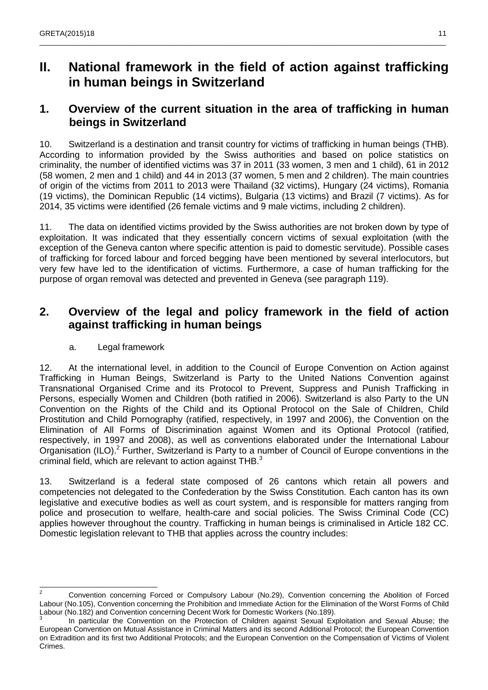## **II. National framework in the field of action against trafficking in human beings in Switzerland**

\_\_\_\_\_\_\_\_\_\_\_\_\_\_\_\_\_\_\_\_\_\_\_\_\_\_\_\_\_\_\_\_\_\_\_\_\_\_\_\_\_\_\_\_\_\_\_\_\_\_\_\_\_\_\_\_\_\_\_\_\_\_\_\_\_\_\_\_\_\_\_\_\_\_\_\_\_\_\_\_\_\_\_\_\_\_\_\_\_\_\_\_\_\_\_\_\_\_\_

### **1. Overview of the current situation in the area of trafficking in human beings in Switzerland**

10. Switzerland is a destination and transit country for victims of trafficking in human beings (THB). According to information provided by the Swiss authorities and based on police statistics on criminality, the number of identified victims was 37 in 2011 (33 women, 3 men and 1 child), 61 in 2012 (58 women, 2 men and 1 child) and 44 in 2013 (37 women, 5 men and 2 children). The main countries of origin of the victims from 2011 to 2013 were Thailand (32 victims), Hungary (24 victims), Romania (19 victims), the Dominican Republic (14 victims), Bulgaria (13 victims) and Brazil (7 victims). As for 2014, 35 victims were identified (26 female victims and 9 male victims, including 2 children).

11. The data on identified victims provided by the Swiss authorities are not broken down by type of exploitation. It was indicated that they essentially concern victims of sexual exploitation (with the exception of the Geneva canton where specific attention is paid to domestic servitude). Possible cases of trafficking for forced labour and forced begging have been mentioned by several interlocutors, but very few have led to the identification of victims. Furthermore, a case of human trafficking for the purpose of organ removal was detected and prevented in Geneva (see paragraph 119).

### **2. Overview of the legal and policy framework in the field of action against trafficking in human beings**

#### a. Legal framework

12. At the international level, in addition to the Council of Europe Convention on Action against Trafficking in Human Beings, Switzerland is Party to the United Nations Convention against Transnational Organised Crime and its Protocol to Prevent, Suppress and Punish Trafficking in Persons, especially Women and Children (both ratified in 2006). Switzerland is also Party to the UN Convention on the Rights of the Child and its Optional Protocol on the Sale of Children, Child Prostitution and Child Pornography (ratified, respectively, in 1997 and 2006), the Convention on the Elimination of All Forms of Discrimination against Women and its Optional Protocol (ratified, respectively, in 1997 and 2008), as well as conventions elaborated under the International Labour Organisation (ILO).<sup>2</sup> Further, Switzerland is Party to a number of Council of Europe conventions in the criminal field, which are relevant to action against THB.<sup>3</sup>

13. Switzerland is a federal state composed of 26 cantons which retain all powers and competencies not delegated to the Confederation by the Swiss Constitution. Each canton has its own legislative and executive bodies as well as court system, and is responsible for matters ranging from police and prosecution to welfare, health-care and social policies. The Swiss Criminal Code (CC) applies however throughout the country. Trafficking in human beings is criminalised in Article 182 CC. Domestic legislation relevant to THB that applies across the country includes:

 $\frac{1}{2}$  Convention concerning Forced or Compulsory Labour (No.29), Convention concerning the Abolition of Forced Labour (No.105), Convention concerning the Prohibition and Immediate Action for the Elimination of the Worst Forms of Child Labour (No.182) and Convention concerning Decent Work for Domestic Workers (No.189).<br>3

In particular the Convention on the Protection of Children against Sexual Exploitation and Sexual Abuse; the European Convention on Mutual Assistance in Criminal Matters and its second Additional Protocol; the European Convention on Extradition and its first two Additional Protocols; and the European Convention on the Compensation of Victims of Violent Crimes.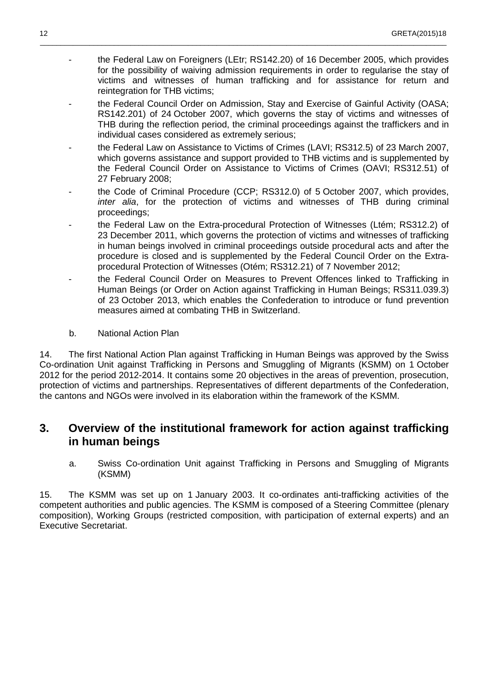- the Federal Law on Foreigners (LEtr; RS142.20) of 16 December 2005, which provides for the possibility of waiving admission requirements in order to regularise the stay of victims and witnesses of human trafficking and for assistance for return and reintegration for THB victims;

 $\_$  ,  $\_$  ,  $\_$  ,  $\_$  ,  $\_$  ,  $\_$  ,  $\_$  ,  $\_$  ,  $\_$  ,  $\_$  ,  $\_$  ,  $\_$  ,  $\_$  ,  $\_$  ,  $\_$  ,  $\_$  ,  $\_$  ,  $\_$  ,  $\_$  ,  $\_$  ,  $\_$  ,  $\_$  ,  $\_$  ,  $\_$  ,  $\_$  ,  $\_$  ,  $\_$  ,  $\_$  ,  $\_$  ,  $\_$  ,  $\_$  ,  $\_$  ,  $\_$  ,  $\_$  ,  $\_$  ,  $\_$  ,  $\_$  ,

- the Federal Council Order on Admission, Stay and Exercise of Gainful Activity (OASA; RS142.201) of 24 October 2007, which governs the stay of victims and witnesses of THB during the reflection period, the criminal proceedings against the traffickers and in individual cases considered as extremely serious;
- the Federal Law on Assistance to Victims of Crimes (LAVI; RS312.5) of 23 March 2007, which governs assistance and support provided to THB victims and is supplemented by the Federal Council Order on Assistance to Victims of Crimes (OAVI; RS312.51) of 27 February 2008;
- the Code of Criminal Procedure (CCP; RS312.0) of 5 October 2007, which provides, inter alia, for the protection of victims and witnesses of THB during criminal proceedings;
- the Federal Law on the Extra-procedural Protection of Witnesses (Ltém; RS312.2) of 23 December 2011, which governs the protection of victims and witnesses of trafficking in human beings involved in criminal proceedings outside procedural acts and after the procedure is closed and is supplemented by the Federal Council Order on the Extraprocedural Protection of Witnesses (Otém; RS312.21) of 7 November 2012;
- the Federal Council Order on Measures to Prevent Offences linked to Trafficking in Human Beings (or Order on Action against Trafficking in Human Beings; RS311.039.3) of 23 October 2013, which enables the Confederation to introduce or fund prevention measures aimed at combating THB in Switzerland.
- b. National Action Plan

14. The first National Action Plan against Trafficking in Human Beings was approved by the Swiss Co-ordination Unit against Trafficking in Persons and Smuggling of Migrants (KSMM) on 1 October 2012 for the period 2012-2014. It contains some 20 objectives in the areas of prevention, prosecution, protection of victims and partnerships. Representatives of different departments of the Confederation, the cantons and NGOs were involved in its elaboration within the framework of the KSMM.

### **3. Overview of the institutional framework for action against trafficking in human beings**

a. Swiss Co-ordination Unit against Trafficking in Persons and Smuggling of Migrants (KSMM)

15. The KSMM was set up on 1 January 2003. It co-ordinates anti-trafficking activities of the competent authorities and public agencies. The KSMM is composed of a Steering Committee (plenary composition), Working Groups (restricted composition, with participation of external experts) and an Executive Secretariat.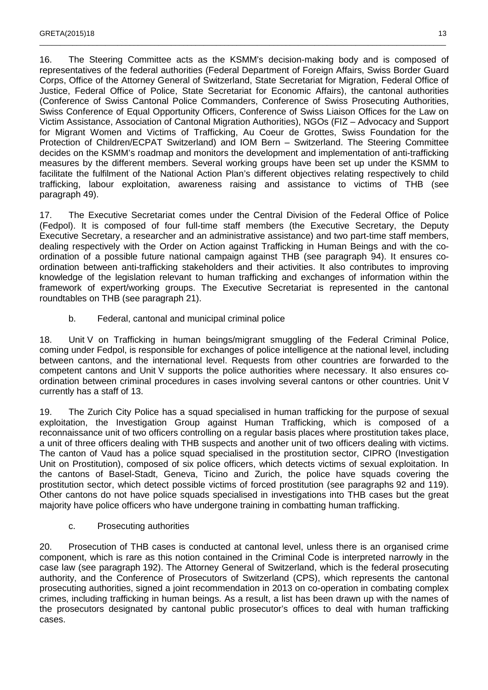16. The Steering Committee acts as the KSMM's decision-making body and is composed of representatives of the federal authorities (Federal Department of Foreign Affairs, Swiss Border Guard Corps, Office of the Attorney General of Switzerland, State Secretariat for Migration, Federal Office of Justice, Federal Office of Police, State Secretariat for Economic Affairs), the cantonal authorities (Conference of Swiss Cantonal Police Commanders, Conference of Swiss Prosecuting Authorities, Swiss Conference of Equal Opportunity Officers, Conference of Swiss Liaison Offices for the Law on Victim Assistance, Association of Cantonal Migration Authorities), NGOs (FIZ – Advocacy and Support for Migrant Women and Victims of Trafficking, Au Coeur de Grottes, Swiss Foundation for the Protection of Children/ECPAT Switzerland) and IOM Bern – Switzerland. The Steering Committee decides on the KSMM's roadmap and monitors the development and implementation of anti-trafficking measures by the different members. Several working groups have been set up under the KSMM to facilitate the fulfilment of the National Action Plan's different objectives relating respectively to child trafficking, labour exploitation, awareness raising and assistance to victims of THB (see paragraph 49).

\_\_\_\_\_\_\_\_\_\_\_\_\_\_\_\_\_\_\_\_\_\_\_\_\_\_\_\_\_\_\_\_\_\_\_\_\_\_\_\_\_\_\_\_\_\_\_\_\_\_\_\_\_\_\_\_\_\_\_\_\_\_\_\_\_\_\_\_\_\_\_\_\_\_\_\_\_\_\_\_\_\_\_\_\_\_\_\_\_\_\_\_\_\_\_\_\_\_\_

17. The Executive Secretariat comes under the Central Division of the Federal Office of Police (Fedpol). It is composed of four full-time staff members (the Executive Secretary, the Deputy Executive Secretary, a researcher and an administrative assistance) and two part-time staff members, dealing respectively with the Order on Action against Trafficking in Human Beings and with the coordination of a possible future national campaign against THB (see paragraph 94). It ensures coordination between anti-trafficking stakeholders and their activities. It also contributes to improving knowledge of the legislation relevant to human trafficking and exchanges of information within the framework of expert/working groups. The Executive Secretariat is represented in the cantonal roundtables on THB (see paragraph 21).

b. Federal, cantonal and municipal criminal police

18. Unit V on Trafficking in human beings/migrant smuggling of the Federal Criminal Police, coming under Fedpol, is responsible for exchanges of police intelligence at the national level, including between cantons, and the international level. Requests from other countries are forwarded to the competent cantons and Unit V supports the police authorities where necessary. It also ensures coordination between criminal procedures in cases involving several cantons or other countries. Unit V currently has a staff of 13.

19. The Zurich City Police has a squad specialised in human trafficking for the purpose of sexual exploitation, the Investigation Group against Human Trafficking, which is composed of a reconnaissance unit of two officers controlling on a regular basis places where prostitution takes place, a unit of three officers dealing with THB suspects and another unit of two officers dealing with victims. The canton of Vaud has a police squad specialised in the prostitution sector, CIPRO (Investigation Unit on Prostitution), composed of six police officers, which detects victims of sexual exploitation. In the cantons of Basel-Stadt, Geneva, Ticino and Zurich, the police have squads covering the prostitution sector, which detect possible victims of forced prostitution (see paragraphs 92 and 119). Other cantons do not have police squads specialised in investigations into THB cases but the great majority have police officers who have undergone training in combatting human trafficking.

c. Prosecuting authorities

20. Prosecution of THB cases is conducted at cantonal level, unless there is an organised crime component, which is rare as this notion contained in the Criminal Code is interpreted narrowly in the case law (see paragraph 192). The Attorney General of Switzerland, which is the federal prosecuting authority, and the Conference of Prosecutors of Switzerland (CPS), which represents the cantonal prosecuting authorities, signed a joint recommendation in 2013 on co-operation in combating complex crimes, including trafficking in human beings. As a result, a list has been drawn up with the names of the prosecutors designated by cantonal public prosecutor's offices to deal with human trafficking cases.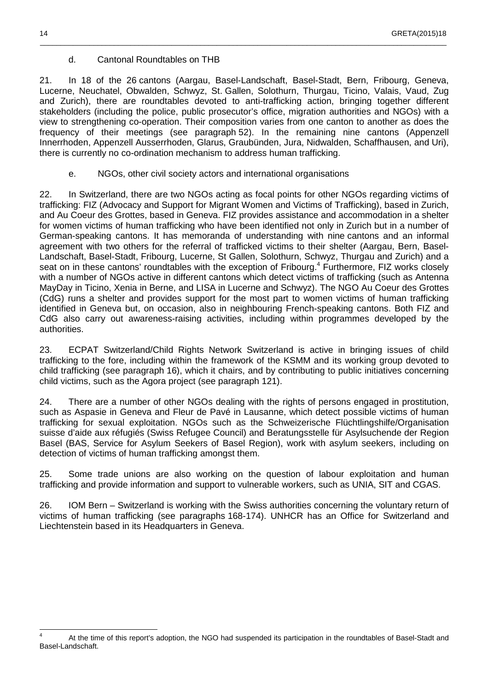#### d. Cantonal Roundtables on THB

21. In 18 of the 26 cantons (Aargau, Basel-Landschaft, Basel-Stadt, Bern, Fribourg, Geneva, Lucerne, Neuchatel, Obwalden, Schwyz, St. Gallen, Solothurn, Thurgau, Ticino, Valais, Vaud, Zug and Zurich), there are roundtables devoted to anti-trafficking action, bringing together different stakeholders (including the police, public prosecutor's office, migration authorities and NGOs) with a view to strengthening co-operation. Their composition varies from one canton to another as does the frequency of their meetings (see paragraph 52). In the remaining nine cantons (Appenzell Innerrhoden, Appenzell Ausserrhoden, Glarus, Graubünden, Jura, Nidwalden, Schaffhausen, and Uri), there is currently no co-ordination mechanism to address human trafficking.

 $\_$  ,  $\_$  ,  $\_$  ,  $\_$  ,  $\_$  ,  $\_$  ,  $\_$  ,  $\_$  ,  $\_$  ,  $\_$  ,  $\_$  ,  $\_$  ,  $\_$  ,  $\_$  ,  $\_$  ,  $\_$  ,  $\_$  ,  $\_$  ,  $\_$  ,  $\_$  ,  $\_$  ,  $\_$  ,  $\_$  ,  $\_$  ,  $\_$  ,  $\_$  ,  $\_$  ,  $\_$  ,  $\_$  ,  $\_$  ,  $\_$  ,  $\_$  ,  $\_$  ,  $\_$  ,  $\_$  ,  $\_$  ,  $\_$  ,

e. NGOs, other civil society actors and international organisations

22. In Switzerland, there are two NGOs acting as focal points for other NGOs regarding victims of trafficking: FIZ (Advocacy and Support for Migrant Women and Victims of Trafficking), based in Zurich, and Au Coeur des Grottes, based in Geneva. FIZ provides assistance and accommodation in a shelter for women victims of human trafficking who have been identified not only in Zurich but in a number of German-speaking cantons. It has memoranda of understanding with nine cantons and an informal agreement with two others for the referral of trafficked victims to their shelter (Aargau, Bern, Basel-Landschaft, Basel-Stadt, Fribourg, Lucerne, St Gallen, Solothurn, Schwyz, Thurgau and Zurich) and a seat on in these cantons' roundtables with the exception of Fribourg.<sup>4</sup> Furthermore, FIZ works closely with a number of NGOs active in different cantons which detect victims of trafficking (such as Antenna MayDay in Ticino, Xenia in Berne, and LISA in Lucerne and Schwyz). The NGO Au Coeur des Grottes (CdG) runs a shelter and provides support for the most part to women victims of human trafficking identified in Geneva but, on occasion, also in neighbouring French-speaking cantons. Both FIZ and CdG also carry out awareness-raising activities, including within programmes developed by the authorities.

23. ECPAT Switzerland/Child Rights Network Switzerland is active in bringing issues of child trafficking to the fore, including within the framework of the KSMM and its working group devoted to child trafficking (see paragraph 16), which it chairs, and by contributing to public initiatives concerning child victims, such as the Agora project (see paragraph 121).

24. There are a number of other NGOs dealing with the rights of persons engaged in prostitution, such as Aspasie in Geneva and Fleur de Pavé in Lausanne, which detect possible victims of human trafficking for sexual exploitation. NGOs such as the Schweizerische Flüchtlingshilfe/Organisation suisse d'aide aux réfugiés (Swiss Refugee Council) and Beratungsstelle für Asylsuchende der Region Basel (BAS, Service for Asylum Seekers of Basel Region), work with asylum seekers, including on detection of victims of human trafficking amongst them.

25. Some trade unions are also working on the question of labour exploitation and human trafficking and provide information and support to vulnerable workers, such as UNIA, SIT and CGAS.

26. IOM Bern – Switzerland is working with the Swiss authorities concerning the voluntary return of victims of human trafficking (see paragraphs 168-174). UNHCR has an Office for Switzerland and Liechtenstein based in its Headquarters in Geneva.

 $\overline{a}$ 4 At the time of this report's adoption, the NGO had suspended its participation in the roundtables of Basel-Stadt and Basel-Landschaft.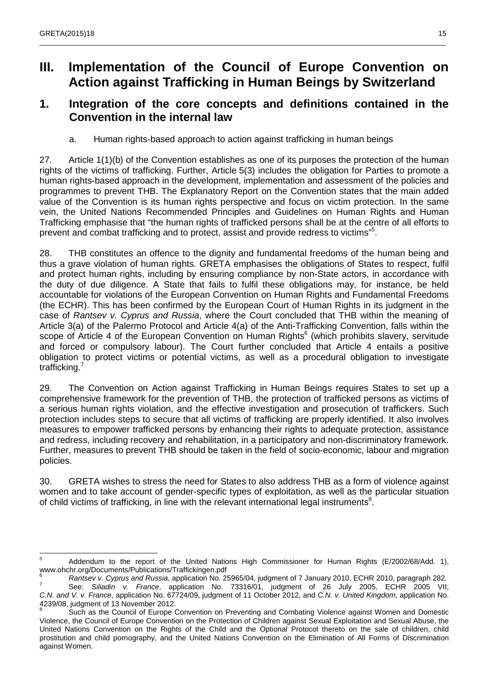## **III. Implementation of the Council of Europe Convention on Action against Trafficking in Human Beings by Switzerland**

\_\_\_\_\_\_\_\_\_\_\_\_\_\_\_\_\_\_\_\_\_\_\_\_\_\_\_\_\_\_\_\_\_\_\_\_\_\_\_\_\_\_\_\_\_\_\_\_\_\_\_\_\_\_\_\_\_\_\_\_\_\_\_\_\_\_\_\_\_\_\_\_\_\_\_\_\_\_\_\_\_\_\_\_\_\_\_\_\_\_\_\_\_\_\_\_\_\_\_

### **1. Integration of the core concepts and definitions contained in the Convention in the internal law**

a. Human rights-based approach to action against trafficking in human beings

27. Article 1(1)(b) of the Convention establishes as one of its purposes the protection of the human rights of the victims of trafficking. Further, Article 5(3) includes the obligation for Parties to promote a human rights-based approach in the development, implementation and assessment of the policies and programmes to prevent THB. The Explanatory Report on the Convention states that the main added value of the Convention is its human rights perspective and focus on victim protection. In the same vein, the United Nations Recommended Principles and Guidelines on Human Rights and Human Trafficking emphasise that "the human rights of trafficked persons shall be at the centre of all efforts to prevent and combat trafficking and to protect, assist and provide redress to victims"<sup>5</sup>.

28. THB constitutes an offence to the dignity and fundamental freedoms of the human being and thus a grave violation of human rights. GRETA emphasises the obligations of States to respect, fulfil and protect human rights, including by ensuring compliance by non-State actors, in accordance with the duty of due diligence. A State that fails to fulfil these obligations may, for instance, be held accountable for violations of the European Convention on Human Rights and Fundamental Freedoms (the ECHR). This has been confirmed by the European Court of Human Rights in its judgment in the case of Rantsev v. Cyprus and Russia, where the Court concluded that THB within the meaning of Article 3(a) of the Palermo Protocol and Article 4(a) of the Anti-Trafficking Convention, falls within the scope of Article 4 of the European Convention on Human Rights<sup>6</sup> (which prohibits slavery, servitude and forced or compulsory labour). The Court further concluded that Article 4 entails a positive obligation to protect victims or potential victims, as well as a procedural obligation to investigate trafficking.<sup>7</sup>

29. The Convention on Action against Trafficking in Human Beings requires States to set up a comprehensive framework for the prevention of THB, the protection of trafficked persons as victims of a serious human rights violation, and the effective investigation and prosecution of traffickers. Such protection includes steps to secure that all victims of trafficking are properly identified. It also involves measures to empower trafficked persons by enhancing their rights to adequate protection, assistance and redress, including recovery and rehabilitation, in a participatory and non-discriminatory framework. Further, measures to prevent THB should be taken in the field of socio-economic, labour and migration policies.

30. GRETA wishes to stress the need for States to also address THB as a form of violence against women and to take account of gender-specific types of exploitation, as well as the particular situation of child victims of trafficking, in line with the relevant international legal instruments<sup>8</sup>.

 $\frac{1}{5}$  Addendum to the report of the United Nations High Commissioner for Human Rights (E/2002/68/Add. 1), www.ohchr.org/Documents/Publications/Traffickingen.pdf 6

Rantsev v. Cyprus and Russia, application No. 25965/04, judgment of 7 January 2010, ECHR 2010, paragraph 282.

<sup>7</sup> See: Siliadin v. France, application No. 73316/01, judgment of 26 July 2005, ECHR 2005 VII; C.N. and V. v. France, application No. 67724/09, judgment of 11 October 2012, and C.N. v. United Kingdom, application No. 4239/08, judgment of 13 November 2012. 8

Such as the Council of Europe Convention on Preventing and Combating Violence against Women and Domestic Violence, the Council of Europe Convention on the Protection of Children against Sexual Exploitation and Sexual Abuse, the United Nations Convention on the Rights of the Child and the Optional Protocol thereto on the sale of children, child prostitution and child pornography, and the United Nations Convention on the Elimination of All Forms of Discrimination against Women.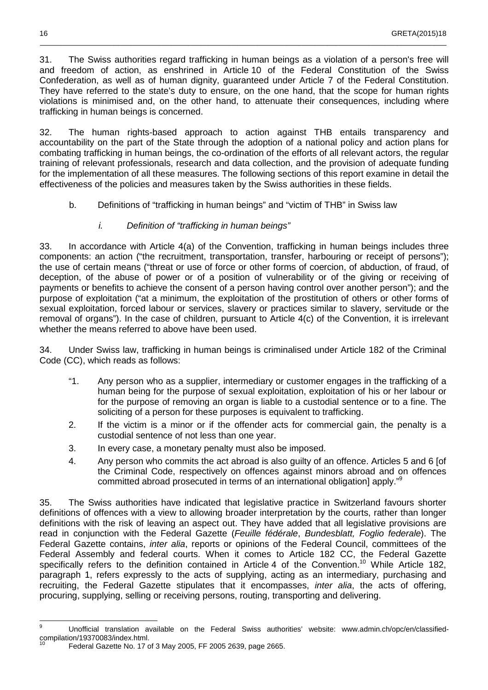31. The Swiss authorities regard trafficking in human beings as a violation of a person's free will and freedom of action, as enshrined in Article 10 of the Federal Constitution of the Swiss Confederation, as well as of human dignity, guaranteed under Article 7 of the Federal Constitution. They have referred to the state's duty to ensure, on the one hand, that the scope for human rights violations is minimised and, on the other hand, to attenuate their consequences, including where trafficking in human beings is concerned.

\_\_\_\_\_\_\_\_\_\_\_\_\_\_\_\_\_\_\_\_\_\_\_\_\_\_\_\_\_\_\_\_\_\_\_\_\_\_\_\_\_\_\_\_\_\_\_\_\_\_\_\_\_\_\_\_\_\_\_\_\_\_\_\_\_\_\_\_\_\_\_\_\_\_\_\_\_\_\_\_\_\_\_\_\_\_\_\_\_\_\_\_\_\_\_\_\_\_\_

32. The human rights-based approach to action against THB entails transparency and accountability on the part of the State through the adoption of a national policy and action plans for combating trafficking in human beings, the co-ordination of the efforts of all relevant actors, the regular training of relevant professionals, research and data collection, and the provision of adequate funding for the implementation of all these measures. The following sections of this report examine in detail the effectiveness of the policies and measures taken by the Swiss authorities in these fields.

- b. Definitions of "trafficking in human beings" and "victim of THB" in Swiss law
	- i. Definition of "trafficking in human beings"

33. In accordance with Article 4(a) of the Convention, trafficking in human beings includes three components: an action ("the recruitment, transportation, transfer, harbouring or receipt of persons"); the use of certain means ("threat or use of force or other forms of coercion, of abduction, of fraud, of deception, of the abuse of power or of a position of vulnerability or of the giving or receiving of payments or benefits to achieve the consent of a person having control over another person"); and the purpose of exploitation ("at a minimum, the exploitation of the prostitution of others or other forms of sexual exploitation, forced labour or services, slavery or practices similar to slavery, servitude or the removal of organs"). In the case of children, pursuant to Article 4(c) of the Convention, it is irrelevant whether the means referred to above have been used.

34. Under Swiss law, trafficking in human beings is criminalised under Article 182 of the Criminal Code (CC), which reads as follows:

- "1. Any person who as a supplier, intermediary or customer engages in the trafficking of a human being for the purpose of sexual exploitation, exploitation of his or her labour or for the purpose of removing an organ is liable to a custodial sentence or to a fine. The soliciting of a person for these purposes is equivalent to trafficking.
- 2. If the victim is a minor or if the offender acts for commercial gain, the penalty is a custodial sentence of not less than one year.
- 3. In every case, a monetary penalty must also be imposed.
- 4. Any person who commits the act abroad is also guilty of an offence. Articles 5 and 6 [of the Criminal Code, respectively on offences against minors abroad and on offences committed abroad prosecuted in terms of an international obligation] apply."<sup>9</sup>

35. The Swiss authorities have indicated that legislative practice in Switzerland favours shorter definitions of offences with a view to allowing broader interpretation by the courts, rather than longer definitions with the risk of leaving an aspect out. They have added that all legislative provisions are read in conjunction with the Federal Gazette (Feuille fédérale, Bundesblatt, Foglio federale). The Federal Gazette contains, inter alia, reports or opinions of the Federal Council, committees of the Federal Assembly and federal courts. When it comes to Article 182 CC, the Federal Gazette specifically refers to the definition contained in Article 4 of the Convention.<sup>10</sup> While Article 182, paragraph 1, refers expressly to the acts of supplying, acting as an intermediary, purchasing and recruiting, the Federal Gazette stipulates that it encompasses, inter alia, the acts of offering, procuring, supplying, selling or receiving persons, routing, transporting and delivering.

<sup>–&</sup>lt;br>9 Unofficial translation available on the Federal Swiss authorities' website: www.admin.ch/opc/en/classifiedcompilation/19370083/index.html.

<sup>10</sup> Federal Gazette No. 17 of 3 May 2005, FF 2005 2639, page 2665.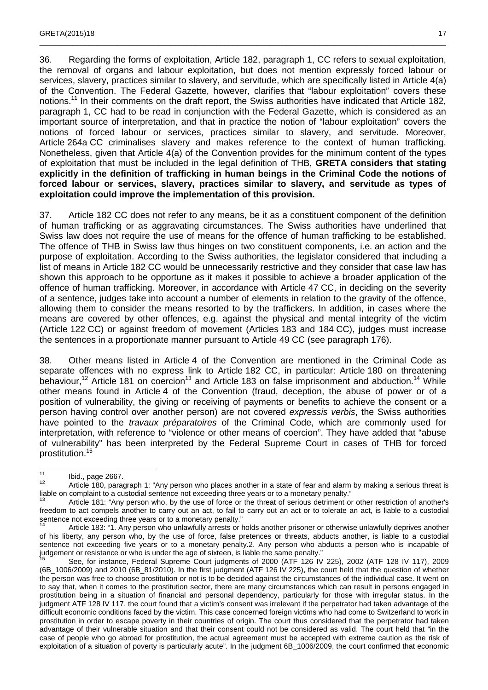36. Regarding the forms of exploitation, Article 182, paragraph 1, CC refers to sexual exploitation, the removal of organs and labour exploitation, but does not mention expressly forced labour or services, slavery, practices similar to slavery, and servitude, which are specifically listed in Article 4(a) of the Convention. The Federal Gazette, however, clarifies that "labour exploitation" covers these notions.<sup>11</sup> In their comments on the draft report, the Swiss authorities have indicated that Article 182, paragraph 1, CC had to be read in conjunction with the Federal Gazette, which is considered as an important source of interpretation, and that in practice the notion of "labour exploitation" covers the notions of forced labour or services, practices similar to slavery, and servitude. Moreover, Article 264a CC criminalises slavery and makes reference to the context of human trafficking. Nonetheless, given that Article 4(a) of the Convention provides for the minimum content of the types of exploitation that must be included in the legal definition of THB, **GRETA considers that stating explicitly in the definition of trafficking in human beings in the Criminal Code the notions of forced labour or services, slavery, practices similar to slavery, and servitude as types of exploitation could improve the implementation of this provision.**

\_\_\_\_\_\_\_\_\_\_\_\_\_\_\_\_\_\_\_\_\_\_\_\_\_\_\_\_\_\_\_\_\_\_\_\_\_\_\_\_\_\_\_\_\_\_\_\_\_\_\_\_\_\_\_\_\_\_\_\_\_\_\_\_\_\_\_\_\_\_\_\_\_\_\_\_\_\_\_\_\_\_\_\_\_\_\_\_\_\_\_\_\_\_\_\_\_\_\_

37. Article 182 CC does not refer to any means, be it as a constituent component of the definition of human trafficking or as aggravating circumstances. The Swiss authorities have underlined that Swiss law does not require the use of means for the offence of human trafficking to be established. The offence of THB in Swiss law thus hinges on two constituent components, i.e. an action and the purpose of exploitation. According to the Swiss authorities, the legislator considered that including a list of means in Article 182 CC would be unnecessarily restrictive and they consider that case law has shown this approach to be opportune as it makes it possible to achieve a broader application of the offence of human trafficking. Moreover, in accordance with Article 47 CC, in deciding on the severity of a sentence, judges take into account a number of elements in relation to the gravity of the offence, allowing them to consider the means resorted to by the traffickers. In addition, in cases where the means are covered by other offences, e.g. against the physical and mental integrity of the victim (Article 122 CC) or against freedom of movement (Articles 183 and 184 CC), judges must increase the sentences in a proportionate manner pursuant to Article 49 CC (see paragraph 176).

38. Other means listed in Article 4 of the Convention are mentioned in the Criminal Code as separate offences with no express link to Article 182 CC, in particular: Article 180 on threatening behaviour,<sup>12</sup> Article 181 on coercion<sup>13</sup> and Article 183 on false imprisonment and abduction.<sup>14</sup> While other means found in Article 4 of the Convention (fraud, deception, the abuse of power or of a position of vulnerability, the giving or receiving of payments or benefits to achieve the consent or a person having control over another person) are not covered expressis verbis, the Swiss authorities have pointed to the *travaux préparatoires* of the Criminal Code, which are commonly used for interpretation, with reference to "violence or other means of coercion". They have added that "abuse of vulnerability" has been interpreted by the Federal Supreme Court in cases of THB for forced prostitution.<sup>15</sup>

 $11$  $11$  Ibid., page 2667.

Article 180, paragraph 1: "Any person who places another in a state of fear and alarm by making a serious threat is liable on complaint to a custodial sentence not exceeding three years or to a monetary penalty."

Article 181: "Any person who, by the use of force or the threat of serious detriment or other restriction of another's freedom to act compels another to carry out an act, to fail to carry out an act or to tolerate an act, is liable to a custodial sentence not exceeding three years or to a monetary penalty."

Article 183: "1. Any person who unlawfully arrests or holds another prisoner or otherwise unlawfully deprives another of his liberty, any person who, by the use of force, false pretences or threats, abducts another, is liable to a custodial sentence not exceeding five years or to a monetary penalty.2. Any person who abducts a person who is incapable of judgement or resistance or who is under the age of sixteen, is liable the same penalty."

See, for instance, Federal Supreme Court judgments of 2000 (ATF 126 IV 225), 2002 (ATF 128 IV 117), 2009 (6B\_1006/2009) and 2010 (6B\_81/2010). In the first judgment (ATF 126 IV 225), the court held that the question of whether the person was free to choose prostitution or not is to be decided against the circumstances of the individual case. It went on to say that, when it comes to the prostitution sector, there are many circumstances which can result in persons engaged in prostitution being in a situation of financial and personal dependency, particularly for those with irregular status. In the judgment ATF 128 IV 117, the court found that a victim's consent was irrelevant if the perpetrator had taken advantage of the difficult economic conditions faced by the victim. This case concerned foreign victims who had come to Switzerland to work in prostitution in order to escape poverty in their countries of origin. The court thus considered that the perpetrator had taken advantage of their vulnerable situation and that their consent could not be considered as valid. The court held that "in the case of people who go abroad for prostitution, the actual agreement must be accepted with extreme caution as the risk of exploitation of a situation of poverty is particularly acute". In the judgment 6B\_1006/2009, the court confirmed that economic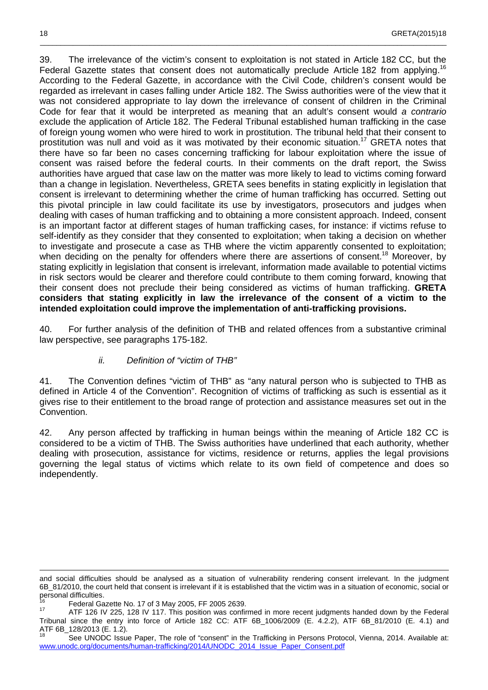39. The irrelevance of the victim's consent to exploitation is not stated in Article 182 CC, but the Federal Gazette states that consent does not automatically preclude Article 182 from applying.<sup>16</sup> According to the Federal Gazette, in accordance with the Civil Code, children's consent would be regarded as irrelevant in cases falling under Article 182. The Swiss authorities were of the view that it was not considered appropriate to lay down the irrelevance of consent of children in the Criminal Code for fear that it would be interpreted as meaning that an adult's consent would a contrario exclude the application of Article 182. The Federal Tribunal established human trafficking in the case of foreign young women who were hired to work in prostitution. The tribunal held that their consent to prostitution was null and void as it was motivated by their economic situation.<sup>17</sup> GRETA notes that there have so far been no cases concerning trafficking for labour exploitation where the issue of consent was raised before the federal courts. In their comments on the draft report, the Swiss authorities have argued that case law on the matter was more likely to lead to victims coming forward than a change in legislation. Nevertheless, GRETA sees benefits in stating explicitly in legislation that consent is irrelevant to determining whether the crime of human trafficking has occurred. Setting out this pivotal principle in law could facilitate its use by investigators, prosecutors and judges when dealing with cases of human trafficking and to obtaining a more consistent approach. Indeed, consent is an important factor at different stages of human trafficking cases, for instance: if victims refuse to self-identify as they consider that they consented to exploitation; when taking a decision on whether to investigate and prosecute a case as THB where the victim apparently consented to exploitation; when deciding on the penalty for offenders where there are assertions of consent.<sup>18</sup> Moreover, by stating explicitly in legislation that consent is irrelevant, information made available to potential victims in risk sectors would be clearer and therefore could contribute to them coming forward, knowing that their consent does not preclude their being considered as victims of human trafficking. **GRETA considers that stating explicitly in law the irrelevance of the consent of a victim to the intended exploitation could improve the implementation of anti-trafficking provisions.**

\_\_\_\_\_\_\_\_\_\_\_\_\_\_\_\_\_\_\_\_\_\_\_\_\_\_\_\_\_\_\_\_\_\_\_\_\_\_\_\_\_\_\_\_\_\_\_\_\_\_\_\_\_\_\_\_\_\_\_\_\_\_\_\_\_\_\_\_\_\_\_\_\_\_\_\_\_\_\_\_\_\_\_\_\_\_\_\_\_\_\_\_\_\_\_\_\_\_\_

40. For further analysis of the definition of THB and related offences from a substantive criminal law perspective, see paragraphs 175-182.

#### ii. Definition of "victim of THB"

41. The Convention defines "victim of THB" as "any natural person who is subjected to THB as defined in Article 4 of the Convention". Recognition of victims of trafficking as such is essential as it gives rise to their entitlement to the broad range of protection and assistance measures set out in the Convention.

42. Any person affected by trafficking in human beings within the meaning of Article 182 CC is considered to be a victim of THB. The Swiss authorities have underlined that each authority, whether dealing with prosecution, assistance for victims, residence or returns, applies the legal provisions governing the legal status of victims which relate to its own field of competence and does so independently.

1

and social difficulties should be analysed as a situation of vulnerability rendering consent irrelevant. In the judgment 6B\_81/2010, the court held that consent is irrelevant if it is established that the victim was in a situation of economic, social or personal difficulties.

<sup>&</sup>lt;sup>16</sup> Federal Gazette No. 17 of 3 May 2005, FF 2005 2639.

ATF 126 IV 225, 128 IV 117. This position was confirmed in more recent judgments handed down by the Federal Tribunal since the entry into force of Article 182 CC: ATF 6B\_1006/2009 (E. 4.2.2), ATF 6B\_81/2010 (E. 4.1) and ATF 6B\_128/2013 (E. 1.2).

See UNODC Issue Paper, The role of "consent" in the Trafficking in Persons Protocol, Vienna, 2014. Available at: www.unodc.org/documents/human-trafficking/2014/UNODC\_2014\_Issue\_Paper\_Consent.pdf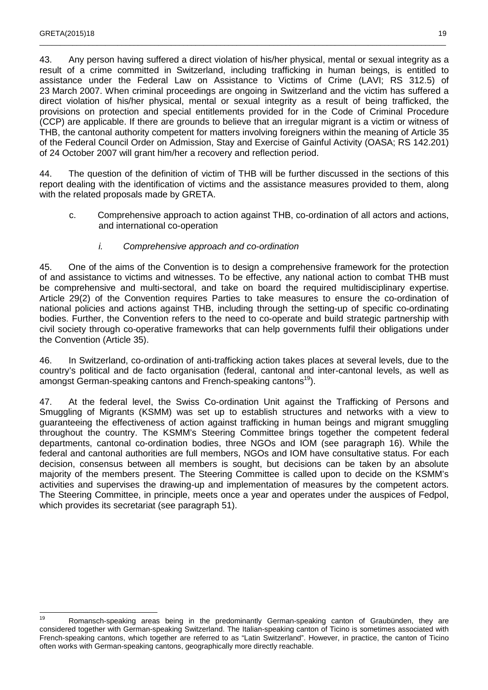43. Any person having suffered a direct violation of his/her physical, mental or sexual integrity as a result of a crime committed in Switzerland, including trafficking in human beings, is entitled to assistance under the Federal Law on Assistance to Victims of Crime (LAVI; RS 312.5) of 23 March 2007. When criminal proceedings are ongoing in Switzerland and the victim has suffered a direct violation of his/her physical, mental or sexual integrity as a result of being trafficked, the provisions on protection and special entitlements provided for in the Code of Criminal Procedure (CCP) are applicable. If there are grounds to believe that an irregular migrant is a victim or witness of THB, the cantonal authority competent for matters involving foreigners within the meaning of Article 35 of the Federal Council Order on Admission, Stay and Exercise of Gainful Activity (OASA; RS 142.201) of 24 October 2007 will grant him/her a recovery and reflection period.

\_\_\_\_\_\_\_\_\_\_\_\_\_\_\_\_\_\_\_\_\_\_\_\_\_\_\_\_\_\_\_\_\_\_\_\_\_\_\_\_\_\_\_\_\_\_\_\_\_\_\_\_\_\_\_\_\_\_\_\_\_\_\_\_\_\_\_\_\_\_\_\_\_\_\_\_\_\_\_\_\_\_\_\_\_\_\_\_\_\_\_\_\_\_\_\_\_\_\_

44. The question of the definition of victim of THB will be further discussed in the sections of this report dealing with the identification of victims and the assistance measures provided to them, along with the related proposals made by GRETA.

c. Comprehensive approach to action against THB, co-ordination of all actors and actions, and international co-operation

#### i. Comprehensive approach and co-ordination

45. One of the aims of the Convention is to design a comprehensive framework for the protection of and assistance to victims and witnesses. To be effective, any national action to combat THB must be comprehensive and multi-sectoral, and take on board the required multidisciplinary expertise. Article 29(2) of the Convention requires Parties to take measures to ensure the co-ordination of national policies and actions against THB, including through the setting-up of specific co-ordinating bodies. Further, the Convention refers to the need to co-operate and build strategic partnership with civil society through co-operative frameworks that can help governments fulfil their obligations under the Convention (Article 35).

46. In Switzerland, co-ordination of anti-trafficking action takes places at several levels, due to the country's political and de facto organisation (federal, cantonal and inter-cantonal levels, as well as amongst German-speaking cantons and French-speaking cantons<sup>19</sup>).

47. At the federal level, the Swiss Co-ordination Unit against the Trafficking of Persons and Smuggling of Migrants (KSMM) was set up to establish structures and networks with a view to guaranteeing the effectiveness of action against trafficking in human beings and migrant smuggling throughout the country. The KSMM's Steering Committee brings together the competent federal departments, cantonal co-ordination bodies, three NGOs and IOM (see paragraph 16). While the federal and cantonal authorities are full members, NGOs and IOM have consultative status. For each decision, consensus between all members is sought, but decisions can be taken by an absolute majority of the members present. The Steering Committee is called upon to decide on the KSMM's activities and supervises the drawing-up and implementation of measures by the competent actors. The Steering Committee, in principle, meets once a year and operates under the auspices of Fedpol, which provides its secretariat (see paragraph 51).

<sup>19</sup> <sup>19</sup> Romansch-speaking areas being in the predominantly German-speaking canton of Graubünden, they are considered together with German-speaking Switzerland. The Italian-speaking canton of Ticino is sometimes associated with French-speaking cantons, which together are referred to as "Latin Switzerland". However, in practice, the canton of Ticino often works with German-speaking cantons, geographically more directly reachable.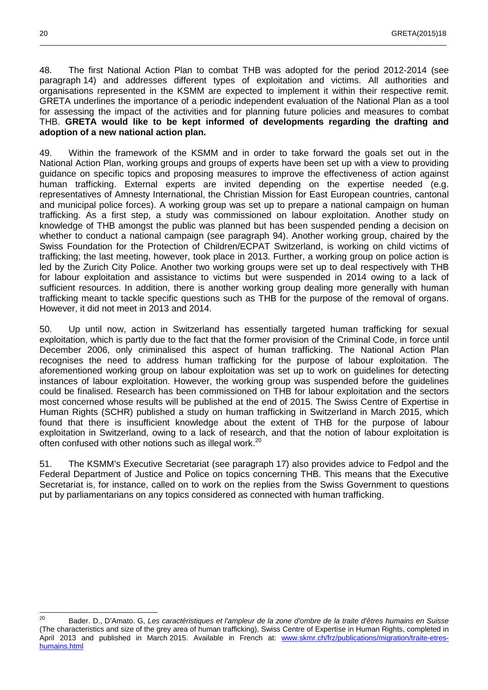48. The first National Action Plan to combat THB was adopted for the period 2012-2014 (see paragraph 14) and addresses different types of exploitation and victims. All authorities and organisations represented in the KSMM are expected to implement it within their respective remit. GRETA underlines the importance of a periodic independent evaluation of the National Plan as a tool for assessing the impact of the activities and for planning future policies and measures to combat THB. **GRETA would like to be kept informed of developments regarding the drafting and adoption of a new national action plan.**

\_\_\_\_\_\_\_\_\_\_\_\_\_\_\_\_\_\_\_\_\_\_\_\_\_\_\_\_\_\_\_\_\_\_\_\_\_\_\_\_\_\_\_\_\_\_\_\_\_\_\_\_\_\_\_\_\_\_\_\_\_\_\_\_\_\_\_\_\_\_\_\_\_\_\_\_\_\_\_\_\_\_\_\_\_\_\_\_\_\_\_\_\_\_\_\_\_\_\_

49. Within the framework of the KSMM and in order to take forward the goals set out in the National Action Plan, working groups and groups of experts have been set up with a view to providing guidance on specific topics and proposing measures to improve the effectiveness of action against human trafficking. External experts are invited depending on the expertise needed (e.g. representatives of Amnesty International, the Christian Mission for East European countries, cantonal and municipal police forces). A working group was set up to prepare a national campaign on human trafficking. As a first step, a study was commissioned on labour exploitation. Another study on knowledge of THB amongst the public was planned but has been suspended pending a decision on whether to conduct a national campaign (see paragraph 94). Another working group, chaired by the Swiss Foundation for the Protection of Children/ECPAT Switzerland, is working on child victims of trafficking; the last meeting, however, took place in 2013. Further, a working group on police action is led by the Zurich City Police. Another two working groups were set up to deal respectively with THB for labour exploitation and assistance to victims but were suspended in 2014 owing to a lack of sufficient resources. In addition, there is another working group dealing more generally with human trafficking meant to tackle specific questions such as THB for the purpose of the removal of organs. However, it did not meet in 2013 and 2014.

50. Up until now, action in Switzerland has essentially targeted human trafficking for sexual exploitation, which is partly due to the fact that the former provision of the Criminal Code, in force until December 2006, only criminalised this aspect of human trafficking. The National Action Plan recognises the need to address human trafficking for the purpose of labour exploitation. The aforementioned working group on labour exploitation was set up to work on guidelines for detecting instances of labour exploitation. However, the working group was suspended before the guidelines could be finalised. Research has been commissioned on THB for labour exploitation and the sectors most concerned whose results will be published at the end of 2015. The Swiss Centre of Expertise in Human Rights (SCHR) published a study on human trafficking in Switzerland in March 2015, which found that there is insufficient knowledge about the extent of THB for the purpose of labour exploitation in Switzerland, owing to a lack of research, and that the notion of labour exploitation is often confused with other notions such as illegal work.<sup>20</sup>

51. The KSMM's Executive Secretariat (see paragraph 17) also provides advice to Fedpol and the Federal Department of Justice and Police on topics concerning THB. This means that the Executive Secretariat is, for instance, called on to work on the replies from the Swiss Government to questions put by parliamentarians on any topics considered as connected with human trafficking.

 $20$ Bader. D., D'Amato. G, Les caractéristiques et l'ampleur de la zone d'ombre de la traite d'êtres humains en Suisse (The characteristics and size of the grey area of human trafficking), Swiss Centre of Expertise in Human Rights, completed in April 2013 and published in March 2015. Available in French at: www.skmr.ch/frz/publications/migration/traite-etreshumains.html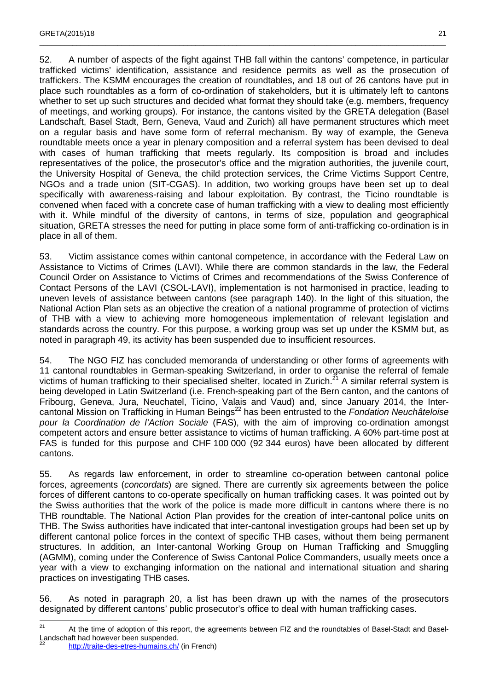52. A number of aspects of the fight against THB fall within the cantons' competence, in particular trafficked victims' identification, assistance and residence permits as well as the prosecution of traffickers. The KSMM encourages the creation of roundtables, and 18 out of 26 cantons have put in place such roundtables as a form of co-ordination of stakeholders, but it is ultimately left to cantons whether to set up such structures and decided what format they should take (e.g. members, frequency of meetings, and working groups). For instance, the cantons visited by the GRETA delegation (Basel Landschaft, Basel Stadt, Bern, Geneva, Vaud and Zurich) all have permanent structures which meet on a regular basis and have some form of referral mechanism. By way of example, the Geneva roundtable meets once a year in plenary composition and a referral system has been devised to deal with cases of human trafficking that meets regularly. Its composition is broad and includes representatives of the police, the prosecutor's office and the migration authorities, the juvenile court, the University Hospital of Geneva, the child protection services, the Crime Victims Support Centre, NGOs and a trade union (SIT-CGAS). In addition, two working groups have been set up to deal specifically with awareness-raising and labour exploitation. By contrast, the Ticino roundtable is convened when faced with a concrete case of human trafficking with a view to dealing most efficiently with it. While mindful of the diversity of cantons, in terms of size, population and geographical situation, GRETA stresses the need for putting in place some form of anti-trafficking co-ordination is in place in all of them.

\_\_\_\_\_\_\_\_\_\_\_\_\_\_\_\_\_\_\_\_\_\_\_\_\_\_\_\_\_\_\_\_\_\_\_\_\_\_\_\_\_\_\_\_\_\_\_\_\_\_\_\_\_\_\_\_\_\_\_\_\_\_\_\_\_\_\_\_\_\_\_\_\_\_\_\_\_\_\_\_\_\_\_\_\_\_\_\_\_\_\_\_\_\_\_\_\_\_\_

53. Victim assistance comes within cantonal competence, in accordance with the Federal Law on Assistance to Victims of Crimes (LAVI). While there are common standards in the law, the Federal Council Order on Assistance to Victims of Crimes and recommendations of the Swiss Conference of Contact Persons of the LAVI (CSOL-LAVI), implementation is not harmonised in practice, leading to uneven levels of assistance between cantons (see paragraph 140). In the light of this situation, the National Action Plan sets as an objective the creation of a national programme of protection of victims of THB with a view to achieving more homogeneous implementation of relevant legislation and standards across the country. For this purpose, a working group was set up under the KSMM but, as noted in paragraph 49, its activity has been suspended due to insufficient resources.

54. The NGO FIZ has concluded memoranda of understanding or other forms of agreements with 11 cantonal roundtables in German-speaking Switzerland, in order to organise the referral of female victims of human trafficking to their specialised shelter, located in Zurich.<sup>21</sup> A similar referral system is being developed in Latin Switzerland (i.e. French-speaking part of the Bern canton, and the cantons of Fribourg, Geneva, Jura, Neuchatel, Ticino, Valais and Vaud) and, since January 2014, the Intercantonal Mission on Trafficking in Human Beings<sup>22</sup> has been entrusted to the Fondation Neuchâteloise pour la Coordination de l'Action Sociale (FAS), with the aim of improving co-ordination amongst competent actors and ensure better assistance to victims of human trafficking. A 60% part-time post at FAS is funded for this purpose and CHF 100 000 (92 344 euros) have been allocated by different cantons.

55. As regards law enforcement, in order to streamline co-operation between cantonal police forces, agreements (concordats) are signed. There are currently six agreements between the police forces of different cantons to co-operate specifically on human trafficking cases. It was pointed out by the Swiss authorities that the work of the police is made more difficult in cantons where there is no THB roundtable. The National Action Plan provides for the creation of inter-cantonal police units on THB. The Swiss authorities have indicated that inter-cantonal investigation groups had been set up by different cantonal police forces in the context of specific THB cases, without them being permanent structures. In addition, an Inter-cantonal Working Group on Human Trafficking and Smuggling (AGMM), coming under the Conference of Swiss Cantonal Police Commanders, usually meets once a year with a view to exchanging information on the national and international situation and sharing practices on investigating THB cases.

56. As noted in paragraph 20, a list has been drawn up with the names of the prosecutors designated by different cantons' public prosecutor's office to deal with human trafficking cases.

 $21$ <sup>21</sup> At the time of adoption of this report, the agreements between FIZ and the roundtables of Basel-Stadt and Basel-Landschaft had however been suspended.

<sup>22</sup> http://traite-des-etres-humains.ch/ (in French)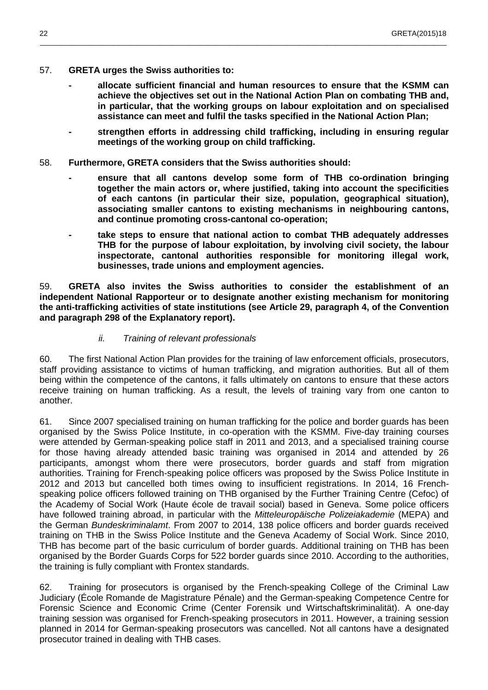- 57. **GRETA urges the Swiss authorities to:** 
	- **allocate sufficient financial and human resources to ensure that the KSMM can achieve the objectives set out in the National Action Plan on combating THB and, in particular, that the working groups on labour exploitation and on specialised assistance can meet and fulfil the tasks specified in the National Action Plan;**

\_\_\_\_\_\_\_\_\_\_\_\_\_\_\_\_\_\_\_\_\_\_\_\_\_\_\_\_\_\_\_\_\_\_\_\_\_\_\_\_\_\_\_\_\_\_\_\_\_\_\_\_\_\_\_\_\_\_\_\_\_\_\_\_\_\_\_\_\_\_\_\_\_\_\_\_\_\_\_\_\_\_\_\_\_\_\_\_\_\_\_\_\_\_\_\_\_\_\_

- **strengthen efforts in addressing child trafficking, including in ensuring regular meetings of the working group on child trafficking.**
- 58. **Furthermore, GRETA considers that the Swiss authorities should:** 
	- **ensure that all cantons develop some form of THB co-ordination bringing together the main actors or, where justified, taking into account the specificities of each cantons (in particular their size, population, geographical situation), associating smaller cantons to existing mechanisms in neighbouring cantons, and continue promoting cross-cantonal co-operation;**
	- **take steps to ensure that national action to combat THB adequately addresses THB for the purpose of labour exploitation, by involving civil society, the labour inspectorate, cantonal authorities responsible for monitoring illegal work, businesses, trade unions and employment agencies.**

59. **GRETA also invites the Swiss authorities to consider the establishment of an independent National Rapporteur or to designate another existing mechanism for monitoring the anti-trafficking activities of state institutions (see Article 29, paragraph 4, of the Convention and paragraph 298 of the Explanatory report).** 

#### ii. Training of relevant professionals

60. The first National Action Plan provides for the training of law enforcement officials, prosecutors, staff providing assistance to victims of human trafficking, and migration authorities. But all of them being within the competence of the cantons, it falls ultimately on cantons to ensure that these actors receive training on human trafficking. As a result, the levels of training vary from one canton to another.

61. Since 2007 specialised training on human trafficking for the police and border guards has been organised by the Swiss Police Institute, in co-operation with the KSMM. Five-day training courses were attended by German-speaking police staff in 2011 and 2013, and a specialised training course for those having already attended basic training was organised in 2014 and attended by 26 participants, amongst whom there were prosecutors, border guards and staff from migration authorities. Training for French-speaking police officers was proposed by the Swiss Police Institute in 2012 and 2013 but cancelled both times owing to insufficient registrations. In 2014, 16 Frenchspeaking police officers followed training on THB organised by the Further Training Centre (Cefoc) of the Academy of Social Work (Haute école de travail social) based in Geneva. Some police officers have followed training abroad, in particular with the Mitteleuropäische Polizeiakademie (MEPA) and the German Bundeskriminalamt. From 2007 to 2014, 138 police officers and border guards received training on THB in the Swiss Police Institute and the Geneva Academy of Social Work. Since 2010, THB has become part of the basic curriculum of border guards. Additional training on THB has been organised by the Border Guards Corps for 522 border guards since 2010. According to the authorities, the training is fully compliant with Frontex standards.

62. Training for prosecutors is organised by the French-speaking College of the Criminal Law Judiciary (École Romande de Magistrature Pénale) and the German-speaking Competence Centre for Forensic Science and Economic Crime (Center Forensik und Wirtschaftskriminalität). A one-day training session was organised for French-speaking prosecutors in 2011. However, a training session planned in 2014 for German-speaking prosecutors was cancelled. Not all cantons have a designated prosecutor trained in dealing with THB cases.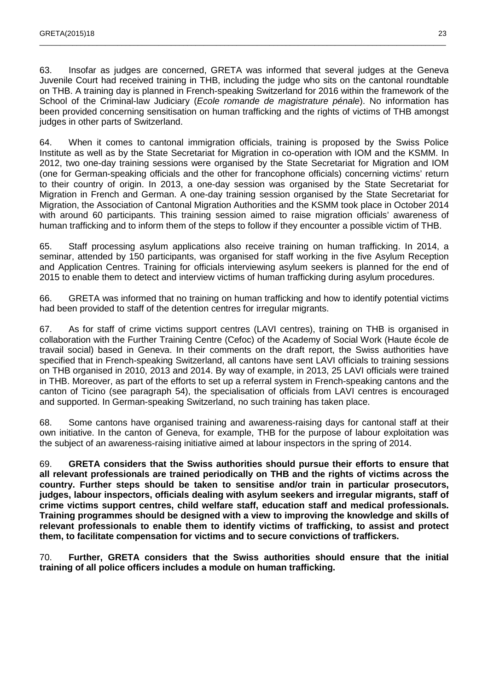63. Insofar as judges are concerned, GRETA was informed that several judges at the Geneva Juvenile Court had received training in THB, including the judge who sits on the cantonal roundtable on THB. A training day is planned in French-speaking Switzerland for 2016 within the framework of the School of the Criminal-law Judiciary (*Ecole romande de magistrature pénale*). No information has been provided concerning sensitisation on human trafficking and the rights of victims of THB amongst judges in other parts of Switzerland.

\_\_\_\_\_\_\_\_\_\_\_\_\_\_\_\_\_\_\_\_\_\_\_\_\_\_\_\_\_\_\_\_\_\_\_\_\_\_\_\_\_\_\_\_\_\_\_\_\_\_\_\_\_\_\_\_\_\_\_\_\_\_\_\_\_\_\_\_\_\_\_\_\_\_\_\_\_\_\_\_\_\_\_\_\_\_\_\_\_\_\_\_\_\_\_\_\_\_\_

64. When it comes to cantonal immigration officials, training is proposed by the Swiss Police Institute as well as by the State Secretariat for Migration in co-operation with IOM and the KSMM. In 2012, two one-day training sessions were organised by the State Secretariat for Migration and IOM (one for German-speaking officials and the other for francophone officials) concerning victims' return to their country of origin. In 2013, a one-day session was organised by the State Secretariat for Migration in French and German. A one-day training session organised by the State Secretariat for Migration, the Association of Cantonal Migration Authorities and the KSMM took place in October 2014 with around 60 participants. This training session aimed to raise migration officials' awareness of human trafficking and to inform them of the steps to follow if they encounter a possible victim of THB.

65. Staff processing asylum applications also receive training on human trafficking. In 2014, a seminar, attended by 150 participants, was organised for staff working in the five Asylum Reception and Application Centres. Training for officials interviewing asylum seekers is planned for the end of 2015 to enable them to detect and interview victims of human trafficking during asylum procedures.

66. GRETA was informed that no training on human trafficking and how to identify potential victims had been provided to staff of the detention centres for irregular migrants.

67. As for staff of crime victims support centres (LAVI centres), training on THB is organised in collaboration with the Further Training Centre (Cefoc) of the Academy of Social Work (Haute école de travail social) based in Geneva. In their comments on the draft report, the Swiss authorities have specified that in French-speaking Switzerland, all cantons have sent LAVI officials to training sessions on THB organised in 2010, 2013 and 2014. By way of example, in 2013, 25 LAVI officials were trained in THB. Moreover, as part of the efforts to set up a referral system in French-speaking cantons and the canton of Ticino (see paragraph 54), the specialisation of officials from LAVI centres is encouraged and supported. In German-speaking Switzerland, no such training has taken place.

68. Some cantons have organised training and awareness-raising days for cantonal staff at their own initiative. In the canton of Geneva, for example, THB for the purpose of labour exploitation was the subject of an awareness-raising initiative aimed at labour inspectors in the spring of 2014.

69. **GRETA considers that the Swiss authorities should pursue their efforts to ensure that all relevant professionals are trained periodically on THB and the rights of victims across the country. Further steps should be taken to sensitise and/or train in particular prosecutors, judges, labour inspectors, officials dealing with asylum seekers and irregular migrants, staff of crime victims support centres, child welfare staff, education staff and medical professionals. Training programmes should be designed with a view to improving the knowledge and skills of relevant professionals to enable them to identify victims of trafficking, to assist and protect them, to facilitate compensation for victims and to secure convictions of traffickers.** 

70. **Further, GRETA considers that the Swiss authorities should ensure that the initial training of all police officers includes a module on human trafficking.**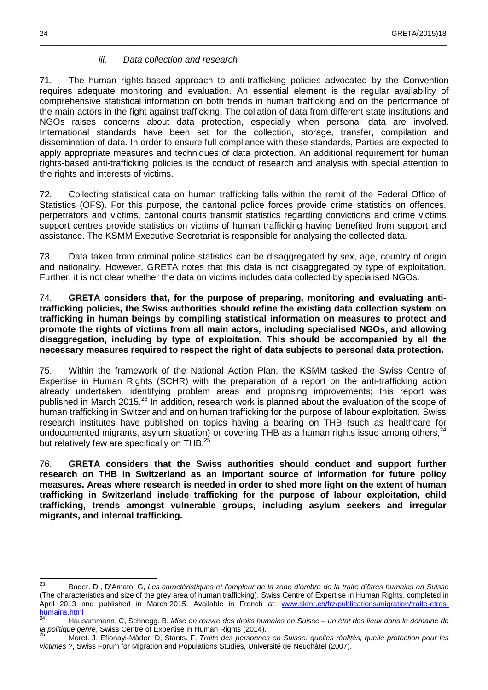#### iii. Data collection and research

71. The human rights-based approach to anti-trafficking policies advocated by the Convention requires adequate monitoring and evaluation. An essential element is the regular availability of comprehensive statistical information on both trends in human trafficking and on the performance of the main actors in the fight against trafficking. The collation of data from different state institutions and NGOs raises concerns about data protection, especially when personal data are involved. International standards have been set for the collection, storage, transfer, compilation and dissemination of data. In order to ensure full compliance with these standards, Parties are expected to apply appropriate measures and techniques of data protection. An additional requirement for human rights-based anti-trafficking policies is the conduct of research and analysis with special attention to the rights and interests of victims.

\_\_\_\_\_\_\_\_\_\_\_\_\_\_\_\_\_\_\_\_\_\_\_\_\_\_\_\_\_\_\_\_\_\_\_\_\_\_\_\_\_\_\_\_\_\_\_\_\_\_\_\_\_\_\_\_\_\_\_\_\_\_\_\_\_\_\_\_\_\_\_\_\_\_\_\_\_\_\_\_\_\_\_\_\_\_\_\_\_\_\_\_\_\_\_\_\_\_\_

72. Collecting statistical data on human trafficking falls within the remit of the Federal Office of Statistics (OFS). For this purpose, the cantonal police forces provide crime statistics on offences, perpetrators and victims, cantonal courts transmit statistics regarding convictions and crime victims support centres provide statistics on victims of human trafficking having benefited from support and assistance. The KSMM Executive Secretariat is responsible for analysing the collected data.

73. Data taken from criminal police statistics can be disaggregated by sex, age, country of origin and nationality. However, GRETA notes that this data is not disaggregated by type of exploitation. Further, it is not clear whether the data on victims includes data collected by specialised NGOs.

74. **GRETA considers that, for the purpose of preparing, monitoring and evaluating antitrafficking policies, the Swiss authorities should refine the existing data collection system on trafficking in human beings by compiling statistical information on measures to protect and promote the rights of victims from all main actors, including specialised NGOs, and allowing disaggregation, including by type of exploitation. This should be accompanied by all the necessary measures required to respect the right of data subjects to personal data protection.**

75. Within the framework of the National Action Plan, the KSMM tasked the Swiss Centre of Expertise in Human Rights (SCHR) with the preparation of a report on the anti-trafficking action already undertaken, identifying problem areas and proposing improvements; this report was published in March 2015.<sup>23</sup> In addition, research work is planned about the evaluation of the scope of human trafficking in Switzerland and on human trafficking for the purpose of labour exploitation. Swiss research institutes have published on topics having a bearing on THB (such as healthcare for undocumented migrants, asylum situation) or covering THB as a human rights issue among others,  $24$ but relatively few are specifically on THB. $^{25}$ 

76. **GRETA considers that the Swiss authorities should conduct and support further research on THB in Switzerland as an important source of information for future policy measures. Areas where research is needed in order to shed more light on the extent of human trafficking in Switzerland include trafficking for the purpose of labour exploitation, child trafficking, trends amongst vulnerable groups, including asylum seekers and irregular migrants, and internal trafficking.** 

<sup>23</sup> Bader. D., D'Amato. G, Les caractéristiques et l'ampleur de la zone d'ombre de la traite d'êtres humains en Suisse (The characteristics and size of the grey area of human trafficking), Swiss Centre of Expertise in Human Rights, completed in April 2013 and published in March 2015. Available in French at: www.skmr.ch/frz/publications/migration/traite-etreshumains.html

Hausammann. C, Schnegg. B, Mise en œuvre des droits humains en Suisse – un état des lieux dans le domaine de la politique genre, Swiss Centre of Expertise in Human Rights (2014).

Moret. J, Efionayi-Mäder. D, Stants. F, Traite des personnes en Suisse: quelles réalités, quelle protection pour les victimes ?, Swiss Forum for Migration and Populations Studies, Université de Neuchâtel (2007).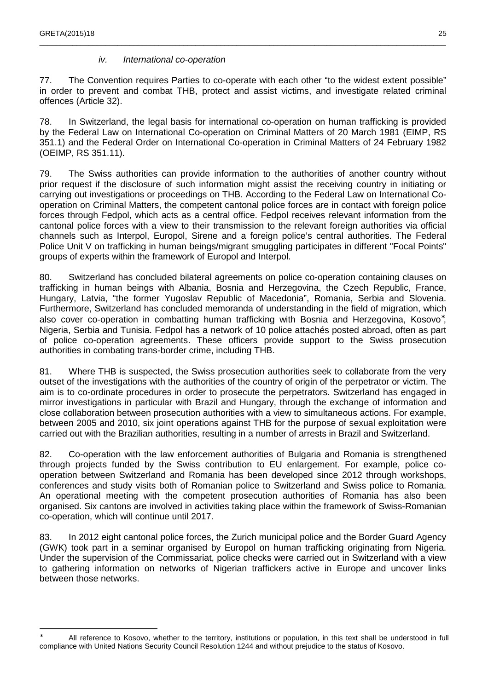$\overline{a}$ 

#### iv. International co-operation

77. The Convention requires Parties to co-operate with each other "to the widest extent possible" in order to prevent and combat THB, protect and assist victims, and investigate related criminal offences (Article 32).

\_\_\_\_\_\_\_\_\_\_\_\_\_\_\_\_\_\_\_\_\_\_\_\_\_\_\_\_\_\_\_\_\_\_\_\_\_\_\_\_\_\_\_\_\_\_\_\_\_\_\_\_\_\_\_\_\_\_\_\_\_\_\_\_\_\_\_\_\_\_\_\_\_\_\_\_\_\_\_\_\_\_\_\_\_\_\_\_\_\_\_\_\_\_\_\_\_\_\_

78. In Switzerland, the legal basis for international co-operation on human trafficking is provided by the Federal Law on International Co-operation on Criminal Matters of 20 March 1981 (EIMP, RS 351.1) and the Federal Order on International Co-operation in Criminal Matters of 24 February 1982 (OEIMP, RS 351.11).

79. The Swiss authorities can provide information to the authorities of another country without prior request if the disclosure of such information might assist the receiving country in initiating or carrying out investigations or proceedings on THB. According to the Federal Law on International Cooperation on Criminal Matters, the competent cantonal police forces are in contact with foreign police forces through Fedpol, which acts as a central office. Fedpol receives relevant information from the cantonal police forces with a view to their transmission to the relevant foreign authorities via official channels such as Interpol, Europol, Sirene and a foreign police's central authorities. The Federal Police Unit V on trafficking in human beings/migrant smuggling participates in different "Focal Points" groups of experts within the framework of Europol and Interpol.

80. Switzerland has concluded bilateral agreements on police co-operation containing clauses on trafficking in human beings with Albania, Bosnia and Herzegovina, the Czech Republic, France, Hungary, Latvia, "the former Yugoslav Republic of Macedonia", Romania, Serbia and Slovenia. Furthermore, Switzerland has concluded memoranda of understanding in the field of migration, which also cover co-operation in combatting human trafficking with Bosnia and Herzegovina, Kosovo<sup>\*</sup>, Nigeria, Serbia and Tunisia. Fedpol has a network of 10 police attachés posted abroad, often as part of police co-operation agreements. These officers provide support to the Swiss prosecution authorities in combating trans-border crime, including THB.

81. Where THB is suspected, the Swiss prosecution authorities seek to collaborate from the very outset of the investigations with the authorities of the country of origin of the perpetrator or victim. The aim is to co-ordinate procedures in order to prosecute the perpetrators. Switzerland has engaged in mirror investigations in particular with Brazil and Hungary, through the exchange of information and close collaboration between prosecution authorities with a view to simultaneous actions. For example, between 2005 and 2010, six joint operations against THB for the purpose of sexual exploitation were carried out with the Brazilian authorities, resulting in a number of arrests in Brazil and Switzerland.

82. Co-operation with the law enforcement authorities of Bulgaria and Romania is strengthened through projects funded by the Swiss contribution to EU enlargement. For example, police cooperation between Switzerland and Romania has been developed since 2012 through workshops, conferences and study visits both of Romanian police to Switzerland and Swiss police to Romania. An operational meeting with the competent prosecution authorities of Romania has also been organised. Six cantons are involved in activities taking place within the framework of Swiss-Romanian co-operation, which will continue until 2017.

83. In 2012 eight cantonal police forces, the Zurich municipal police and the Border Guard Agency (GWK) took part in a seminar organised by Europol on human trafficking originating from Nigeria. Under the supervision of the Commissariat, police checks were carried out in Switzerland with a view to gathering information on networks of Nigerian traffickers active in Europe and uncover links between those networks.

<sup>∗</sup> All reference to Kosovo, whether to the territory, institutions or population, in this text shall be understood in full compliance with United Nations Security Council Resolution 1244 and without prejudice to the status of Kosovo.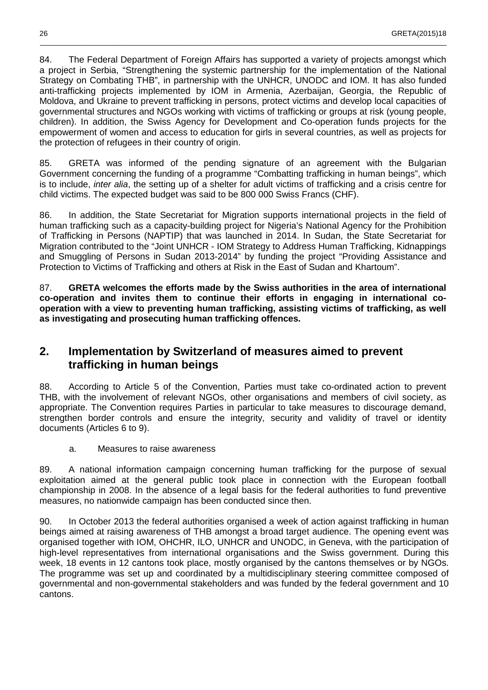84. The Federal Department of Foreign Affairs has supported a variety of projects amongst which a project in Serbia, "Strengthening the systemic partnership for the implementation of the National Strategy on Combating THB", in partnership with the UNHCR, UNODC and IOM. It has also funded anti-trafficking projects implemented by IOM in Armenia, Azerbaijan, Georgia, the Republic of Moldova, and Ukraine to prevent trafficking in persons, protect victims and develop local capacities of governmental structures and NGOs working with victims of trafficking or groups at risk (young people, children). In addition, the Swiss Agency for Development and Co-operation funds projects for the empowerment of women and access to education for girls in several countries, as well as projects for the protection of refugees in their country of origin.

\_\_\_\_\_\_\_\_\_\_\_\_\_\_\_\_\_\_\_\_\_\_\_\_\_\_\_\_\_\_\_\_\_\_\_\_\_\_\_\_\_\_\_\_\_\_\_\_\_\_\_\_\_\_\_\_\_\_\_\_\_\_\_\_\_\_\_\_\_\_\_\_\_\_\_\_\_\_\_\_\_\_\_\_\_\_\_\_\_\_\_\_\_\_\_\_\_\_\_

85. GRETA was informed of the pending signature of an agreement with the Bulgarian Government concerning the funding of a programme "Combatting trafficking in human beings", which is to include, inter alia, the setting up of a shelter for adult victims of trafficking and a crisis centre for child victims. The expected budget was said to be 800 000 Swiss Francs (CHF).

86. In addition, the State Secretariat for Migration supports international projects in the field of human trafficking such as a capacity-building project for Nigeria's National Agency for the Prohibition of Trafficking in Persons (NAPTIP) that was launched in 2014. In Sudan, the State Secretariat for Migration contributed to the "Joint UNHCR - IOM Strategy to Address Human Trafficking, Kidnappings and Smuggling of Persons in Sudan 2013-2014" by funding the project "Providing Assistance and Protection to Victims of Trafficking and others at Risk in the East of Sudan and Khartoum".

87. **GRETA welcomes the efforts made by the Swiss authorities in the area of international co-operation and invites them to continue their efforts in engaging in international cooperation with a view to preventing human trafficking, assisting victims of trafficking, as well as investigating and prosecuting human trafficking offences.**

### **2. Implementation by Switzerland of measures aimed to prevent trafficking in human beings**

88. According to Article 5 of the Convention, Parties must take co-ordinated action to prevent THB, with the involvement of relevant NGOs, other organisations and members of civil society, as appropriate. The Convention requires Parties in particular to take measures to discourage demand, strengthen border controls and ensure the integrity, security and validity of travel or identity documents (Articles 6 to 9).

a. Measures to raise awareness

89. A national information campaign concerning human trafficking for the purpose of sexual exploitation aimed at the general public took place in connection with the European football championship in 2008. In the absence of a legal basis for the federal authorities to fund preventive measures, no nationwide campaign has been conducted since then.

90. In October 2013 the federal authorities organised a week of action against trafficking in human beings aimed at raising awareness of THB amongst a broad target audience. The opening event was organised together with IOM, OHCHR, ILO, UNHCR and UNODC, in Geneva, with the participation of high-level representatives from international organisations and the Swiss government. During this week, 18 events in 12 cantons took place, mostly organised by the cantons themselves or by NGOs. The programme was set up and coordinated by a multidisciplinary steering committee composed of governmental and non-governmental stakeholders and was funded by the federal government and 10 cantons.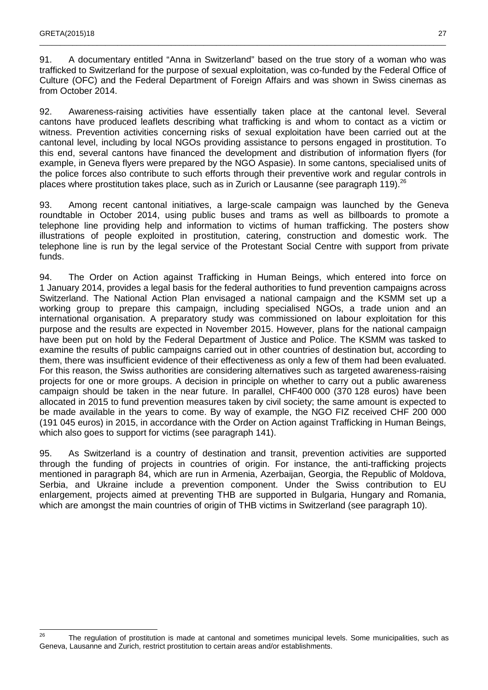91. A documentary entitled "Anna in Switzerland" based on the true story of a woman who was trafficked to Switzerland for the purpose of sexual exploitation, was co-funded by the Federal Office of Culture (OFC) and the Federal Department of Foreign Affairs and was shown in Swiss cinemas as from October 2014.

\_\_\_\_\_\_\_\_\_\_\_\_\_\_\_\_\_\_\_\_\_\_\_\_\_\_\_\_\_\_\_\_\_\_\_\_\_\_\_\_\_\_\_\_\_\_\_\_\_\_\_\_\_\_\_\_\_\_\_\_\_\_\_\_\_\_\_\_\_\_\_\_\_\_\_\_\_\_\_\_\_\_\_\_\_\_\_\_\_\_\_\_\_\_\_\_\_\_\_

92. Awareness-raising activities have essentially taken place at the cantonal level. Several cantons have produced leaflets describing what trafficking is and whom to contact as a victim or witness. Prevention activities concerning risks of sexual exploitation have been carried out at the cantonal level, including by local NGOs providing assistance to persons engaged in prostitution. To this end, several cantons have financed the development and distribution of information flyers (for example, in Geneva flyers were prepared by the NGO Aspasie). In some cantons, specialised units of the police forces also contribute to such efforts through their preventive work and regular controls in places where prostitution takes place, such as in Zurich or Lausanne (see paragraph 119).<sup>26</sup>

93. Among recent cantonal initiatives, a large-scale campaign was launched by the Geneva roundtable in October 2014, using public buses and trams as well as billboards to promote a telephone line providing help and information to victims of human trafficking. The posters show illustrations of people exploited in prostitution, catering, construction and domestic work. The telephone line is run by the legal service of the Protestant Social Centre with support from private funds.

94. The Order on Action against Trafficking in Human Beings, which entered into force on 1 January 2014, provides a legal basis for the federal authorities to fund prevention campaigns across Switzerland. The National Action Plan envisaged a national campaign and the KSMM set up a working group to prepare this campaign, including specialised NGOs, a trade union and an international organisation. A preparatory study was commissioned on labour exploitation for this purpose and the results are expected in November 2015. However, plans for the national campaign have been put on hold by the Federal Department of Justice and Police. The KSMM was tasked to examine the results of public campaigns carried out in other countries of destination but, according to them, there was insufficient evidence of their effectiveness as only a few of them had been evaluated. For this reason, the Swiss authorities are considering alternatives such as targeted awareness-raising projects for one or more groups. A decision in principle on whether to carry out a public awareness campaign should be taken in the near future. In parallel, CHF400 000 (370 128 euros) have been allocated in 2015 to fund prevention measures taken by civil society; the same amount is expected to be made available in the years to come. By way of example, the NGO FIZ received CHF 200 000 (191 045 euros) in 2015, in accordance with the Order on Action against Trafficking in Human Beings, which also goes to support for victims (see paragraph 141).

95. As Switzerland is a country of destination and transit, prevention activities are supported through the funding of projects in countries of origin. For instance, the anti-trafficking projects mentioned in paragraph 84, which are run in Armenia, Azerbaijan, Georgia, the Republic of Moldova, Serbia, and Ukraine include a prevention component. Under the Swiss contribution to EU enlargement, projects aimed at preventing THB are supported in Bulgaria, Hungary and Romania, which are amongst the main countries of origin of THB victims in Switzerland (see paragraph 10).

 $26$ The regulation of prostitution is made at cantonal and sometimes municipal levels. Some municipalities, such as Geneva, Lausanne and Zurich, restrict prostitution to certain areas and/or establishments.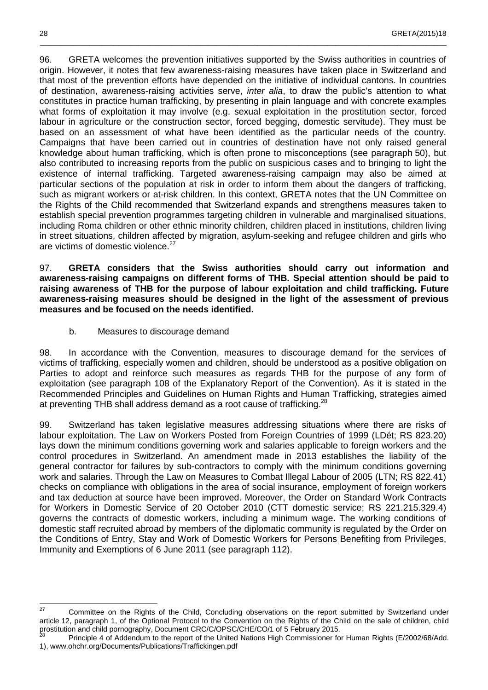96. GRETA welcomes the prevention initiatives supported by the Swiss authorities in countries of origin. However, it notes that few awareness-raising measures have taken place in Switzerland and that most of the prevention efforts have depended on the initiative of individual cantons. In countries of destination, awareness-raising activities serve, inter alia, to draw the public's attention to what constitutes in practice human trafficking, by presenting in plain language and with concrete examples what forms of exploitation it may involve (e.g. sexual exploitation in the prostitution sector, forced labour in agriculture or the construction sector, forced begging, domestic servitude). They must be based on an assessment of what have been identified as the particular needs of the country. Campaigns that have been carried out in countries of destination have not only raised general knowledge about human trafficking, which is often prone to misconceptions (see paragraph 50), but also contributed to increasing reports from the public on suspicious cases and to bringing to light the existence of internal trafficking. Targeted awareness-raising campaign may also be aimed at particular sections of the population at risk in order to inform them about the dangers of trafficking, such as migrant workers or at-risk children. In this context, GRETA notes that the UN Committee on the Rights of the Child recommended that Switzerland expands and strengthens measures taken to establish special prevention programmes targeting children in vulnerable and marginalised situations, including Roma children or other ethnic minority children, children placed in institutions, children living in street situations, children affected by migration, asylum-seeking and refugee children and girls who are victims of domestic violence.<sup>27</sup>

\_\_\_\_\_\_\_\_\_\_\_\_\_\_\_\_\_\_\_\_\_\_\_\_\_\_\_\_\_\_\_\_\_\_\_\_\_\_\_\_\_\_\_\_\_\_\_\_\_\_\_\_\_\_\_\_\_\_\_\_\_\_\_\_\_\_\_\_\_\_\_\_\_\_\_\_\_\_\_\_\_\_\_\_\_\_\_\_\_\_\_\_\_\_\_\_\_\_\_

97. **GRETA considers that the Swiss authorities should carry out information and awareness-raising campaigns on different forms of THB. Special attention should be paid to raising awareness of THB for the purpose of labour exploitation and child trafficking. Future awareness-raising measures should be designed in the light of the assessment of previous measures and be focused on the needs identified.** 

b. Measures to discourage demand

98. In accordance with the Convention, measures to discourage demand for the services of victims of trafficking, especially women and children, should be understood as a positive obligation on Parties to adopt and reinforce such measures as regards THB for the purpose of any form of exploitation (see paragraph 108 of the Explanatory Report of the Convention). As it is stated in the Recommended Principles and Guidelines on Human Rights and Human Trafficking, strategies aimed at preventing THB shall address demand as a root cause of trafficking.<sup>28</sup>

99. Switzerland has taken legislative measures addressing situations where there are risks of labour exploitation. The Law on Workers Posted from Foreign Countries of 1999 (LDét; RS 823.20) lays down the minimum conditions governing work and salaries applicable to foreign workers and the control procedures in Switzerland. An amendment made in 2013 establishes the liability of the general contractor for failures by sub-contractors to comply with the minimum conditions governing work and salaries. Through the Law on Measures to Combat Illegal Labour of 2005 (LTN; RS 822.41) checks on compliance with obligations in the area of social insurance, employment of foreign workers and tax deduction at source have been improved. Moreover, the Order on Standard Work Contracts for Workers in Domestic Service of 20 October 2010 (CTT domestic service; RS 221.215.329.4) governs the contracts of domestic workers, including a minimum wage. The working conditions of domestic staff recruited abroad by members of the diplomatic community is regulated by the Order on the Conditions of Entry, Stay and Work of Domestic Workers for Persons Benefiting from Privileges, Immunity and Exemptions of 6 June 2011 (see paragraph 112).

 $27$ <sup>27</sup> Committee on the Rights of the Child, Concluding observations on the report submitted by Switzerland under article 12, paragraph 1, of the Optional Protocol to the Convention on the Rights of the Child on the sale of children, child prostitution and child pornography, Document CRC/C/OPSC/CHE/CO/1 of 5 February 2015.

<sup>28</sup> Principle 4 of Addendum to the report of the United Nations High Commissioner for Human Rights (E/2002/68/Add. 1), www.ohchr.org/Documents/Publications/Traffickingen.pdf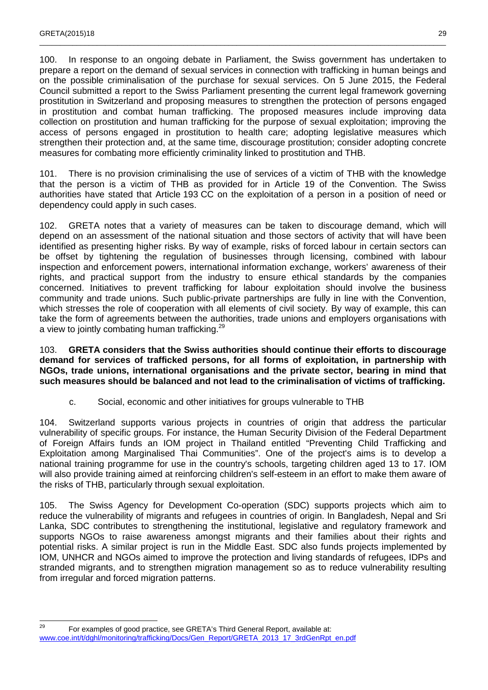100. In response to an ongoing debate in Parliament, the Swiss government has undertaken to prepare a report on the demand of sexual services in connection with trafficking in human beings and on the possible criminalisation of the purchase for sexual services. On 5 June 2015, the Federal Council submitted a report to the Swiss Parliament presenting the current legal framework governing prostitution in Switzerland and proposing measures to strengthen the protection of persons engaged in prostitution and combat human trafficking. The proposed measures include improving data collection on prostitution and human trafficking for the purpose of sexual exploitation; improving the access of persons engaged in prostitution to health care; adopting legislative measures which strengthen their protection and, at the same time, discourage prostitution; consider adopting concrete measures for combating more efficiently criminality linked to prostitution and THB.

\_\_\_\_\_\_\_\_\_\_\_\_\_\_\_\_\_\_\_\_\_\_\_\_\_\_\_\_\_\_\_\_\_\_\_\_\_\_\_\_\_\_\_\_\_\_\_\_\_\_\_\_\_\_\_\_\_\_\_\_\_\_\_\_\_\_\_\_\_\_\_\_\_\_\_\_\_\_\_\_\_\_\_\_\_\_\_\_\_\_\_\_\_\_\_\_\_\_\_

101. There is no provision criminalising the use of services of a victim of THB with the knowledge that the person is a victim of THB as provided for in Article 19 of the Convention. The Swiss authorities have stated that Article 193 CC on the exploitation of a person in a position of need or dependency could apply in such cases.

102. GRETA notes that a variety of measures can be taken to discourage demand, which will depend on an assessment of the national situation and those sectors of activity that will have been identified as presenting higher risks. By way of example, risks of forced labour in certain sectors can be offset by tightening the regulation of businesses through licensing, combined with labour inspection and enforcement powers, international information exchange, workers' awareness of their rights, and practical support from the industry to ensure ethical standards by the companies concerned. Initiatives to prevent trafficking for labour exploitation should involve the business community and trade unions. Such public-private partnerships are fully in line with the Convention, which stresses the role of cooperation with all elements of civil society. By way of example, this can take the form of agreements between the authorities, trade unions and employers organisations with a view to jointly combating human trafficking.<sup>29</sup>

103. **GRETA considers that the Swiss authorities should continue their efforts to discourage demand for services of trafficked persons, for all forms of exploitation, in partnership with NGOs, trade unions, international organisations and the private sector, bearing in mind that such measures should be balanced and not lead to the criminalisation of victims of trafficking.** 

c. Social, economic and other initiatives for groups vulnerable to THB

104. Switzerland supports various projects in countries of origin that address the particular vulnerability of specific groups. For instance, the Human Security Division of the Federal Department of Foreign Affairs funds an IOM project in Thailand entitled "Preventing Child Trafficking and Exploitation among Marginalised Thai Communities". One of the project's aims is to develop a national training programme for use in the country's schools, targeting children aged 13 to 17. IOM will also provide training aimed at reinforcing children's self-esteem in an effort to make them aware of the risks of THB, particularly through sexual exploitation.

105. The Swiss Agency for Development Co-operation (SDC) supports projects which aim to reduce the vulnerability of migrants and refugees in countries of origin. In Bangladesh, Nepal and Sri Lanka, SDC contributes to strengthening the institutional, legislative and regulatory framework and supports NGOs to raise awareness amongst migrants and their families about their rights and potential risks. A similar project is run in the Middle East. SDC also funds projects implemented by IOM, UNHCR and NGOs aimed to improve the protection and living standards of refugees, IDPs and stranded migrants, and to strengthen migration management so as to reduce vulnerability resulting from irregular and forced migration patterns.

<sup>29</sup> For examples of good practice, see GRETA's Third General Report, available at: www.coe.int/t/dghl/monitoring/trafficking/Docs/Gen\_Report/GRETA\_2013\_17\_3rdGenRpt\_en.pdf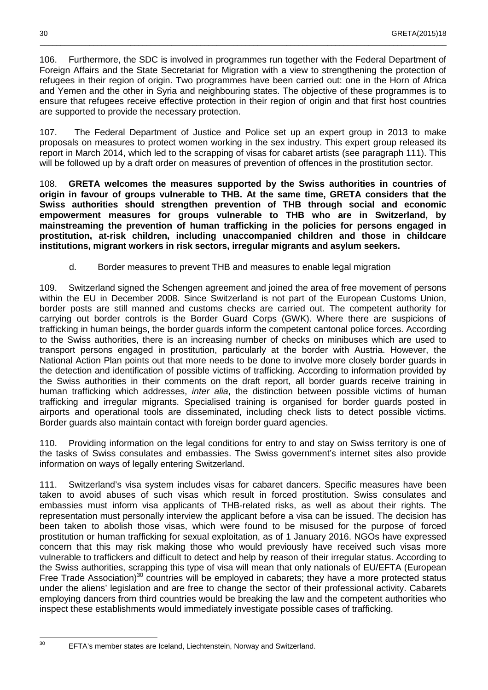106. Furthermore, the SDC is involved in programmes run together with the Federal Department of Foreign Affairs and the State Secretariat for Migration with a view to strengthening the protection of refugees in their region of origin. Two programmes have been carried out: one in the Horn of Africa and Yemen and the other in Syria and neighbouring states. The objective of these programmes is to ensure that refugees receive effective protection in their region of origin and that first host countries are supported to provide the necessary protection.

\_\_\_\_\_\_\_\_\_\_\_\_\_\_\_\_\_\_\_\_\_\_\_\_\_\_\_\_\_\_\_\_\_\_\_\_\_\_\_\_\_\_\_\_\_\_\_\_\_\_\_\_\_\_\_\_\_\_\_\_\_\_\_\_\_\_\_\_\_\_\_\_\_\_\_\_\_\_\_\_\_\_\_\_\_\_\_\_\_\_\_\_\_\_\_\_\_\_\_

107. The Federal Department of Justice and Police set up an expert group in 2013 to make proposals on measures to protect women working in the sex industry. This expert group released its report in March 2014, which led to the scrapping of visas for cabaret artists (see paragraph 111). This will be followed up by a draft order on measures of prevention of offences in the prostitution sector.

108. **GRETA welcomes the measures supported by the Swiss authorities in countries of origin in favour of groups vulnerable to THB. At the same time, GRETA considers that the Swiss authorities should strengthen prevention of THB through social and economic empowerment measures for groups vulnerable to THB who are in Switzerland, by mainstreaming the prevention of human trafficking in the policies for persons engaged in prostitution, at-risk children, including unaccompanied children and those in childcare institutions, migrant workers in risk sectors, irregular migrants and asylum seekers.** 

d. Border measures to prevent THB and measures to enable legal migration

109. Switzerland signed the Schengen agreement and joined the area of free movement of persons within the EU in December 2008. Since Switzerland is not part of the European Customs Union, border posts are still manned and customs checks are carried out. The competent authority for carrying out border controls is the Border Guard Corps (GWK). Where there are suspicions of trafficking in human beings, the border guards inform the competent cantonal police forces. According to the Swiss authorities, there is an increasing number of checks on minibuses which are used to transport persons engaged in prostitution, particularly at the border with Austria. However, the National Action Plan points out that more needs to be done to involve more closely border guards in the detection and identification of possible victims of trafficking. According to information provided by the Swiss authorities in their comments on the draft report, all border guards receive training in human trafficking which addresses, *inter alia*, the distinction between possible victims of human trafficking and irregular migrants. Specialised training is organised for border guards posted in airports and operational tools are disseminated, including check lists to detect possible victims. Border guards also maintain contact with foreign border guard agencies.

110. Providing information on the legal conditions for entry to and stay on Swiss territory is one of the tasks of Swiss consulates and embassies. The Swiss government's internet sites also provide information on ways of legally entering Switzerland.

111. Switzerland's visa system includes visas for cabaret dancers. Specific measures have been taken to avoid abuses of such visas which result in forced prostitution. Swiss consulates and embassies must inform visa applicants of THB-related risks, as well as about their rights. The representation must personally interview the applicant before a visa can be issued. The decision has been taken to abolish those visas, which were found to be misused for the purpose of forced prostitution or human trafficking for sexual exploitation, as of 1 January 2016. NGOs have expressed concern that this may risk making those who would previously have received such visas more vulnerable to traffickers and difficult to detect and help by reason of their irregular status. According to the Swiss authorities, scrapping this type of visa will mean that only nationals of EU/EFTA (European Free Trade Association)<sup>30</sup> countries will be employed in cabarets; they have a more protected status under the aliens' legislation and are free to change the sector of their professional activity. Cabarets employing dancers from third countries would be breaking the law and the competent authorities who inspect these establishments would immediately investigate possible cases of trafficking.

- $30$
- <sup>30</sup> EFTA's member states are Iceland, Liechtenstein, Norway and Switzerland.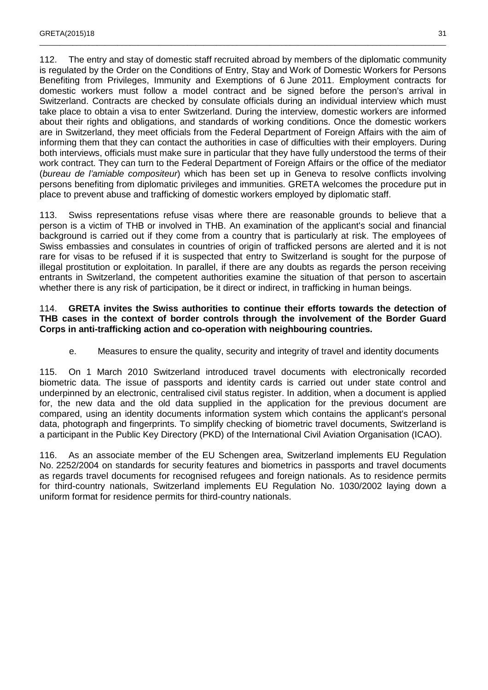112. The entry and stay of domestic staff recruited abroad by members of the diplomatic community is regulated by the Order on the Conditions of Entry, Stay and Work of Domestic Workers for Persons Benefiting from Privileges, Immunity and Exemptions of 6 June 2011. Employment contracts for domestic workers must follow a model contract and be signed before the person's arrival in Switzerland. Contracts are checked by consulate officials during an individual interview which must take place to obtain a visa to enter Switzerland. During the interview, domestic workers are informed about their rights and obligations, and standards of working conditions. Once the domestic workers are in Switzerland, they meet officials from the Federal Department of Foreign Affairs with the aim of informing them that they can contact the authorities in case of difficulties with their employers. During both interviews, officials must make sure in particular that they have fully understood the terms of their work contract. They can turn to the Federal Department of Foreign Affairs or the office of the mediator (bureau de l'amiable compositeur) which has been set up in Geneva to resolve conflicts involving persons benefiting from diplomatic privileges and immunities. GRETA welcomes the procedure put in place to prevent abuse and trafficking of domestic workers employed by diplomatic staff.

\_\_\_\_\_\_\_\_\_\_\_\_\_\_\_\_\_\_\_\_\_\_\_\_\_\_\_\_\_\_\_\_\_\_\_\_\_\_\_\_\_\_\_\_\_\_\_\_\_\_\_\_\_\_\_\_\_\_\_\_\_\_\_\_\_\_\_\_\_\_\_\_\_\_\_\_\_\_\_\_\_\_\_\_\_\_\_\_\_\_\_\_\_\_\_\_\_\_\_

113. Swiss representations refuse visas where there are reasonable grounds to believe that a person is a victim of THB or involved in THB. An examination of the applicant's social and financial background is carried out if they come from a country that is particularly at risk. The employees of Swiss embassies and consulates in countries of origin of trafficked persons are alerted and it is not rare for visas to be refused if it is suspected that entry to Switzerland is sought for the purpose of illegal prostitution or exploitation. In parallel, if there are any doubts as regards the person receiving entrants in Switzerland, the competent authorities examine the situation of that person to ascertain whether there is any risk of participation, be it direct or indirect, in trafficking in human beings.

#### 114. **GRETA invites the Swiss authorities to continue their efforts towards the detection of THB cases in the context of border controls through the involvement of the Border Guard Corps in anti-trafficking action and co-operation with neighbouring countries.**

e. Measures to ensure the quality, security and integrity of travel and identity documents

115. On 1 March 2010 Switzerland introduced travel documents with electronically recorded biometric data. The issue of passports and identity cards is carried out under state control and underpinned by an electronic, centralised civil status register. In addition, when a document is applied for, the new data and the old data supplied in the application for the previous document are compared, using an identity documents information system which contains the applicant's personal data, photograph and fingerprints. To simplify checking of biometric travel documents, Switzerland is a participant in the Public Key Directory (PKD) of the International Civil Aviation Organisation (ICAO).

116. As an associate member of the EU Schengen area, Switzerland implements EU Regulation No. 2252/2004 on standards for security features and biometrics in passports and travel documents as regards travel documents for recognised refugees and foreign nationals. As to residence permits for third-country nationals, Switzerland implements EU Regulation No. 1030/2002 laying down a uniform format for residence permits for third-country nationals.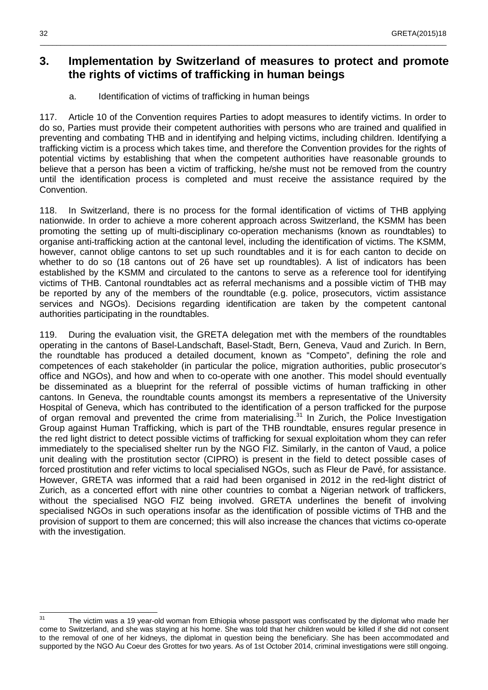### **3. Implementation by Switzerland of measures to protect and promote the rights of victims of trafficking in human beings**

\_\_\_\_\_\_\_\_\_\_\_\_\_\_\_\_\_\_\_\_\_\_\_\_\_\_\_\_\_\_\_\_\_\_\_\_\_\_\_\_\_\_\_\_\_\_\_\_\_\_\_\_\_\_\_\_\_\_\_\_\_\_\_\_\_\_\_\_\_\_\_\_\_\_\_\_\_\_\_\_\_\_\_\_\_\_\_\_\_\_\_\_\_\_\_\_\_\_\_

a. Identification of victims of trafficking in human beings

117. Article 10 of the Convention requires Parties to adopt measures to identify victims. In order to do so, Parties must provide their competent authorities with persons who are trained and qualified in preventing and combating THB and in identifying and helping victims, including children. Identifying a trafficking victim is a process which takes time, and therefore the Convention provides for the rights of potential victims by establishing that when the competent authorities have reasonable grounds to believe that a person has been a victim of trafficking, he/she must not be removed from the country until the identification process is completed and must receive the assistance required by the Convention.

118. In Switzerland, there is no process for the formal identification of victims of THB applying nationwide. In order to achieve a more coherent approach across Switzerland, the KSMM has been promoting the setting up of multi-disciplinary co-operation mechanisms (known as roundtables) to organise anti-trafficking action at the cantonal level, including the identification of victims. The KSMM, however, cannot oblige cantons to set up such roundtables and it is for each canton to decide on whether to do so (18 cantons out of 26 have set up roundtables). A list of indicators has been established by the KSMM and circulated to the cantons to serve as a reference tool for identifying victims of THB. Cantonal roundtables act as referral mechanisms and a possible victim of THB may be reported by any of the members of the roundtable (e.g. police, prosecutors, victim assistance services and NGOs). Decisions regarding identification are taken by the competent cantonal authorities participating in the roundtables.

119. During the evaluation visit, the GRETA delegation met with the members of the roundtables operating in the cantons of Basel-Landschaft, Basel-Stadt, Bern, Geneva, Vaud and Zurich. In Bern, the roundtable has produced a detailed document, known as "Competo", defining the role and competences of each stakeholder (in particular the police, migration authorities, public prosecutor's office and NGOs), and how and when to co-operate with one another. This model should eventually be disseminated as a blueprint for the referral of possible victims of human trafficking in other cantons. In Geneva, the roundtable counts amongst its members a representative of the University Hospital of Geneva, which has contributed to the identification of a person trafficked for the purpose of organ removal and prevented the crime from materialising. $31$  In Zurich, the Police Investigation Group against Human Trafficking, which is part of the THB roundtable, ensures regular presence in the red light district to detect possible victims of trafficking for sexual exploitation whom they can refer immediately to the specialised shelter run by the NGO FIZ. Similarly, in the canton of Vaud, a police unit dealing with the prostitution sector (CIPRO) is present in the field to detect possible cases of forced prostitution and refer victims to local specialised NGOs, such as Fleur de Pavé, for assistance. However, GRETA was informed that a raid had been organised in 2012 in the red-light district of Zurich, as a concerted effort with nine other countries to combat a Nigerian network of traffickers, without the specialised NGO FIZ being involved. GRETA underlines the benefit of involving specialised NGOs in such operations insofar as the identification of possible victims of THB and the provision of support to them are concerned; this will also increase the chances that victims co-operate with the investigation.

 $31$ The victim was a 19 year-old woman from Ethiopia whose passport was confiscated by the diplomat who made her come to Switzerland, and she was staying at his home. She was told that her children would be killed if she did not consent to the removal of one of her kidneys, the diplomat in question being the beneficiary. She has been accommodated and supported by the NGO Au Coeur des Grottes for two years. As of 1st October 2014, criminal investigations were still ongoing.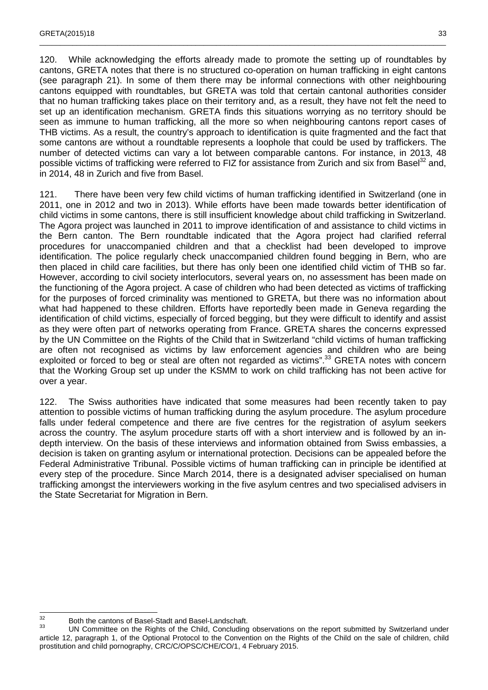120. While acknowledging the efforts already made to promote the setting up of roundtables by cantons, GRETA notes that there is no structured co-operation on human trafficking in eight cantons (see paragraph 21). In some of them there may be informal connections with other neighbouring cantons equipped with roundtables, but GRETA was told that certain cantonal authorities consider that no human trafficking takes place on their territory and, as a result, they have not felt the need to set up an identification mechanism. GRETA finds this situations worrying as no territory should be seen as immune to human trafficking, all the more so when neighbouring cantons report cases of THB victims. As a result, the country's approach to identification is quite fragmented and the fact that some cantons are without a roundtable represents a loophole that could be used by traffickers. The number of detected victims can vary a lot between comparable cantons. For instance, in 2013, 48 possible victims of trafficking were referred to FIZ for assistance from Zurich and six from Basel<sup>32</sup> and, in 2014, 48 in Zurich and five from Basel.

\_\_\_\_\_\_\_\_\_\_\_\_\_\_\_\_\_\_\_\_\_\_\_\_\_\_\_\_\_\_\_\_\_\_\_\_\_\_\_\_\_\_\_\_\_\_\_\_\_\_\_\_\_\_\_\_\_\_\_\_\_\_\_\_\_\_\_\_\_\_\_\_\_\_\_\_\_\_\_\_\_\_\_\_\_\_\_\_\_\_\_\_\_\_\_\_\_\_\_

121. There have been very few child victims of human trafficking identified in Switzerland (one in 2011, one in 2012 and two in 2013). While efforts have been made towards better identification of child victims in some cantons, there is still insufficient knowledge about child trafficking in Switzerland. The Agora project was launched in 2011 to improve identification of and assistance to child victims in the Bern canton. The Bern roundtable indicated that the Agora project had clarified referral procedures for unaccompanied children and that a checklist had been developed to improve identification. The police regularly check unaccompanied children found begging in Bern, who are then placed in child care facilities, but there has only been one identified child victim of THB so far. However, according to civil society interlocutors, several years on, no assessment has been made on the functioning of the Agora project. A case of children who had been detected as victims of trafficking for the purposes of forced criminality was mentioned to GRETA, but there was no information about what had happened to these children. Efforts have reportedly been made in Geneva regarding the identification of child victims, especially of forced begging, but they were difficult to identify and assist as they were often part of networks operating from France. GRETA shares the concerns expressed by the UN Committee on the Rights of the Child that in Switzerland "child victims of human trafficking are often not recognised as victims by law enforcement agencies and children who are being exploited or forced to beg or steal are often not regarded as victims".<sup>33</sup> GRETA notes with concern that the Working Group set up under the KSMM to work on child trafficking has not been active for over a year.

122. The Swiss authorities have indicated that some measures had been recently taken to pay attention to possible victims of human trafficking during the asylum procedure. The asylum procedure falls under federal competence and there are five centres for the registration of asylum seekers across the country. The asylum procedure starts off with a short interview and is followed by an indepth interview. On the basis of these interviews and information obtained from Swiss embassies, a decision is taken on granting asylum or international protection. Decisions can be appealed before the Federal Administrative Tribunal. Possible victims of human trafficking can in principle be identified at every step of the procedure. Since March 2014, there is a designated adviser specialised on human trafficking amongst the interviewers working in the five asylum centres and two specialised advisers in the State Secretariat for Migration in Bern.

 $32$  $\frac{32}{33}$  Both the cantons of Basel-Stadt and Basel-Landschaft.

UN Committee on the Rights of the Child, Concluding observations on the report submitted by Switzerland under article 12, paragraph 1, of the Optional Protocol to the Convention on the Rights of the Child on the sale of children, child prostitution and child pornography, CRC/C/OPSC/CHE/CO/1, 4 February 2015.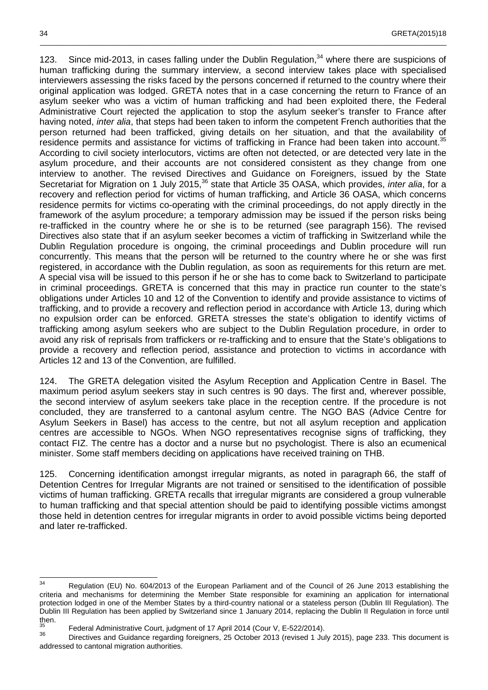123. Since mid-2013, in cases falling under the Dublin Regulation,<sup>34</sup> where there are suspicions of human trafficking during the summary interview, a second interview takes place with specialised interviewers assessing the risks faced by the persons concerned if returned to the country where their original application was lodged. GRETA notes that in a case concerning the return to France of an asylum seeker who was a victim of human trafficking and had been exploited there, the Federal Administrative Court rejected the application to stop the asylum seeker's transfer to France after having noted, *inter alia*, that steps had been taken to inform the competent French authorities that the person returned had been trafficked, giving details on her situation, and that the availability of residence permits and assistance for victims of trafficking in France had been taken into account.<sup>35</sup> According to civil society interlocutors, victims are often not detected, or are detected very late in the asylum procedure, and their accounts are not considered consistent as they change from one interview to another. The revised Directives and Guidance on Foreigners, issued by the State Secretariat for Migration on 1 July 2015,<sup>36</sup> state that Article 35 OASA, which provides, inter alia, for a recovery and reflection period for victims of human trafficking, and Article 36 OASA, which concerns residence permits for victims co-operating with the criminal proceedings, do not apply directly in the framework of the asylum procedure; a temporary admission may be issued if the person risks being re-trafficked in the country where he or she is to be returned (see paragraph 156). The revised Directives also state that if an asylum seeker becomes a victim of trafficking in Switzerland while the Dublin Regulation procedure is ongoing, the criminal proceedings and Dublin procedure will run concurrently. This means that the person will be returned to the country where he or she was first registered, in accordance with the Dublin regulation, as soon as requirements for this return are met. A special visa will be issued to this person if he or she has to come back to Switzerland to participate in criminal proceedings. GRETA is concerned that this may in practice run counter to the state's obligations under Articles 10 and 12 of the Convention to identify and provide assistance to victims of trafficking, and to provide a recovery and reflection period in accordance with Article 13, during which no expulsion order can be enforced. GRETA stresses the state's obligation to identify victims of trafficking among asylum seekers who are subject to the Dublin Regulation procedure, in order to avoid any risk of reprisals from traffickers or re-trafficking and to ensure that the State's obligations to provide a recovery and reflection period, assistance and protection to victims in accordance with Articles 12 and 13 of the Convention, are fulfilled.

\_\_\_\_\_\_\_\_\_\_\_\_\_\_\_\_\_\_\_\_\_\_\_\_\_\_\_\_\_\_\_\_\_\_\_\_\_\_\_\_\_\_\_\_\_\_\_\_\_\_\_\_\_\_\_\_\_\_\_\_\_\_\_\_\_\_\_\_\_\_\_\_\_\_\_\_\_\_\_\_\_\_\_\_\_\_\_\_\_\_\_\_\_\_\_\_\_\_\_

124. The GRETA delegation visited the Asylum Reception and Application Centre in Basel. The maximum period asylum seekers stay in such centres is 90 days. The first and, wherever possible, the second interview of asylum seekers take place in the reception centre. If the procedure is not concluded, they are transferred to a cantonal asylum centre. The NGO BAS (Advice Centre for Asylum Seekers in Basel) has access to the centre, but not all asylum reception and application centres are accessible to NGOs. When NGO representatives recognise signs of trafficking, they contact FIZ. The centre has a doctor and a nurse but no psychologist. There is also an ecumenical minister. Some staff members deciding on applications have received training on THB.

125. Concerning identification amongst irregular migrants, as noted in paragraph 66, the staff of Detention Centres for Irregular Migrants are not trained or sensitised to the identification of possible victims of human trafficking. GRETA recalls that irregular migrants are considered a group vulnerable to human trafficking and that special attention should be paid to identifying possible victims amongst those held in detention centres for irregular migrants in order to avoid possible victims being deported and later re-trafficked.

 $34$ Regulation (EU) No. 604/2013 of the European Parliament and of the Council of 26 June 2013 establishing the criteria and mechanisms for determining the Member State responsible for examining an application for international protection lodged in one of the Member States by a third-country national or a stateless person (Dublin III Regulation). The Dublin III Regulation has been applied by Switzerland since 1 January 2014, replacing the Dublin II Regulation in force until then.

Federal Administrative Court, judgment of 17 April 2014 (Cour V, E-522/2014).

<sup>36</sup> Directives and Guidance regarding foreigners, 25 October 2013 (revised 1 July 2015), page 233. This document is addressed to cantonal migration authorities.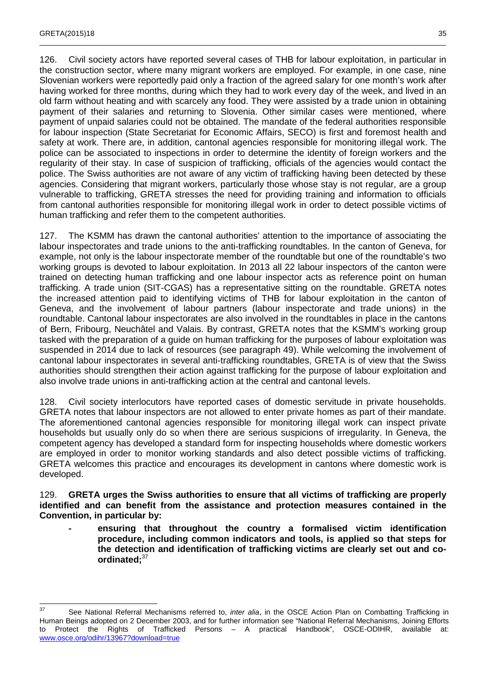126. Civil society actors have reported several cases of THB for labour exploitation, in particular in the construction sector, where many migrant workers are employed. For example, in one case, nine Slovenian workers were reportedly paid only a fraction of the agreed salary for one month's work after having worked for three months, during which they had to work every day of the week, and lived in an old farm without heating and with scarcely any food. They were assisted by a trade union in obtaining payment of their salaries and returning to Slovenia. Other similar cases were mentioned, where payment of unpaid salaries could not be obtained. The mandate of the federal authorities responsible for labour inspection (State Secretariat for Economic Affairs, SECO) is first and foremost health and safety at work. There are, in addition, cantonal agencies responsible for monitoring illegal work. The police can be associated to inspections in order to determine the identity of foreign workers and the regularity of their stay. In case of suspicion of trafficking, officials of the agencies would contact the police. The Swiss authorities are not aware of any victim of trafficking having been detected by these agencies. Considering that migrant workers, particularly those whose stay is not regular, are a group vulnerable to trafficking, GRETA stresses the need for providing training and information to officials from cantonal authorities responsible for monitoring illegal work in order to detect possible victims of human trafficking and refer them to the competent authorities.

\_\_\_\_\_\_\_\_\_\_\_\_\_\_\_\_\_\_\_\_\_\_\_\_\_\_\_\_\_\_\_\_\_\_\_\_\_\_\_\_\_\_\_\_\_\_\_\_\_\_\_\_\_\_\_\_\_\_\_\_\_\_\_\_\_\_\_\_\_\_\_\_\_\_\_\_\_\_\_\_\_\_\_\_\_\_\_\_\_\_\_\_\_\_\_\_\_\_\_

127. The KSMM has drawn the cantonal authorities' attention to the importance of associating the labour inspectorates and trade unions to the anti-trafficking roundtables. In the canton of Geneva, for example, not only is the labour inspectorate member of the roundtable but one of the roundtable's two working groups is devoted to labour exploitation. In 2013 all 22 labour inspectors of the canton were trained on detecting human trafficking and one labour inspector acts as reference point on human trafficking. A trade union (SIT-CGAS) has a representative sitting on the roundtable. GRETA notes the increased attention paid to identifying victims of THB for labour exploitation in the canton of Geneva, and the involvement of labour partners (labour inspectorate and trade unions) in the roundtable. Cantonal labour inspectorates are also involved in the roundtables in place in the cantons of Bern, Fribourg, Neuchâtel and Valais. By contrast, GRETA notes that the KSMM's working group tasked with the preparation of a guide on human trafficking for the purposes of labour exploitation was suspended in 2014 due to lack of resources (see paragraph 49). While welcoming the involvement of cantonal labour inspectorates in several anti-trafficking roundtables, GRETA is of view that the Swiss authorities should strengthen their action against trafficking for the purpose of labour exploitation and also involve trade unions in anti-trafficking action at the central and cantonal levels.

128. Civil society interlocutors have reported cases of domestic servitude in private households. GRETA notes that labour inspectors are not allowed to enter private homes as part of their mandate. The aforementioned cantonal agencies responsible for monitoring illegal work can inspect private households but usually only do so when there are serious suspicions of irregularity. In Geneva, the competent agency has developed a standard form for inspecting households where domestic workers are employed in order to monitor working standards and also detect possible victims of trafficking. GRETA welcomes this practice and encourages its development in cantons where domestic work is developed.

129. **GRETA urges the Swiss authorities to ensure that all victims of trafficking are properly identified and can benefit from the assistance and protection measures contained in the Convention, in particular by:** 

**- ensuring that throughout the country a formalised victim identification procedure, including common indicators and tools, is applied so that steps for the detection and identification of trafficking victims are clearly set out and coordinated;**<sup>37</sup>

 $37$ See National Referral Mechanisms referred to, inter alia, in the OSCE Action Plan on Combatting Trafficking in Human Beings adopted on 2 December 2003, and for further information see "National Referral Mechanisms, Joining Efforts to Protect the Rights of Trafficked Persons – A practical Handbook", OSCE-ODIHR, available at: www.osce.org/odihr/13967?download=true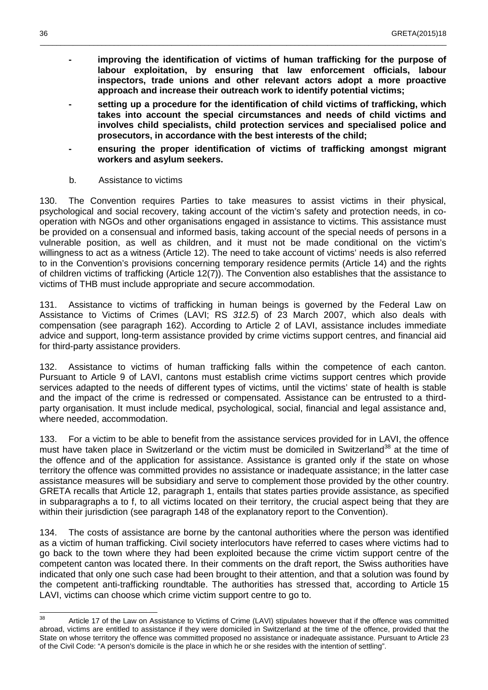**- improving the identification of victims of human trafficking for the purpose of labour exploitation, by ensuring that law enforcement officials, labour inspectors, trade unions and other relevant actors adopt a more proactive approach and increase their outreach work to identify potential victims;** 

\_\_\_\_\_\_\_\_\_\_\_\_\_\_\_\_\_\_\_\_\_\_\_\_\_\_\_\_\_\_\_\_\_\_\_\_\_\_\_\_\_\_\_\_\_\_\_\_\_\_\_\_\_\_\_\_\_\_\_\_\_\_\_\_\_\_\_\_\_\_\_\_\_\_\_\_\_\_\_\_\_\_\_\_\_\_\_\_\_\_\_\_\_\_\_\_\_\_\_

- **setting up a procedure for the identification of child victims of trafficking, which takes into account the special circumstances and needs of child victims and involves child specialists, child protection services and specialised police and prosecutors, in accordance with the best interests of the child;**
- **ensuring the proper identification of victims of trafficking amongst migrant workers and asylum seekers.**
- b. Assistance to victims

130. The Convention requires Parties to take measures to assist victims in their physical, psychological and social recovery, taking account of the victim's safety and protection needs, in cooperation with NGOs and other organisations engaged in assistance to victims. This assistance must be provided on a consensual and informed basis, taking account of the special needs of persons in a vulnerable position, as well as children, and it must not be made conditional on the victim's willingness to act as a witness (Article 12). The need to take account of victims' needs is also referred to in the Convention's provisions concerning temporary residence permits (Article 14) and the rights of children victims of trafficking (Article 12(7)). The Convention also establishes that the assistance to victims of THB must include appropriate and secure accommodation.

131. Assistance to victims of trafficking in human beings is governed by the Federal Law on Assistance to Victims of Crimes (LAVI; RS 312.5) of 23 March 2007, which also deals with compensation (see paragraph 162). According to Article 2 of LAVI, assistance includes immediate advice and support, long-term assistance provided by crime victims support centres, and financial aid for third-party assistance providers.

132. Assistance to victims of human trafficking falls within the competence of each canton. Pursuant to Article 9 of LAVI, cantons must establish crime victims support centres which provide services adapted to the needs of different types of victims, until the victims' state of health is stable and the impact of the crime is redressed or compensated. Assistance can be entrusted to a thirdparty organisation. It must include medical, psychological, social, financial and legal assistance and, where needed, accommodation.

133. For a victim to be able to benefit from the assistance services provided for in LAVI, the offence must have taken place in Switzerland or the victim must be domiciled in Switzerland<sup>38</sup> at the time of the offence and of the application for assistance. Assistance is granted only if the state on whose territory the offence was committed provides no assistance or inadequate assistance; in the latter case assistance measures will be subsidiary and serve to complement those provided by the other country. GRETA recalls that Article 12, paragraph 1, entails that states parties provide assistance, as specified in subparagraphs a to f, to all victims located on their territory, the crucial aspect being that they are within their jurisdiction (see paragraph 148 of the explanatory report to the Convention).

134. The costs of assistance are borne by the cantonal authorities where the person was identified as a victim of human trafficking. Civil society interlocutors have referred to cases where victims had to go back to the town where they had been exploited because the crime victim support centre of the competent canton was located there. In their comments on the draft report, the Swiss authorities have indicated that only one such case had been brought to their attention, and that a solution was found by the competent anti-trafficking roundtable. The authorities has stressed that, according to Article 15 LAVI, victims can choose which crime victim support centre to go to.

<sup>38</sup> Article 17 of the Law on Assistance to Victims of Crime (LAVI) stipulates however that if the offence was committed abroad, victims are entitled to assistance if they were domiciled in Switzerland at the time of the offence, provided that the State on whose territory the offence was committed proposed no assistance or inadequate assistance. Pursuant to Article 23 of the Civil Code: "A person's domicile is the place in which he or she resides with the intention of settling".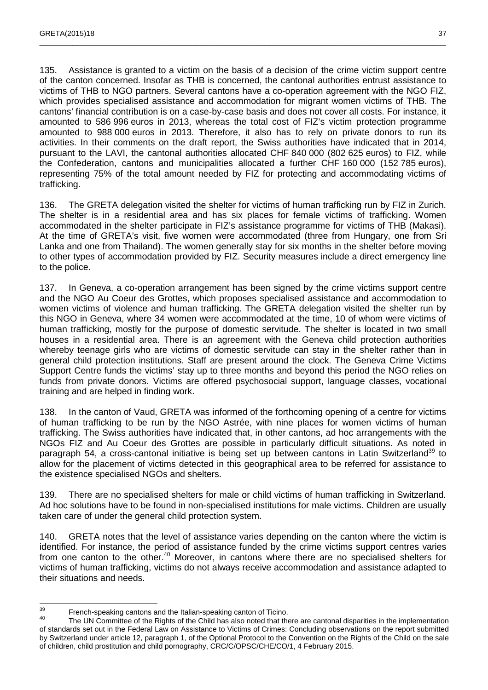135. Assistance is granted to a victim on the basis of a decision of the crime victim support centre of the canton concerned. Insofar as THB is concerned, the cantonal authorities entrust assistance to victims of THB to NGO partners. Several cantons have a co-operation agreement with the NGO FIZ, which provides specialised assistance and accommodation for migrant women victims of THB. The cantons' financial contribution is on a case-by-case basis and does not cover all costs. For instance, it amounted to 586 996 euros in 2013, whereas the total cost of FIZ's victim protection programme amounted to 988 000 euros in 2013. Therefore, it also has to rely on private donors to run its activities. In their comments on the draft report, the Swiss authorities have indicated that in 2014, pursuant to the LAVI, the cantonal authorities allocated CHF 840 000 (802 625 euros) to FIZ, while the Confederation, cantons and municipalities allocated a further CHF 160 000 (152 785 euros), representing 75% of the total amount needed by FIZ for protecting and accommodating victims of trafficking.

\_\_\_\_\_\_\_\_\_\_\_\_\_\_\_\_\_\_\_\_\_\_\_\_\_\_\_\_\_\_\_\_\_\_\_\_\_\_\_\_\_\_\_\_\_\_\_\_\_\_\_\_\_\_\_\_\_\_\_\_\_\_\_\_\_\_\_\_\_\_\_\_\_\_\_\_\_\_\_\_\_\_\_\_\_\_\_\_\_\_\_\_\_\_\_\_\_\_\_

136. The GRETA delegation visited the shelter for victims of human trafficking run by FIZ in Zurich. The shelter is in a residential area and has six places for female victims of trafficking. Women accommodated in the shelter participate in FIZ's assistance programme for victims of THB (Makasi). At the time of GRETA's visit, five women were accommodated (three from Hungary, one from Sri Lanka and one from Thailand). The women generally stay for six months in the shelter before moving to other types of accommodation provided by FIZ. Security measures include a direct emergency line to the police.

137. In Geneva, a co-operation arrangement has been signed by the crime victims support centre and the NGO Au Coeur des Grottes, which proposes specialised assistance and accommodation to women victims of violence and human trafficking. The GRETA delegation visited the shelter run by this NGO in Geneva, where 34 women were accommodated at the time, 10 of whom were victims of human trafficking, mostly for the purpose of domestic servitude. The shelter is located in two small houses in a residential area. There is an agreement with the Geneva child protection authorities whereby teenage girls who are victims of domestic servitude can stay in the shelter rather than in general child protection institutions. Staff are present around the clock. The Geneva Crime Victims Support Centre funds the victims' stay up to three months and beyond this period the NGO relies on funds from private donors. Victims are offered psychosocial support, language classes, vocational training and are helped in finding work.

138. In the canton of Vaud, GRETA was informed of the forthcoming opening of a centre for victims of human trafficking to be run by the NGO Astrée, with nine places for women victims of human trafficking. The Swiss authorities have indicated that, in other cantons, ad hoc arrangements with the NGOs FIZ and Au Coeur des Grottes are possible in particularly difficult situations. As noted in paragraph 54, a cross-cantonal initiative is being set up between cantons in Latin Switzerland<sup>39</sup> to allow for the placement of victims detected in this geographical area to be referred for assistance to the existence specialised NGOs and shelters.

139. There are no specialised shelters for male or child victims of human trafficking in Switzerland. Ad hoc solutions have to be found in non-specialised institutions for male victims. Children are usually taken care of under the general child protection system.

140. GRETA notes that the level of assistance varies depending on the canton where the victim is identified. For instance, the period of assistance funded by the crime victims support centres varies from one canton to the other.<sup>40</sup> Moreover, in cantons where there are no specialised shelters for victims of human trafficking, victims do not always receive accommodation and assistance adapted to their situations and needs.

<sup>39</sup>  $39$  French-speaking cantons and the Italian-speaking canton of Ticino.

The UN Committee of the Rights of the Child has also noted that there are cantonal disparities in the implementation of standards set out in the Federal Law on Assistance to Victims of Crimes: Concluding observations on the report submitted by Switzerland under article 12, paragraph 1, of the Optional Protocol to the Convention on the Rights of the Child on the sale of children, child prostitution and child pornography, CRC/C/OPSC/CHE/CO/1, 4 February 2015.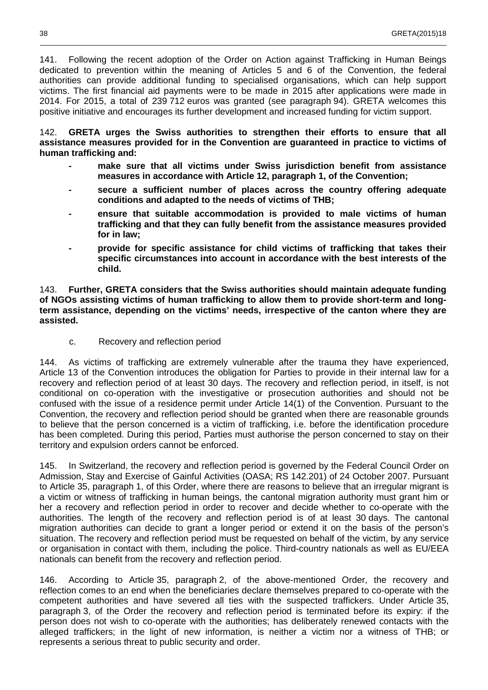141. Following the recent adoption of the Order on Action against Trafficking in Human Beings dedicated to prevention within the meaning of Articles 5 and 6 of the Convention, the federal authorities can provide additional funding to specialised organisations, which can help support victims. The first financial aid payments were to be made in 2015 after applications were made in 2014. For 2015, a total of 239 712 euros was granted (see paragraph 94). GRETA welcomes this positive initiative and encourages its further development and increased funding for victim support.

\_\_\_\_\_\_\_\_\_\_\_\_\_\_\_\_\_\_\_\_\_\_\_\_\_\_\_\_\_\_\_\_\_\_\_\_\_\_\_\_\_\_\_\_\_\_\_\_\_\_\_\_\_\_\_\_\_\_\_\_\_\_\_\_\_\_\_\_\_\_\_\_\_\_\_\_\_\_\_\_\_\_\_\_\_\_\_\_\_\_\_\_\_\_\_\_\_\_\_

142. **GRETA urges the Swiss authorities to strengthen their efforts to ensure that all assistance measures provided for in the Convention are guaranteed in practice to victims of human trafficking and:**

- make sure that all victims under Swiss jurisdiction benefit from assistance **measures in accordance with Article 12, paragraph 1, of the Convention;**
- **secure a sufficient number of places across the country offering adequate conditions and adapted to the needs of victims of THB;**
- ensure that suitable accommodation is provided to male victims of human **trafficking and that they can fully benefit from the assistance measures provided for in law;**
- **provide for specific assistance for child victims of trafficking that takes their specific circumstances into account in accordance with the best interests of the child.**

143. **Further, GRETA considers that the Swiss authorities should maintain adequate funding of NGOs assisting victims of human trafficking to allow them to provide short-term and longterm assistance, depending on the victims' needs, irrespective of the canton where they are assisted.** 

c. Recovery and reflection period

144. As victims of trafficking are extremely vulnerable after the trauma they have experienced, Article 13 of the Convention introduces the obligation for Parties to provide in their internal law for a recovery and reflection period of at least 30 days. The recovery and reflection period, in itself, is not conditional on co-operation with the investigative or prosecution authorities and should not be confused with the issue of a residence permit under Article 14(1) of the Convention. Pursuant to the Convention, the recovery and reflection period should be granted when there are reasonable grounds to believe that the person concerned is a victim of trafficking, i.e. before the identification procedure has been completed. During this period, Parties must authorise the person concerned to stay on their territory and expulsion orders cannot be enforced.

145. In Switzerland, the recovery and reflection period is governed by the Federal Council Order on Admission, Stay and Exercise of Gainful Activities (OASA; RS 142.201) of 24 October 2007. Pursuant to Article 35, paragraph 1, of this Order, where there are reasons to believe that an irregular migrant is a victim or witness of trafficking in human beings, the cantonal migration authority must grant him or her a recovery and reflection period in order to recover and decide whether to co-operate with the authorities. The length of the recovery and reflection period is of at least 30 days. The cantonal migration authorities can decide to grant a longer period or extend it on the basis of the person's situation. The recovery and reflection period must be requested on behalf of the victim, by any service or organisation in contact with them, including the police. Third-country nationals as well as EU/EEA nationals can benefit from the recovery and reflection period.

146. According to Article 35, paragraph 2, of the above-mentioned Order, the recovery and reflection comes to an end when the beneficiaries declare themselves prepared to co-operate with the competent authorities and have severed all ties with the suspected traffickers. Under Article 35, paragraph 3, of the Order the recovery and reflection period is terminated before its expiry: if the person does not wish to co-operate with the authorities; has deliberately renewed contacts with the alleged traffickers; in the light of new information, is neither a victim nor a witness of THB; or represents a serious threat to public security and order.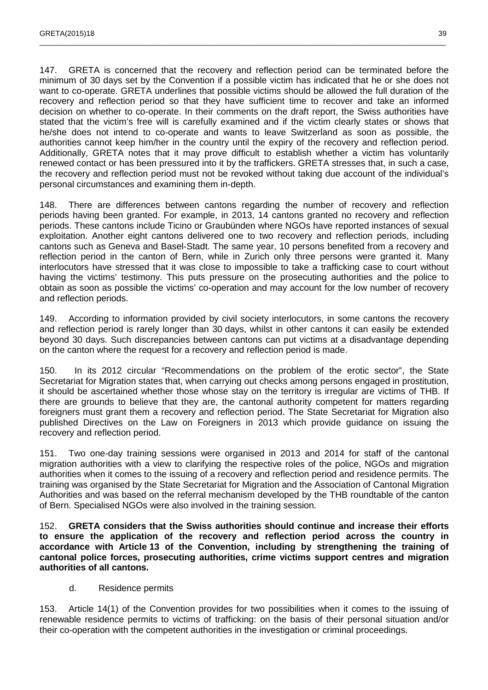147. GRETA is concerned that the recovery and reflection period can be terminated before the minimum of 30 days set by the Convention if a possible victim has indicated that he or she does not want to co-operate. GRETA underlines that possible victims should be allowed the full duration of the recovery and reflection period so that they have sufficient time to recover and take an informed decision on whether to co-operate. In their comments on the draft report, the Swiss authorities have stated that the victim's free will is carefully examined and if the victim clearly states or shows that he/she does not intend to co-operate and wants to leave Switzerland as soon as possible, the authorities cannot keep him/her in the country until the expiry of the recovery and reflection period. Additionally, GRETA notes that it may prove difficult to establish whether a victim has voluntarily renewed contact or has been pressured into it by the traffickers. GRETA stresses that, in such a case, the recovery and reflection period must not be revoked without taking due account of the individual's personal circumstances and examining them in-depth.

\_\_\_\_\_\_\_\_\_\_\_\_\_\_\_\_\_\_\_\_\_\_\_\_\_\_\_\_\_\_\_\_\_\_\_\_\_\_\_\_\_\_\_\_\_\_\_\_\_\_\_\_\_\_\_\_\_\_\_\_\_\_\_\_\_\_\_\_\_\_\_\_\_\_\_\_\_\_\_\_\_\_\_\_\_\_\_\_\_\_\_\_\_\_\_\_\_\_\_

148. There are differences between cantons regarding the number of recovery and reflection periods having been granted. For example, in 2013, 14 cantons granted no recovery and reflection periods. These cantons include Ticino or Graubünden where NGOs have reported instances of sexual exploitation. Another eight cantons delivered one to two recovery and reflection periods, including cantons such as Geneva and Basel-Stadt. The same year, 10 persons benefited from a recovery and reflection period in the canton of Bern, while in Zurich only three persons were granted it. Many interlocutors have stressed that it was close to impossible to take a trafficking case to court without having the victims' testimony. This puts pressure on the prosecuting authorities and the police to obtain as soon as possible the victims' co-operation and may account for the low number of recovery and reflection periods.

149. According to information provided by civil society interlocutors, in some cantons the recovery and reflection period is rarely longer than 30 days, whilst in other cantons it can easily be extended beyond 30 days. Such discrepancies between cantons can put victims at a disadvantage depending on the canton where the request for a recovery and reflection period is made.

150. In its 2012 circular "Recommendations on the problem of the erotic sector", the State Secretariat for Migration states that, when carrying out checks among persons engaged in prostitution, it should be ascertained whether those whose stay on the territory is irregular are victims of THB. If there are grounds to believe that they are, the cantonal authority competent for matters regarding foreigners must grant them a recovery and reflection period. The State Secretariat for Migration also published Directives on the Law on Foreigners in 2013 which provide guidance on issuing the recovery and reflection period.

151. Two one-day training sessions were organised in 2013 and 2014 for staff of the cantonal migration authorities with a view to clarifying the respective roles of the police, NGOs and migration authorities when it comes to the issuing of a recovery and reflection period and residence permits. The training was organised by the State Secretariat for Migration and the Association of Cantonal Migration Authorities and was based on the referral mechanism developed by the THB roundtable of the canton of Bern. Specialised NGOs were also involved in the training session.

152. **GRETA considers that the Swiss authorities should continue and increase their efforts to ensure the application of the recovery and reflection period across the country in accordance with Article 13 of the Convention, including by strengthening the training of cantonal police forces, prosecuting authorities, crime victims support centres and migration authorities of all cantons.** 

d. Residence permits

153. Article 14(1) of the Convention provides for two possibilities when it comes to the issuing of renewable residence permits to victims of trafficking: on the basis of their personal situation and/or their co-operation with the competent authorities in the investigation or criminal proceedings.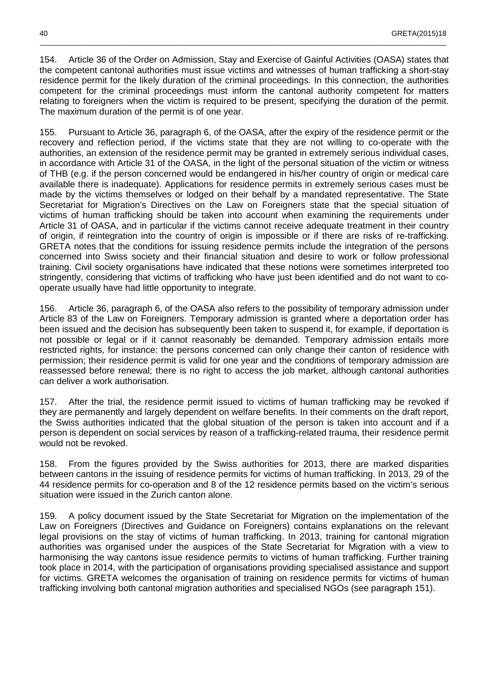154. Article 36 of the Order on Admission, Stay and Exercise of Gainful Activities (OASA) states that the competent cantonal authorities must issue victims and witnesses of human trafficking a short-stay residence permit for the likely duration of the criminal proceedings. In this connection, the authorities competent for the criminal proceedings must inform the cantonal authority competent for matters relating to foreigners when the victim is required to be present, specifying the duration of the permit. The maximum duration of the permit is of one year.

\_\_\_\_\_\_\_\_\_\_\_\_\_\_\_\_\_\_\_\_\_\_\_\_\_\_\_\_\_\_\_\_\_\_\_\_\_\_\_\_\_\_\_\_\_\_\_\_\_\_\_\_\_\_\_\_\_\_\_\_\_\_\_\_\_\_\_\_\_\_\_\_\_\_\_\_\_\_\_\_\_\_\_\_\_\_\_\_\_\_\_\_\_\_\_\_\_\_\_

155. Pursuant to Article 36, paragraph 6, of the OASA, after the expiry of the residence permit or the recovery and reflection period, if the victims state that they are not willing to co-operate with the authorities, an extension of the residence permit may be granted in extremely serious individual cases, in accordance with Article 31 of the OASA, in the light of the personal situation of the victim or witness of THB (e.g. if the person concerned would be endangered in his/her country of origin or medical care available there is inadequate). Applications for residence permits in extremely serious cases must be made by the victims themselves or lodged on their behalf by a mandated representative. The State Secretariat for Migration's Directives on the Law on Foreigners state that the special situation of victims of human trafficking should be taken into account when examining the requirements under Article 31 of OASA, and in particular if the victims cannot receive adequate treatment in their country of origin, if reintegration into the country of origin is impossible or if there are risks of re-trafficking. GRETA notes that the conditions for issuing residence permits include the integration of the persons concerned into Swiss society and their financial situation and desire to work or follow professional training. Civil society organisations have indicated that these notions were sometimes interpreted too stringently, considering that victims of trafficking who have just been identified and do not want to cooperate usually have had little opportunity to integrate.

156. Article 36, paragraph 6, of the OASA also refers to the possibility of temporary admission under Article 83 of the Law on Foreigners. Temporary admission is granted where a deportation order has been issued and the decision has subsequently been taken to suspend it, for example, if deportation is not possible or legal or if it cannot reasonably be demanded. Temporary admission entails more restricted rights, for instance: the persons concerned can only change their canton of residence with permission; their residence permit is valid for one year and the conditions of temporary admission are reassessed before renewal; there is no right to access the job market, although cantonal authorities can deliver a work authorisation.

157. After the trial, the residence permit issued to victims of human trafficking may be revoked if they are permanently and largely dependent on welfare benefits. In their comments on the draft report, the Swiss authorities indicated that the global situation of the person is taken into account and if a person is dependent on social services by reason of a trafficking-related trauma, their residence permit would not be revoked.

158. From the figures provided by the Swiss authorities for 2013, there are marked disparities between cantons in the issuing of residence permits for victims of human trafficking. In 2013, 29 of the 44 residence permits for co-operation and 8 of the 12 residence permits based on the victim's serious situation were issued in the Zurich canton alone.

159. A policy document issued by the State Secretariat for Migration on the implementation of the Law on Foreigners (Directives and Guidance on Foreigners) contains explanations on the relevant legal provisions on the stay of victims of human trafficking. In 2013, training for cantonal migration authorities was organised under the auspices of the State Secretariat for Migration with a view to harmonising the way cantons issue residence permits to victims of human trafficking. Further training took place in 2014, with the participation of organisations providing specialised assistance and support for victims. GRETA welcomes the organisation of training on residence permits for victims of human trafficking involving both cantonal migration authorities and specialised NGOs (see paragraph 151).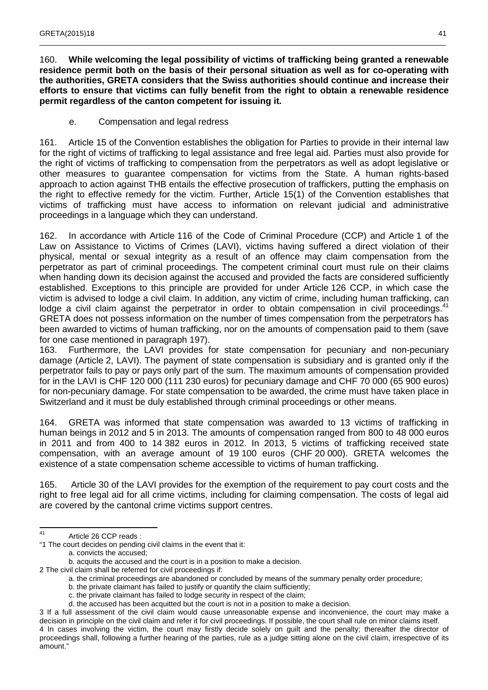160. **While welcoming the legal possibility of victims of trafficking being granted a renewable residence permit both on the basis of their personal situation as well as for co-operating with the authorities, GRETA considers that the Swiss authorities should continue and increase their efforts to ensure that victims can fully benefit from the right to obtain a renewable residence permit regardless of the canton competent for issuing it.**

\_\_\_\_\_\_\_\_\_\_\_\_\_\_\_\_\_\_\_\_\_\_\_\_\_\_\_\_\_\_\_\_\_\_\_\_\_\_\_\_\_\_\_\_\_\_\_\_\_\_\_\_\_\_\_\_\_\_\_\_\_\_\_\_\_\_\_\_\_\_\_\_\_\_\_\_\_\_\_\_\_\_\_\_\_\_\_\_\_\_\_\_\_\_\_\_\_\_\_

e. Compensation and legal redress

161. Article 15 of the Convention establishes the obligation for Parties to provide in their internal law for the right of victims of trafficking to legal assistance and free legal aid. Parties must also provide for the right of victims of trafficking to compensation from the perpetrators as well as adopt legislative or other measures to guarantee compensation for victims from the State. A human rights-based approach to action against THB entails the effective prosecution of traffickers, putting the emphasis on the right to effective remedy for the victim. Further, Article 15(1) of the Convention establishes that victims of trafficking must have access to information on relevant judicial and administrative proceedings in a language which they can understand.

162. In accordance with Article 116 of the Code of Criminal Procedure (CCP) and Article 1 of the Law on Assistance to Victims of Crimes (LAVI), victims having suffered a direct violation of their physical, mental or sexual integrity as a result of an offence may claim compensation from the perpetrator as part of criminal proceedings. The competent criminal court must rule on their claims when handing down its decision against the accused and provided the facts are considered sufficiently established. Exceptions to this principle are provided for under Article 126 CCP, in which case the victim is advised to lodge a civil claim. In addition, any victim of crime, including human trafficking, can lodge a civil claim against the perpetrator in order to obtain compensation in civil proceedings.<sup>41</sup> GRETA does not possess information on the number of times compensation from the perpetrators has been awarded to victims of human trafficking, nor on the amounts of compensation paid to them (save for one case mentioned in paragraph 197).

163. Furthermore, the LAVI provides for state compensation for pecuniary and non-pecuniary damage (Article 2, LAVI). The payment of state compensation is subsidiary and is granted only if the perpetrator fails to pay or pays only part of the sum. The maximum amounts of compensation provided for in the LAVI is CHF 120 000 (111 230 euros) for pecuniary damage and CHF 70 000 (65 900 euros) for non-pecuniary damage. For state compensation to be awarded, the crime must have taken place in Switzerland and it must be duly established through criminal proceedings or other means.

164. GRETA was informed that state compensation was awarded to 13 victims of trafficking in human beings in 2012 and 5 in 2013. The amounts of compensation ranged from 800 to 48 000 euros in 2011 and from 400 to 14 382 euros in 2012. In 2013, 5 victims of trafficking received state compensation, with an average amount of 19 100 euros (CHF 20 000). GRETA welcomes the existence of a state compensation scheme accessible to victims of human trafficking.

165. Article 30 of the LAVI provides for the exemption of the requirement to pay court costs and the right to free legal aid for all crime victims, including for claiming compensation. The costs of legal aid are covered by the cantonal crime victims support centres.

a. convicts the accused;

b. acquits the accused and the court is in a position to make a decision.

- 2 The civil claim shall be referred for civil proceedings if:
	- a. the criminal proceedings are abandoned or concluded by means of the summary penalty order procedure;
	- b. the private claimant has failed to justify or quantify the claim sufficiently;
	- c. the private claimant has failed to lodge security in respect of the claim;
	- d. the accused has been acquitted but the court is not in a position to make a decision.

<sup>41</sup> Article 26 CCP reads:

<sup>&</sup>quot;1 The court decides on pending civil claims in the event that it:

<sup>3</sup> If a full assessment of the civil claim would cause unreasonable expense and inconvenience, the court may make a decision in principle on the civil claim and refer it for civil proceedings. If possible, the court shall rule on minor claims itself. 4 In cases involving the victim, the court may firstly decide solely on guilt and the penalty; thereafter the director of proceedings shall, following a further hearing of the parties, rule as a judge sitting alone on the civil claim, irrespective of its amount."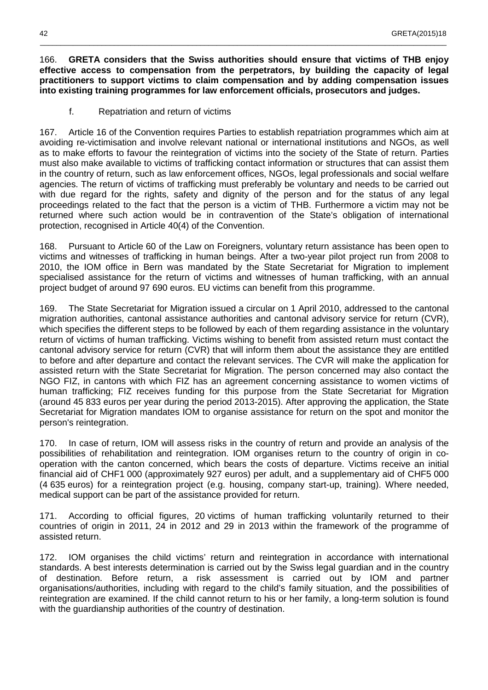166. **GRETA considers that the Swiss authorities should ensure that victims of THB enjoy effective access to compensation from the perpetrators, by building the capacity of legal practitioners to support victims to claim compensation and by adding compensation issues into existing training programmes for law enforcement officials, prosecutors and judges.**

\_\_\_\_\_\_\_\_\_\_\_\_\_\_\_\_\_\_\_\_\_\_\_\_\_\_\_\_\_\_\_\_\_\_\_\_\_\_\_\_\_\_\_\_\_\_\_\_\_\_\_\_\_\_\_\_\_\_\_\_\_\_\_\_\_\_\_\_\_\_\_\_\_\_\_\_\_\_\_\_\_\_\_\_\_\_\_\_\_\_\_\_\_\_\_\_\_\_\_

f. Repatriation and return of victims

167. Article 16 of the Convention requires Parties to establish repatriation programmes which aim at avoiding re-victimisation and involve relevant national or international institutions and NGOs, as well as to make efforts to favour the reintegration of victims into the society of the State of return. Parties must also make available to victims of trafficking contact information or structures that can assist them in the country of return, such as law enforcement offices, NGOs, legal professionals and social welfare agencies. The return of victims of trafficking must preferably be voluntary and needs to be carried out with due regard for the rights, safety and dignity of the person and for the status of any legal proceedings related to the fact that the person is a victim of THB. Furthermore a victim may not be returned where such action would be in contravention of the State's obligation of international protection, recognised in Article 40(4) of the Convention.

168. Pursuant to Article 60 of the Law on Foreigners, voluntary return assistance has been open to victims and witnesses of trafficking in human beings. After a two-year pilot project run from 2008 to 2010, the IOM office in Bern was mandated by the State Secretariat for Migration to implement specialised assistance for the return of victims and witnesses of human trafficking, with an annual project budget of around 97 690 euros. EU victims can benefit from this programme.

169. The State Secretariat for Migration issued a circular on 1 April 2010, addressed to the cantonal migration authorities, cantonal assistance authorities and cantonal advisory service for return (CVR), which specifies the different steps to be followed by each of them regarding assistance in the voluntary return of victims of human trafficking. Victims wishing to benefit from assisted return must contact the cantonal advisory service for return (CVR) that will inform them about the assistance they are entitled to before and after departure and contact the relevant services. The CVR will make the application for assisted return with the State Secretariat for Migration. The person concerned may also contact the NGO FIZ, in cantons with which FIZ has an agreement concerning assistance to women victims of human trafficking; FIZ receives funding for this purpose from the State Secretariat for Migration (around 45 833 euros per year during the period 2013-2015). After approving the application, the State Secretariat for Migration mandates IOM to organise assistance for return on the spot and monitor the person's reintegration.

170. In case of return, IOM will assess risks in the country of return and provide an analysis of the possibilities of rehabilitation and reintegration. IOM organises return to the country of origin in cooperation with the canton concerned, which bears the costs of departure. Victims receive an initial financial aid of CHF1 000 (approximately 927 euros) per adult, and a supplementary aid of CHF5 000 (4 635 euros) for a reintegration project (e.g. housing, company start-up, training). Where needed, medical support can be part of the assistance provided for return.

171. According to official figures, 20 victims of human trafficking voluntarily returned to their countries of origin in 2011, 24 in 2012 and 29 in 2013 within the framework of the programme of assisted return.

172. IOM organises the child victims' return and reintegration in accordance with international standards. A best interests determination is carried out by the Swiss legal guardian and in the country of destination. Before return, a risk assessment is carried out by IOM and partner organisations/authorities, including with regard to the child's family situation, and the possibilities of reintegration are examined. If the child cannot return to his or her family, a long-term solution is found with the guardianship authorities of the country of destination.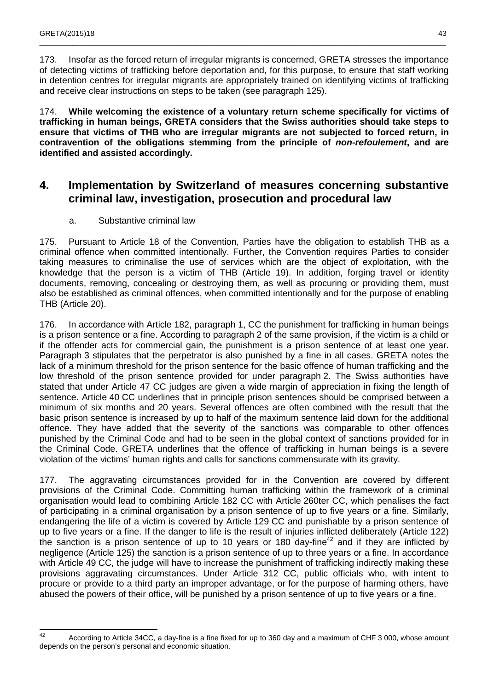173. Insofar as the forced return of irregular migrants is concerned, GRETA stresses the importance of detecting victims of trafficking before deportation and, for this purpose, to ensure that staff working in detention centres for irregular migrants are appropriately trained on identifying victims of trafficking and receive clear instructions on steps to be taken (see paragraph 125).

\_\_\_\_\_\_\_\_\_\_\_\_\_\_\_\_\_\_\_\_\_\_\_\_\_\_\_\_\_\_\_\_\_\_\_\_\_\_\_\_\_\_\_\_\_\_\_\_\_\_\_\_\_\_\_\_\_\_\_\_\_\_\_\_\_\_\_\_\_\_\_\_\_\_\_\_\_\_\_\_\_\_\_\_\_\_\_\_\_\_\_\_\_\_\_\_\_\_\_

174. **While welcoming the existence of a voluntary return scheme specifically for victims of trafficking in human beings, GRETA considers that the Swiss authorities should take steps to ensure that victims of THB who are irregular migrants are not subjected to forced return, in contravention of the obligations stemming from the principle of non-refoulement, and are identified and assisted accordingly.** 

### **4. Implementation by Switzerland of measures concerning substantive criminal law, investigation, prosecution and procedural law**

a. Substantive criminal law

175. Pursuant to Article 18 of the Convention, Parties have the obligation to establish THB as a criminal offence when committed intentionally. Further, the Convention requires Parties to consider taking measures to criminalise the use of services which are the object of exploitation, with the knowledge that the person is a victim of THB (Article 19). In addition, forging travel or identity documents, removing, concealing or destroying them, as well as procuring or providing them, must also be established as criminal offences, when committed intentionally and for the purpose of enabling THB (Article 20).

176. In accordance with Article 182, paragraph 1, CC the punishment for trafficking in human beings is a prison sentence or a fine. According to paragraph 2 of the same provision, if the victim is a child or if the offender acts for commercial gain, the punishment is a prison sentence of at least one year. Paragraph 3 stipulates that the perpetrator is also punished by a fine in all cases. GRETA notes the lack of a minimum threshold for the prison sentence for the basic offence of human trafficking and the low threshold of the prison sentence provided for under paragraph 2. The Swiss authorities have stated that under Article 47 CC judges are given a wide margin of appreciation in fixing the length of sentence. Article 40 CC underlines that in principle prison sentences should be comprised between a minimum of six months and 20 years. Several offences are often combined with the result that the basic prison sentence is increased by up to half of the maximum sentence laid down for the additional offence. They have added that the severity of the sanctions was comparable to other offences punished by the Criminal Code and had to be seen in the global context of sanctions provided for in the Criminal Code. GRETA underlines that the offence of trafficking in human beings is a severe violation of the victims' human rights and calls for sanctions commensurate with its gravity.

177. The aggravating circumstances provided for in the Convention are covered by different provisions of the Criminal Code. Committing human trafficking within the framework of a criminal organisation would lead to combining Article 182 CC with Article 260ter CC, which penalises the fact of participating in a criminal organisation by a prison sentence of up to five years or a fine. Similarly, endangering the life of a victim is covered by Article 129 CC and punishable by a prison sentence of up to five years or a fine. If the danger to life is the result of injuries inflicted deliberately (Article 122) the sanction is a prison sentence of up to 10 years or 180 day-fine<sup>42</sup> and if they are inflicted by negligence (Article 125) the sanction is a prison sentence of up to three years or a fine. In accordance with Article 49 CC, the judge will have to increase the punishment of trafficking indirectly making these provisions aggravating circumstances. Under Article 312 CC, public officials who, with intent to procure or provide to a third party an improper advantage, or for the purpose of harming others, have abused the powers of their office, will be punished by a prison sentence of up to five years or a fine.

 $42$ <sup>42</sup> According to Article 34CC, a day-fine is a fine fixed for up to 360 day and a maximum of CHF 3 000, whose amount depends on the person's personal and economic situation.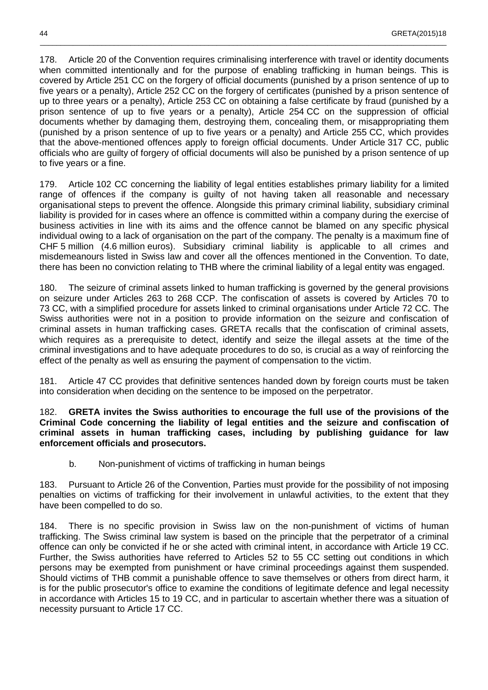178. Article 20 of the Convention requires criminalising interference with travel or identity documents when committed intentionally and for the purpose of enabling trafficking in human beings. This is covered by Article 251 CC on the forgery of official documents (punished by a prison sentence of up to five years or a penalty), Article 252 CC on the forgery of certificates (punished by a prison sentence of up to three years or a penalty), Article 253 CC on obtaining a false certificate by fraud (punished by a prison sentence of up to five years or a penalty), Article 254 CC on the suppression of official documents whether by damaging them, destroying them, concealing them, or misappropriating them (punished by a prison sentence of up to five years or a penalty) and Article 255 CC, which provides that the above-mentioned offences apply to foreign official documents. Under Article 317 CC, public officials who are guilty of forgery of official documents will also be punished by a prison sentence of up to five years or a fine.

\_\_\_\_\_\_\_\_\_\_\_\_\_\_\_\_\_\_\_\_\_\_\_\_\_\_\_\_\_\_\_\_\_\_\_\_\_\_\_\_\_\_\_\_\_\_\_\_\_\_\_\_\_\_\_\_\_\_\_\_\_\_\_\_\_\_\_\_\_\_\_\_\_\_\_\_\_\_\_\_\_\_\_\_\_\_\_\_\_\_\_\_\_\_\_\_\_\_\_

179. Article 102 CC concerning the liability of legal entities establishes primary liability for a limited range of offences if the company is guilty of not having taken all reasonable and necessary organisational steps to prevent the offence. Alongside this primary criminal liability, subsidiary criminal liability is provided for in cases where an offence is committed within a company during the exercise of business activities in line with its aims and the offence cannot be blamed on any specific physical individual owing to a lack of organisation on the part of the company. The penalty is a maximum fine of CHF 5 million (4.6 million euros). Subsidiary criminal liability is applicable to all crimes and misdemeanours listed in Swiss law and cover all the offences mentioned in the Convention. To date, there has been no conviction relating to THB where the criminal liability of a legal entity was engaged.

180. The seizure of criminal assets linked to human trafficking is governed by the general provisions on seizure under Articles 263 to 268 CCP. The confiscation of assets is covered by Articles 70 to 73 CC, with a simplified procedure for assets linked to criminal organisations under Article 72 CC. The Swiss authorities were not in a position to provide information on the seizure and confiscation of criminal assets in human trafficking cases. GRETA recalls that the confiscation of criminal assets, which requires as a prerequisite to detect, identify and seize the illegal assets at the time of the criminal investigations and to have adequate procedures to do so, is crucial as a way of reinforcing the effect of the penalty as well as ensuring the payment of compensation to the victim.

181. Article 47 CC provides that definitive sentences handed down by foreign courts must be taken into consideration when deciding on the sentence to be imposed on the perpetrator.

182. **GRETA invites the Swiss authorities to encourage the full use of the provisions of the Criminal Code concerning the liability of legal entities and the seizure and confiscation of criminal assets in human trafficking cases, including by publishing guidance for law enforcement officials and prosecutors.** 

b. Non-punishment of victims of trafficking in human beings

183. Pursuant to Article 26 of the Convention, Parties must provide for the possibility of not imposing penalties on victims of trafficking for their involvement in unlawful activities, to the extent that they have been compelled to do so.

184. There is no specific provision in Swiss law on the non-punishment of victims of human trafficking. The Swiss criminal law system is based on the principle that the perpetrator of a criminal offence can only be convicted if he or she acted with criminal intent, in accordance with Article 19 CC. Further, the Swiss authorities have referred to Articles 52 to 55 CC setting out conditions in which persons may be exempted from punishment or have criminal proceedings against them suspended. Should victims of THB commit a punishable offence to save themselves or others from direct harm, it is for the public prosecutor's office to examine the conditions of legitimate defence and legal necessity in accordance with Articles 15 to 19 CC, and in particular to ascertain whether there was a situation of necessity pursuant to Article 17 CC.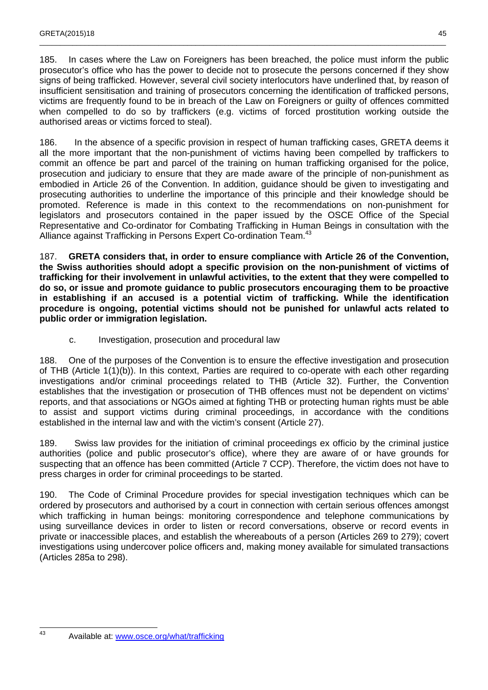185. In cases where the Law on Foreigners has been breached, the police must inform the public prosecutor's office who has the power to decide not to prosecute the persons concerned if they show signs of being trafficked. However, several civil society interlocutors have underlined that, by reason of insufficient sensitisation and training of prosecutors concerning the identification of trafficked persons, victims are frequently found to be in breach of the Law on Foreigners or guilty of offences committed when compelled to do so by traffickers (e.g. victims of forced prostitution working outside the authorised areas or victims forced to steal).

\_\_\_\_\_\_\_\_\_\_\_\_\_\_\_\_\_\_\_\_\_\_\_\_\_\_\_\_\_\_\_\_\_\_\_\_\_\_\_\_\_\_\_\_\_\_\_\_\_\_\_\_\_\_\_\_\_\_\_\_\_\_\_\_\_\_\_\_\_\_\_\_\_\_\_\_\_\_\_\_\_\_\_\_\_\_\_\_\_\_\_\_\_\_\_\_\_\_\_

186. In the absence of a specific provision in respect of human trafficking cases, GRETA deems it all the more important that the non-punishment of victims having been compelled by traffickers to commit an offence be part and parcel of the training on human trafficking organised for the police, prosecution and judiciary to ensure that they are made aware of the principle of non-punishment as embodied in Article 26 of the Convention. In addition, guidance should be given to investigating and prosecuting authorities to underline the importance of this principle and their knowledge should be promoted. Reference is made in this context to the recommendations on non-punishment for legislators and prosecutors contained in the paper issued by the OSCE Office of the Special Representative and Co-ordinator for Combating Trafficking in Human Beings in consultation with the Alliance against Trafficking in Persons Expert Co-ordination Team.<sup>43</sup>

187. **GRETA considers that, in order to ensure compliance with Article 26 of the Convention, the Swiss authorities should adopt a specific provision on the non-punishment of victims of trafficking for their involvement in unlawful activities, to the extent that they were compelled to do so, or issue and promote guidance to public prosecutors encouraging them to be proactive in establishing if an accused is a potential victim of trafficking. While the identification procedure is ongoing, potential victims should not be punished for unlawful acts related to public order or immigration legislation.** 

c. Investigation, prosecution and procedural law

188. One of the purposes of the Convention is to ensure the effective investigation and prosecution of THB (Article 1(1)(b)). In this context, Parties are required to co-operate with each other regarding investigations and/or criminal proceedings related to THB (Article 32). Further, the Convention establishes that the investigation or prosecution of THB offences must not be dependent on victims' reports, and that associations or NGOs aimed at fighting THB or protecting human rights must be able to assist and support victims during criminal proceedings, in accordance with the conditions established in the internal law and with the victim's consent (Article 27).

189. Swiss law provides for the initiation of criminal proceedings ex officio by the criminal justice authorities (police and public prosecutor's office), where they are aware of or have grounds for suspecting that an offence has been committed (Article 7 CCP). Therefore, the victim does not have to press charges in order for criminal proceedings to be started.

190. The Code of Criminal Procedure provides for special investigation techniques which can be ordered by prosecutors and authorised by a court in connection with certain serious offences amongst which trafficking in human beings: monitoring correspondence and telephone communications by using surveillance devices in order to listen or record conversations, observe or record events in private or inaccessible places, and establish the whereabouts of a person (Articles 269 to 279); covert investigations using undercover police officers and, making money available for simulated transactions (Articles 285a to 298).

43 Available at: www.osce.org/what/trafficking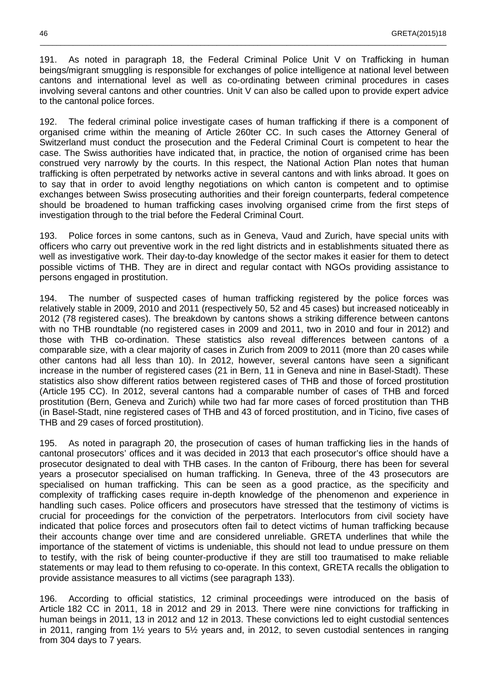191. As noted in paragraph 18, the Federal Criminal Police Unit V on Trafficking in human beings/migrant smuggling is responsible for exchanges of police intelligence at national level between cantons and international level as well as co-ordinating between criminal procedures in cases involving several cantons and other countries. Unit V can also be called upon to provide expert advice to the cantonal police forces.

\_\_\_\_\_\_\_\_\_\_\_\_\_\_\_\_\_\_\_\_\_\_\_\_\_\_\_\_\_\_\_\_\_\_\_\_\_\_\_\_\_\_\_\_\_\_\_\_\_\_\_\_\_\_\_\_\_\_\_\_\_\_\_\_\_\_\_\_\_\_\_\_\_\_\_\_\_\_\_\_\_\_\_\_\_\_\_\_\_\_\_\_\_\_\_\_\_\_\_

192. The federal criminal police investigate cases of human trafficking if there is a component of organised crime within the meaning of Article 260ter CC. In such cases the Attorney General of Switzerland must conduct the prosecution and the Federal Criminal Court is competent to hear the case. The Swiss authorities have indicated that, in practice, the notion of organised crime has been construed very narrowly by the courts. In this respect, the National Action Plan notes that human trafficking is often perpetrated by networks active in several cantons and with links abroad. It goes on to say that in order to avoid lengthy negotiations on which canton is competent and to optimise exchanges between Swiss prosecuting authorities and their foreign counterparts, federal competence should be broadened to human trafficking cases involving organised crime from the first steps of investigation through to the trial before the Federal Criminal Court.

193. Police forces in some cantons, such as in Geneva, Vaud and Zurich, have special units with officers who carry out preventive work in the red light districts and in establishments situated there as well as investigative work. Their day-to-day knowledge of the sector makes it easier for them to detect possible victims of THB. They are in direct and regular contact with NGOs providing assistance to persons engaged in prostitution.

194. The number of suspected cases of human trafficking registered by the police forces was relatively stable in 2009, 2010 and 2011 (respectively 50, 52 and 45 cases) but increased noticeably in 2012 (78 registered cases). The breakdown by cantons shows a striking difference between cantons with no THB roundtable (no registered cases in 2009 and 2011, two in 2010 and four in 2012) and those with THB co-ordination. These statistics also reveal differences between cantons of a comparable size, with a clear majority of cases in Zurich from 2009 to 2011 (more than 20 cases while other cantons had all less than 10). In 2012, however, several cantons have seen a significant increase in the number of registered cases (21 in Bern, 11 in Geneva and nine in Basel-Stadt). These statistics also show different ratios between registered cases of THB and those of forced prostitution (Article 195 CC). In 2012, several cantons had a comparable number of cases of THB and forced prostitution (Bern, Geneva and Zurich) while two had far more cases of forced prostitution than THB (in Basel-Stadt, nine registered cases of THB and 43 of forced prostitution, and in Ticino, five cases of THB and 29 cases of forced prostitution).

195. As noted in paragraph 20, the prosecution of cases of human trafficking lies in the hands of cantonal prosecutors' offices and it was decided in 2013 that each prosecutor's office should have a prosecutor designated to deal with THB cases. In the canton of Fribourg, there has been for several years a prosecutor specialised on human trafficking. In Geneva, three of the 43 prosecutors are specialised on human trafficking. This can be seen as a good practice, as the specificity and complexity of trafficking cases require in-depth knowledge of the phenomenon and experience in handling such cases. Police officers and prosecutors have stressed that the testimony of victims is crucial for proceedings for the conviction of the perpetrators. Interlocutors from civil society have indicated that police forces and prosecutors often fail to detect victims of human trafficking because their accounts change over time and are considered unreliable. GRETA underlines that while the importance of the statement of victims is undeniable, this should not lead to undue pressure on them to testify, with the risk of being counter-productive if they are still too traumatised to make reliable statements or may lead to them refusing to co-operate. In this context, GRETA recalls the obligation to provide assistance measures to all victims (see paragraph 133).

196. According to official statistics, 12 criminal proceedings were introduced on the basis of Article 182 CC in 2011, 18 in 2012 and 29 in 2013. There were nine convictions for trafficking in human beings in 2011, 13 in 2012 and 12 in 2013. These convictions led to eight custodial sentences in 2011, ranging from 1½ years to 5½ years and, in 2012, to seven custodial sentences in ranging from 304 days to 7 years.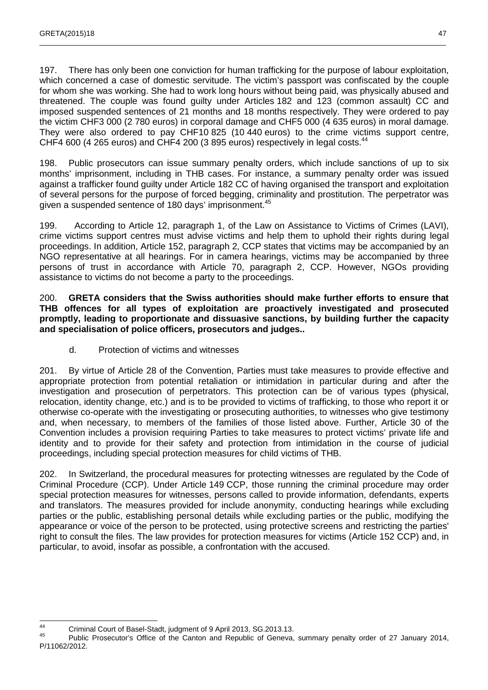197. There has only been one conviction for human trafficking for the purpose of labour exploitation, which concerned a case of domestic servitude. The victim's passport was confiscated by the couple for whom she was working. She had to work long hours without being paid, was physically abused and threatened. The couple was found guilty under Articles 182 and 123 (common assault) CC and imposed suspended sentences of 21 months and 18 months respectively. They were ordered to pay the victim CHF3 000 (2 780 euros) in corporal damage and CHF5 000 (4 635 euros) in moral damage. They were also ordered to pay CHF10 825 (10 440 euros) to the crime victims support centre, CHF4 600 (4 265 euros) and CHF4 200 (3 895 euros) respectively in legal costs.<sup>44</sup>

\_\_\_\_\_\_\_\_\_\_\_\_\_\_\_\_\_\_\_\_\_\_\_\_\_\_\_\_\_\_\_\_\_\_\_\_\_\_\_\_\_\_\_\_\_\_\_\_\_\_\_\_\_\_\_\_\_\_\_\_\_\_\_\_\_\_\_\_\_\_\_\_\_\_\_\_\_\_\_\_\_\_\_\_\_\_\_\_\_\_\_\_\_\_\_\_\_\_\_

198. Public prosecutors can issue summary penalty orders, which include sanctions of up to six months' imprisonment, including in THB cases. For instance, a summary penalty order was issued against a trafficker found guilty under Article 182 CC of having organised the transport and exploitation of several persons for the purpose of forced begging, criminality and prostitution. The perpetrator was given a suspended sentence of 180 days' imprisonment.<sup>45</sup>

199. According to Article 12, paragraph 1, of the Law on Assistance to Victims of Crimes (LAVI), crime victims support centres must advise victims and help them to uphold their rights during legal proceedings. In addition, Article 152, paragraph 2, CCP states that victims may be accompanied by an NGO representative at all hearings. For in camera hearings, victims may be accompanied by three persons of trust in accordance with Article 70, paragraph 2, CCP. However, NGOs providing assistance to victims do not become a party to the proceedings.

200. **GRETA considers that the Swiss authorities should make further efforts to ensure that THB offences for all types of exploitation are proactively investigated and prosecuted promptly, leading to proportionate and dissuasive sanctions, by building further the capacity and specialisation of police officers, prosecutors and judges..** 

d. Protection of victims and witnesses

201. By virtue of Article 28 of the Convention, Parties must take measures to provide effective and appropriate protection from potential retaliation or intimidation in particular during and after the investigation and prosecution of perpetrators. This protection can be of various types (physical, relocation, identity change, etc.) and is to be provided to victims of trafficking, to those who report it or otherwise co-operate with the investigating or prosecuting authorities, to witnesses who give testimony and, when necessary, to members of the families of those listed above. Further, Article 30 of the Convention includes a provision requiring Parties to take measures to protect victims' private life and identity and to provide for their safety and protection from intimidation in the course of judicial proceedings, including special protection measures for child victims of THB.

202. In Switzerland, the procedural measures for protecting witnesses are regulated by the Code of Criminal Procedure (CCP). Under Article 149 CCP, those running the criminal procedure may order special protection measures for witnesses, persons called to provide information, defendants, experts and translators. The measures provided for include anonymity, conducting hearings while excluding parties or the public, establishing personal details while excluding parties or the public, modifying the appearance or voice of the person to be protected, using protective screens and restricting the parties' right to consult the files. The law provides for protection measures for victims (Article 152 CCP) and, in particular, to avoid, insofar as possible, a confrontation with the accused.

 $\overline{A}$ 44 Criminal Court of Basel-Stadt, judgment of 9 April 2013, SG.2013.13.

Public Prosecutor's Office of the Canton and Republic of Geneva, summary penalty order of 27 January 2014, P/11062/2012.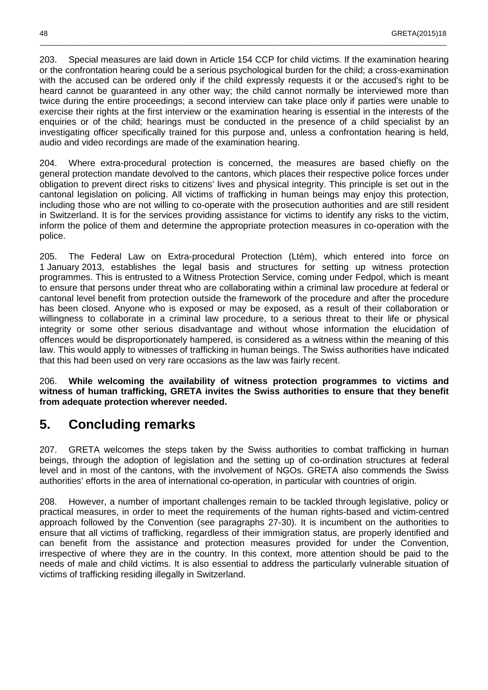203. Special measures are laid down in Article 154 CCP for child victims. If the examination hearing or the confrontation hearing could be a serious psychological burden for the child; a cross-examination with the accused can be ordered only if the child expressly requests it or the accused's right to be heard cannot be guaranteed in any other way; the child cannot normally be interviewed more than twice during the entire proceedings; a second interview can take place only if parties were unable to exercise their rights at the first interview or the examination hearing is essential in the interests of the enquiries or of the child; hearings must be conducted in the presence of a child specialist by an investigating officer specifically trained for this purpose and, unless a confrontation hearing is held, audio and video recordings are made of the examination hearing.

\_\_\_\_\_\_\_\_\_\_\_\_\_\_\_\_\_\_\_\_\_\_\_\_\_\_\_\_\_\_\_\_\_\_\_\_\_\_\_\_\_\_\_\_\_\_\_\_\_\_\_\_\_\_\_\_\_\_\_\_\_\_\_\_\_\_\_\_\_\_\_\_\_\_\_\_\_\_\_\_\_\_\_\_\_\_\_\_\_\_\_\_\_\_\_\_\_\_\_

204. Where extra-procedural protection is concerned, the measures are based chiefly on the general protection mandate devolved to the cantons, which places their respective police forces under obligation to prevent direct risks to citizens' lives and physical integrity. This principle is set out in the cantonal legislation on policing. All victims of trafficking in human beings may enjoy this protection, including those who are not willing to co-operate with the prosecution authorities and are still resident in Switzerland. It is for the services providing assistance for victims to identify any risks to the victim, inform the police of them and determine the appropriate protection measures in co-operation with the police.

205. The Federal Law on Extra-procedural Protection (Ltém), which entered into force on 1 January 2013, establishes the legal basis and structures for setting up witness protection programmes. This is entrusted to a Witness Protection Service, coming under Fedpol, which is meant to ensure that persons under threat who are collaborating within a criminal law procedure at federal or cantonal level benefit from protection outside the framework of the procedure and after the procedure has been closed. Anyone who is exposed or may be exposed, as a result of their collaboration or willingness to collaborate in a criminal law procedure, to a serious threat to their life or physical integrity or some other serious disadvantage and without whose information the elucidation of offences would be disproportionately hampered, is considered as a witness within the meaning of this law. This would apply to witnesses of trafficking in human beings. The Swiss authorities have indicated that this had been used on very rare occasions as the law was fairly recent.

206. **While welcoming the availability of witness protection programmes to victims and witness of human trafficking, GRETA invites the Swiss authorities to ensure that they benefit from adequate protection wherever needed.** 

## **5. Concluding remarks**

207. GRETA welcomes the steps taken by the Swiss authorities to combat trafficking in human beings, through the adoption of legislation and the setting up of co-ordination structures at federal level and in most of the cantons, with the involvement of NGOs. GRETA also commends the Swiss authorities' efforts in the area of international co-operation, in particular with countries of origin.

208. However, a number of important challenges remain to be tackled through legislative, policy or practical measures, in order to meet the requirements of the human rights-based and victim-centred approach followed by the Convention (see paragraphs 27-30). It is incumbent on the authorities to ensure that all victims of trafficking, regardless of their immigration status, are properly identified and can benefit from the assistance and protection measures provided for under the Convention, irrespective of where they are in the country. In this context, more attention should be paid to the needs of male and child victims. It is also essential to address the particularly vulnerable situation of victims of trafficking residing illegally in Switzerland.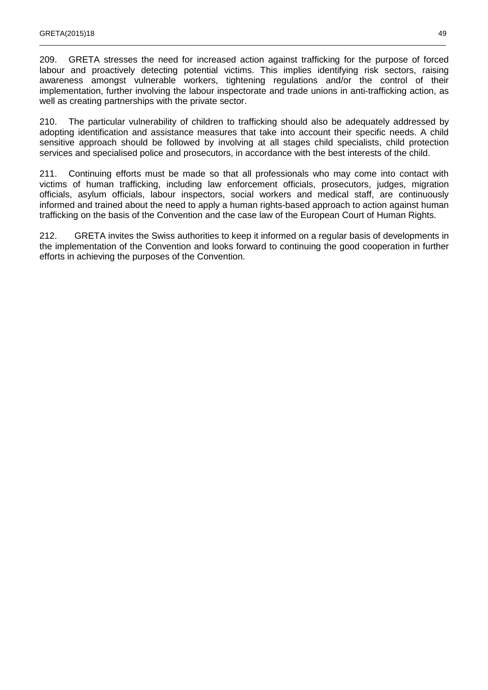209. GRETA stresses the need for increased action against trafficking for the purpose of forced labour and proactively detecting potential victims. This implies identifying risk sectors, raising awareness amongst vulnerable workers, tightening regulations and/or the control of their implementation, further involving the labour inspectorate and trade unions in anti-trafficking action, as well as creating partnerships with the private sector.

\_\_\_\_\_\_\_\_\_\_\_\_\_\_\_\_\_\_\_\_\_\_\_\_\_\_\_\_\_\_\_\_\_\_\_\_\_\_\_\_\_\_\_\_\_\_\_\_\_\_\_\_\_\_\_\_\_\_\_\_\_\_\_\_\_\_\_\_\_\_\_\_\_\_\_\_\_\_\_\_\_\_\_\_\_\_\_\_\_\_\_\_\_\_\_\_\_\_\_

210. The particular vulnerability of children to trafficking should also be adequately addressed by adopting identification and assistance measures that take into account their specific needs. A child sensitive approach should be followed by involving at all stages child specialists, child protection services and specialised police and prosecutors, in accordance with the best interests of the child.

211. Continuing efforts must be made so that all professionals who may come into contact with victims of human trafficking, including law enforcement officials, prosecutors, judges, migration officials, asylum officials, labour inspectors, social workers and medical staff, are continuously informed and trained about the need to apply a human rights-based approach to action against human trafficking on the basis of the Convention and the case law of the European Court of Human Rights.

212. GRETA invites the Swiss authorities to keep it informed on a regular basis of developments in the implementation of the Convention and looks forward to continuing the good cooperation in further efforts in achieving the purposes of the Convention.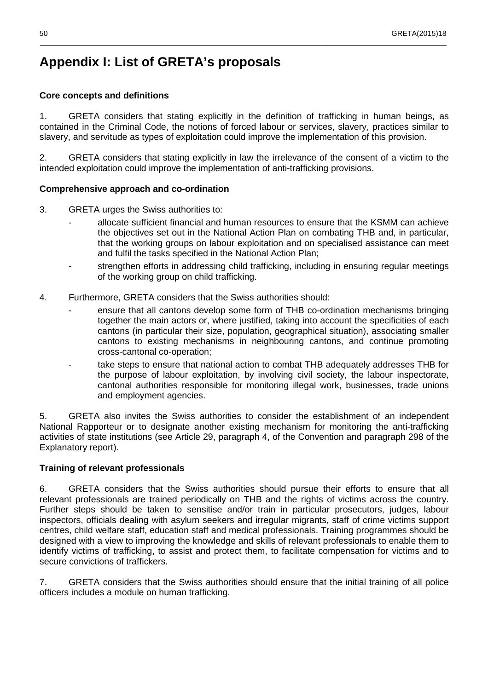## **Appendix I: List of GRETA's proposals**

#### **Core concepts and definitions**

1. GRETA considers that stating explicitly in the definition of trafficking in human beings, as contained in the Criminal Code, the notions of forced labour or services, slavery, practices similar to slavery, and servitude as types of exploitation could improve the implementation of this provision.

\_\_\_\_\_\_\_\_\_\_\_\_\_\_\_\_\_\_\_\_\_\_\_\_\_\_\_\_\_\_\_\_\_\_\_\_\_\_\_\_\_\_\_\_\_\_\_\_\_\_\_\_\_\_\_\_\_\_\_\_\_\_\_\_\_\_\_\_\_\_\_\_\_\_\_\_\_\_\_\_\_\_\_\_\_\_\_\_\_\_\_\_\_\_\_\_\_\_\_

2. GRETA considers that stating explicitly in law the irrelevance of the consent of a victim to the intended exploitation could improve the implementation of anti-trafficking provisions.

#### **Comprehensive approach and co-ordination**

- 3. GRETA urges the Swiss authorities to:
	- allocate sufficient financial and human resources to ensure that the KSMM can achieve the objectives set out in the National Action Plan on combating THB and, in particular, that the working groups on labour exploitation and on specialised assistance can meet and fulfil the tasks specified in the National Action Plan;
	- strengthen efforts in addressing child trafficking, including in ensuring regular meetings of the working group on child trafficking.
- 4. Furthermore, GRETA considers that the Swiss authorities should:
	- ensure that all cantons develop some form of THB co-ordination mechanisms bringing together the main actors or, where justified, taking into account the specificities of each cantons (in particular their size, population, geographical situation), associating smaller cantons to existing mechanisms in neighbouring cantons, and continue promoting cross-cantonal co-operation;
	- take steps to ensure that national action to combat THB adequately addresses THB for the purpose of labour exploitation, by involving civil society, the labour inspectorate, cantonal authorities responsible for monitoring illegal work, businesses, trade unions and employment agencies.

5. GRETA also invites the Swiss authorities to consider the establishment of an independent National Rapporteur or to designate another existing mechanism for monitoring the anti-trafficking activities of state institutions (see Article 29, paragraph 4, of the Convention and paragraph 298 of the Explanatory report).

#### **Training of relevant professionals**

6. GRETA considers that the Swiss authorities should pursue their efforts to ensure that all relevant professionals are trained periodically on THB and the rights of victims across the country. Further steps should be taken to sensitise and/or train in particular prosecutors, judges, labour inspectors, officials dealing with asylum seekers and irregular migrants, staff of crime victims support centres, child welfare staff, education staff and medical professionals. Training programmes should be designed with a view to improving the knowledge and skills of relevant professionals to enable them to identify victims of trafficking, to assist and protect them, to facilitate compensation for victims and to secure convictions of traffickers.

7. GRETA considers that the Swiss authorities should ensure that the initial training of all police officers includes a module on human trafficking.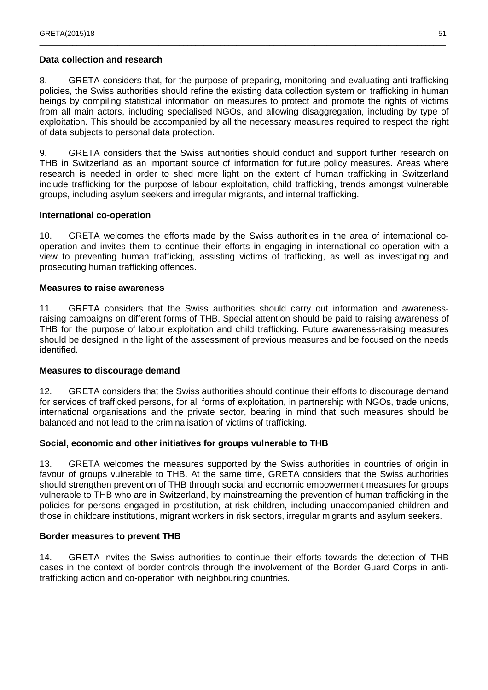#### **Data collection and research**

8. GRETA considers that, for the purpose of preparing, monitoring and evaluating anti-trafficking policies, the Swiss authorities should refine the existing data collection system on trafficking in human beings by compiling statistical information on measures to protect and promote the rights of victims from all main actors, including specialised NGOs, and allowing disaggregation, including by type of exploitation. This should be accompanied by all the necessary measures required to respect the right of data subjects to personal data protection.

\_\_\_\_\_\_\_\_\_\_\_\_\_\_\_\_\_\_\_\_\_\_\_\_\_\_\_\_\_\_\_\_\_\_\_\_\_\_\_\_\_\_\_\_\_\_\_\_\_\_\_\_\_\_\_\_\_\_\_\_\_\_\_\_\_\_\_\_\_\_\_\_\_\_\_\_\_\_\_\_\_\_\_\_\_\_\_\_\_\_\_\_\_\_\_\_\_\_\_

9. GRETA considers that the Swiss authorities should conduct and support further research on THB in Switzerland as an important source of information for future policy measures. Areas where research is needed in order to shed more light on the extent of human trafficking in Switzerland include trafficking for the purpose of labour exploitation, child trafficking, trends amongst vulnerable groups, including asylum seekers and irregular migrants, and internal trafficking.

#### **International co-operation**

10. GRETA welcomes the efforts made by the Swiss authorities in the area of international cooperation and invites them to continue their efforts in engaging in international co-operation with a view to preventing human trafficking, assisting victims of trafficking, as well as investigating and prosecuting human trafficking offences.

#### **Measures to raise awareness**

11. GRETA considers that the Swiss authorities should carry out information and awarenessraising campaigns on different forms of THB. Special attention should be paid to raising awareness of THB for the purpose of labour exploitation and child trafficking. Future awareness-raising measures should be designed in the light of the assessment of previous measures and be focused on the needs identified.

#### **Measures to discourage demand**

12. GRETA considers that the Swiss authorities should continue their efforts to discourage demand for services of trafficked persons, for all forms of exploitation, in partnership with NGOs, trade unions, international organisations and the private sector, bearing in mind that such measures should be balanced and not lead to the criminalisation of victims of trafficking.

#### **Social, economic and other initiatives for groups vulnerable to THB**

13. GRETA welcomes the measures supported by the Swiss authorities in countries of origin in favour of groups vulnerable to THB. At the same time, GRETA considers that the Swiss authorities should strengthen prevention of THB through social and economic empowerment measures for groups vulnerable to THB who are in Switzerland, by mainstreaming the prevention of human trafficking in the policies for persons engaged in prostitution, at-risk children, including unaccompanied children and those in childcare institutions, migrant workers in risk sectors, irregular migrants and asylum seekers.

#### **Border measures to prevent THB**

14. GRETA invites the Swiss authorities to continue their efforts towards the detection of THB cases in the context of border controls through the involvement of the Border Guard Corps in antitrafficking action and co-operation with neighbouring countries.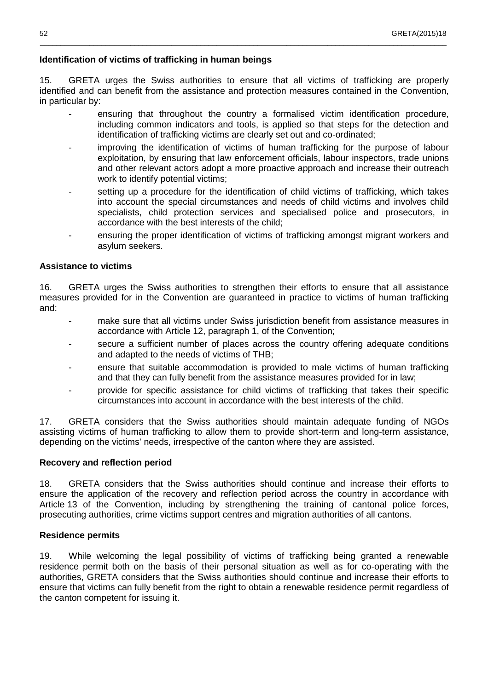#### **Identification of victims of trafficking in human beings**

15. GRETA urges the Swiss authorities to ensure that all victims of trafficking are properly identified and can benefit from the assistance and protection measures contained in the Convention, in particular by:

\_\_\_\_\_\_\_\_\_\_\_\_\_\_\_\_\_\_\_\_\_\_\_\_\_\_\_\_\_\_\_\_\_\_\_\_\_\_\_\_\_\_\_\_\_\_\_\_\_\_\_\_\_\_\_\_\_\_\_\_\_\_\_\_\_\_\_\_\_\_\_\_\_\_\_\_\_\_\_\_\_\_\_\_\_\_\_\_\_\_\_\_\_\_\_\_\_\_\_

- ensuring that throughout the country a formalised victim identification procedure, including common indicators and tools, is applied so that steps for the detection and identification of trafficking victims are clearly set out and co-ordinated;
- improving the identification of victims of human trafficking for the purpose of labour exploitation, by ensuring that law enforcement officials, labour inspectors, trade unions and other relevant actors adopt a more proactive approach and increase their outreach work to identify potential victims;
- setting up a procedure for the identification of child victims of trafficking, which takes into account the special circumstances and needs of child victims and involves child specialists, child protection services and specialised police and prosecutors, in accordance with the best interests of the child;
- ensuring the proper identification of victims of trafficking amongst migrant workers and asylum seekers.

#### **Assistance to victims**

16. GRETA urges the Swiss authorities to strengthen their efforts to ensure that all assistance measures provided for in the Convention are guaranteed in practice to victims of human trafficking and:

- make sure that all victims under Swiss jurisdiction benefit from assistance measures in accordance with Article 12, paragraph 1, of the Convention;
- secure a sufficient number of places across the country offering adequate conditions and adapted to the needs of victims of THB;
- ensure that suitable accommodation is provided to male victims of human trafficking and that they can fully benefit from the assistance measures provided for in law;
- provide for specific assistance for child victims of trafficking that takes their specific circumstances into account in accordance with the best interests of the child.

17. GRETA considers that the Swiss authorities should maintain adequate funding of NGOs assisting victims of human trafficking to allow them to provide short-term and long-term assistance, depending on the victims' needs, irrespective of the canton where they are assisted.

#### **Recovery and reflection period**

18. GRETA considers that the Swiss authorities should continue and increase their efforts to ensure the application of the recovery and reflection period across the country in accordance with Article 13 of the Convention, including by strengthening the training of cantonal police forces, prosecuting authorities, crime victims support centres and migration authorities of all cantons.

#### **Residence permits**

19. While welcoming the legal possibility of victims of trafficking being granted a renewable residence permit both on the basis of their personal situation as well as for co-operating with the authorities, GRETA considers that the Swiss authorities should continue and increase their efforts to ensure that victims can fully benefit from the right to obtain a renewable residence permit regardless of the canton competent for issuing it.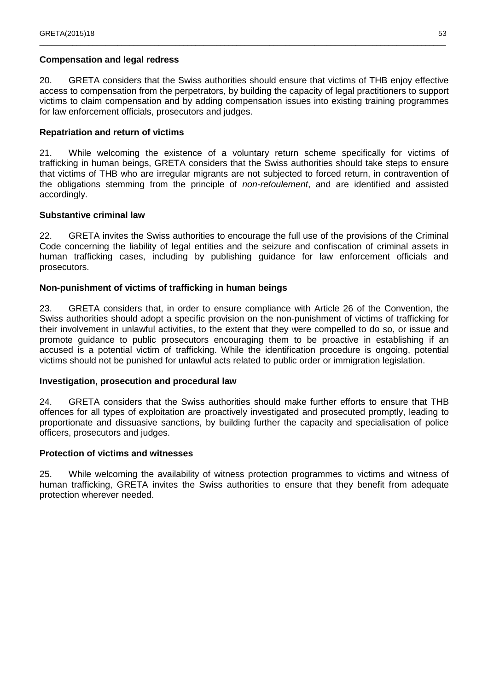#### **Compensation and legal redress**

20. GRETA considers that the Swiss authorities should ensure that victims of THB enjoy effective access to compensation from the perpetrators, by building the capacity of legal practitioners to support victims to claim compensation and by adding compensation issues into existing training programmes for law enforcement officials, prosecutors and judges.

\_\_\_\_\_\_\_\_\_\_\_\_\_\_\_\_\_\_\_\_\_\_\_\_\_\_\_\_\_\_\_\_\_\_\_\_\_\_\_\_\_\_\_\_\_\_\_\_\_\_\_\_\_\_\_\_\_\_\_\_\_\_\_\_\_\_\_\_\_\_\_\_\_\_\_\_\_\_\_\_\_\_\_\_\_\_\_\_\_\_\_\_\_\_\_\_\_\_\_

#### **Repatriation and return of victims**

21. While welcoming the existence of a voluntary return scheme specifically for victims of trafficking in human beings, GRETA considers that the Swiss authorities should take steps to ensure that victims of THB who are irregular migrants are not subjected to forced return, in contravention of the obligations stemming from the principle of non-refoulement, and are identified and assisted accordingly.

#### **Substantive criminal law**

22. GRETA invites the Swiss authorities to encourage the full use of the provisions of the Criminal Code concerning the liability of legal entities and the seizure and confiscation of criminal assets in human trafficking cases, including by publishing guidance for law enforcement officials and prosecutors.

#### **Non-punishment of victims of trafficking in human beings**

23. GRETA considers that, in order to ensure compliance with Article 26 of the Convention, the Swiss authorities should adopt a specific provision on the non-punishment of victims of trafficking for their involvement in unlawful activities, to the extent that they were compelled to do so, or issue and promote guidance to public prosecutors encouraging them to be proactive in establishing if an accused is a potential victim of trafficking. While the identification procedure is ongoing, potential victims should not be punished for unlawful acts related to public order or immigration legislation.

#### **Investigation, prosecution and procedural law**

24. GRETA considers that the Swiss authorities should make further efforts to ensure that THB offences for all types of exploitation are proactively investigated and prosecuted promptly, leading to proportionate and dissuasive sanctions, by building further the capacity and specialisation of police officers, prosecutors and judges.

#### **Protection of victims and witnesses**

25. While welcoming the availability of witness protection programmes to victims and witness of human trafficking, GRETA invites the Swiss authorities to ensure that they benefit from adequate protection wherever needed.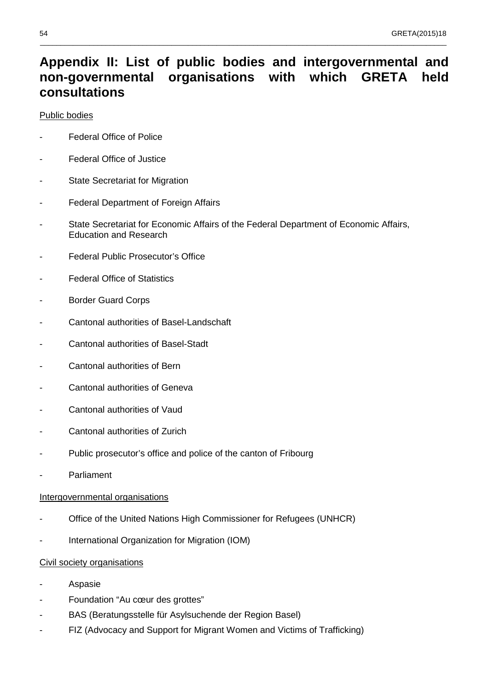## **Appendix II: List of public bodies and intergovernmental and non-governmental organisations with which GRETA held consultations**

\_\_\_\_\_\_\_\_\_\_\_\_\_\_\_\_\_\_\_\_\_\_\_\_\_\_\_\_\_\_\_\_\_\_\_\_\_\_\_\_\_\_\_\_\_\_\_\_\_\_\_\_\_\_\_\_\_\_\_\_\_\_\_\_\_\_\_\_\_\_\_\_\_\_\_\_\_\_\_\_\_\_\_\_\_\_\_\_\_\_\_\_\_\_\_\_\_\_\_

#### Public bodies

- **Federal Office of Police**
- Federal Office of Justice
- **State Secretariat for Migration**
- Federal Department of Foreign Affairs
- State Secretariat for Economic Affairs of the Federal Department of Economic Affairs, Education and Research
- Federal Public Prosecutor's Office
- **Federal Office of Statistics**
- Border Guard Corps
- Cantonal authorities of Basel-Landschaft
- Cantonal authorities of Basel-Stadt
- Cantonal authorities of Bern
- Cantonal authorities of Geneva
- Cantonal authorities of Vaud
- Cantonal authorities of Zurich
- Public prosecutor's office and police of the canton of Fribourg
- Parliament

#### Intergovernmental organisations

- Office of the United Nations High Commissioner for Refugees (UNHCR)
- International Organization for Migration (IOM)

#### Civil society organisations

- **Aspasie**
- Foundation "Au cœur des grottes"
- BAS (Beratungsstelle für Asylsuchende der Region Basel)
- FIZ (Advocacy and Support for Migrant Women and Victims of Trafficking)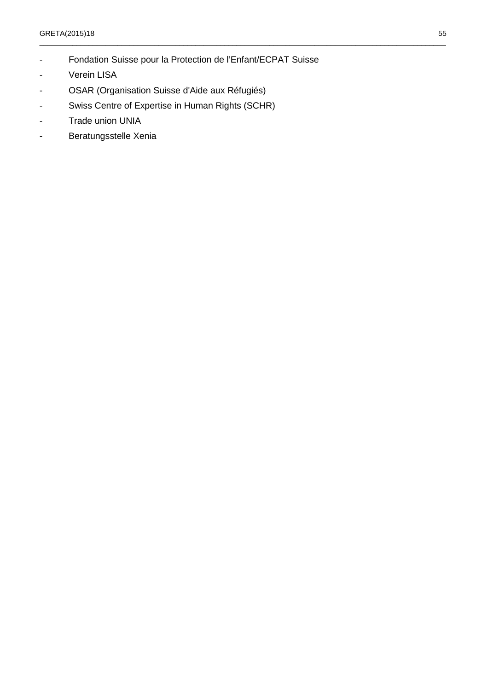- Fondation Suisse pour la Protection de l'Enfant/ECPAT Suisse

\_\_\_\_\_\_\_\_\_\_\_\_\_\_\_\_\_\_\_\_\_\_\_\_\_\_\_\_\_\_\_\_\_\_\_\_\_\_\_\_\_\_\_\_\_\_\_\_\_\_\_\_\_\_\_\_\_\_\_\_\_\_\_\_\_\_\_\_\_\_\_\_\_\_\_\_\_\_\_\_\_\_\_\_\_\_\_\_\_\_\_\_\_\_\_\_\_\_\_

- Verein LISA
- OSAR (Organisation Suisse d'Aide aux Réfugiés)
- Swiss Centre of Expertise in Human Rights (SCHR)
- Trade union UNIA
- Beratungsstelle Xenia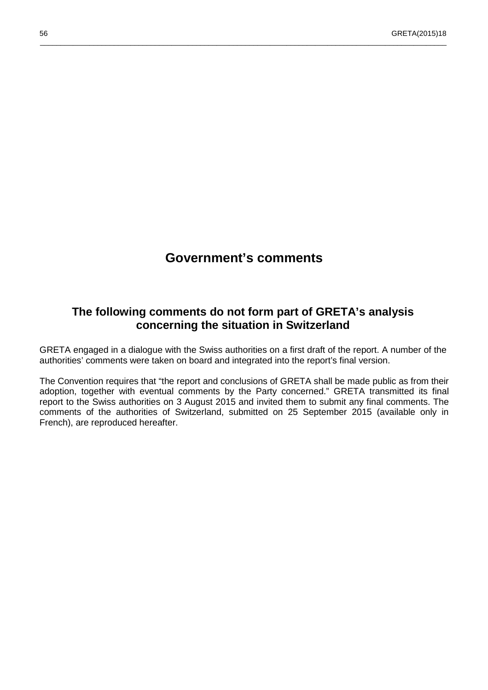## **Government's comments**

\_\_\_\_\_\_\_\_\_\_\_\_\_\_\_\_\_\_\_\_\_\_\_\_\_\_\_\_\_\_\_\_\_\_\_\_\_\_\_\_\_\_\_\_\_\_\_\_\_\_\_\_\_\_\_\_\_\_\_\_\_\_\_\_\_\_\_\_\_\_\_\_\_\_\_\_\_\_\_\_\_\_\_\_\_\_\_\_\_\_\_\_\_\_\_\_\_\_\_

### **The following comments do not form part of GRETA's analysis concerning the situation in Switzerland**

GRETA engaged in a dialogue with the Swiss authorities on a first draft of the report. A number of the authorities' comments were taken on board and integrated into the report's final version.

The Convention requires that "the report and conclusions of GRETA shall be made public as from their adoption, together with eventual comments by the Party concerned." GRETA transmitted its final report to the Swiss authorities on 3 August 2015 and invited them to submit any final comments. The comments of the authorities of Switzerland, submitted on 25 September 2015 (available only in French), are reproduced hereafter.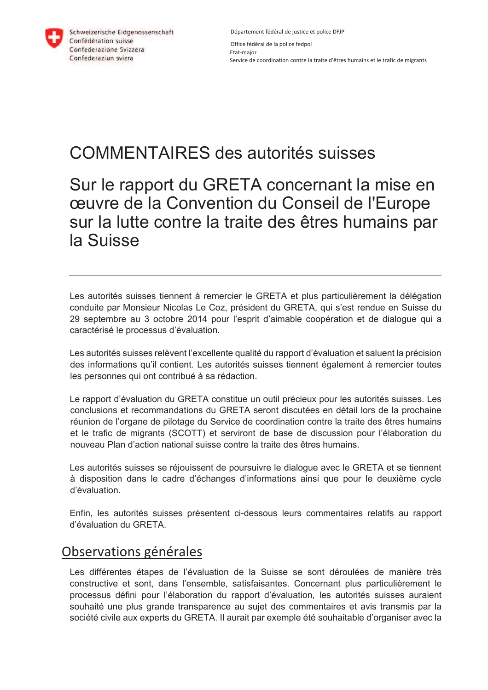

Schweizerische Eidgenossenschaft Confédération suisse Confederazione Svizzera Confederaziun svizra

Département fédéral de justice et police DFJP Office fédéral de la police fedpol Etat-major Service de coordination contre la traite d'êtres humains et le trafic de migrants

# COMMENTAIRES des autorités suisses

Sur le rapport du GRETA concernant la mise en œuvre de la Convention du Conseil de l'Europe sur la lutte contre la traite des êtres humains par la Suisse

Les autorités suisses tiennent à remercier le GRETA et plus particulièrement la délégation conduite par Monsieur Nicolas Le Coz, président du GRETA, qui s'est rendue en Suisse du 29 septembre au 3 octobre 2014 pour l'esprit d'aimable coopération et de dialogue qui a caractérisé le processus d'évaluation.

Les autorités suisses relèvent l'excellente qualité du rapport d'évaluation et saluent la précision des informations qu'il contient. Les autorités suisses tiennent également à remercier toutes les personnes qui ont contribué à sa rédaction.

Le rapport d'évaluation du GRETA constitue un outil précieux pour les autorités suisses. Les conclusions et recommandations du GRETA seront discutées en détail lors de la prochaine réunion de l'organe de pilotage du Service de coordination contre la traite des êtres humains et le trafic de migrants (SCOTT) et serviront de base de discussion pour l'élaboration du nouveau Plan d'action national suisse contre la traite des êtres humains.

Les autorités suisses se réjouissent de poursuivre le dialogue avec le GRETA et se tiennent à disposition dans le cadre d'échanges d'informations ainsi que pour le deuxième cycle d'évaluation.

Enfin, les autorités suisses présentent ci-dessous leurs commentaires relatifs au rapport d'évaluation du GRETA.

## Observations générales

Les différentes étapes de l'évaluation de la Suisse se sont déroulées de manière très constructive et sont, dans l'ensemble, satisfaisantes. Concernant plus particulièrement le processus défini pour l'élaboration du rapport d'évaluation, les autorités suisses auraient souhaité une plus grande transparence au sujet des commentaires et avis transmis par la société civile aux experts du GRETA. Il aurait par exemple été souhaitable d'organiser avec la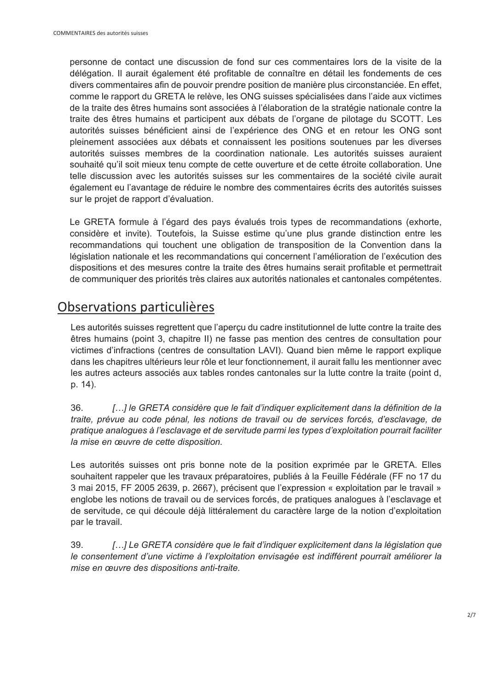personne de contact une discussion de fond sur ces commentaires lors de la visite de la délégation. Il aurait également été profitable de connaître en détail les fondements de ces divers commentaires afin de pouvoir prendre position de manière plus circonstanciée. En effet, comme le rapport du GRETA le relève, les ONG suisses spécialisées dans l'aide aux victimes de la traite des êtres humains sont associées à l'élaboration de la stratégie nationale contre la traite des êtres humains et participent aux débats de l'organe de pilotage du SCOTT. Les autorités suisses bénéficient ainsi de l'expérience des ONG et en retour les ONG sont pleinement associées aux débats et connaissent les positions soutenues par les diverses autorités suisses membres de la coordination nationale. Les autorités suisses auraient souhaité qu'il soit mieux tenu compte de cette ouverture et de cette étroite collaboration. Une telle discussion avec les autorités suisses sur les commentaires de la société civile aurait également eu l'avantage de réduire le nombre des commentaires écrits des autorités suisses sur le projet de rapport d'évaluation.

Le GRETA formule à l'égard des pays évalués trois types de recommandations (exhorte, considère et invite). Toutefois, la Suisse estime qu'une plus grande distinction entre les recommandations qui touchent une obligation de transposition de la Convention dans la législation nationale et les recommandations qui concernent l'amélioration de l'exécution des dispositions et des mesures contre la traite des êtres humains serait profitable et permettrait de communiquer des priorités très claires aux autorités nationales et cantonales compétentes.

## Observations particulières

Les autorités suisses regrettent que l'aperçu du cadre institutionnel de lutte contre la traite des êtres humains (point 3, chapitre II) ne fasse pas mention des centres de consultation pour victimes d'infractions (centres de consultation LAVI). Quand bien même le rapport explique dans les chapitres ultérieurs leur rôle et leur fonctionnement, il aurait fallu les mentionner avec les autres acteurs associés aux tables rondes cantonales sur la lutte contre la traite (point d, p. 14).

36. *[…] le GRETA considère que le fait d'indiquer explicitement dans la définition de la traite, prévue au code pénal, les notions de travail ou de services forcés, d'esclavage, de pratique analogues à l'esclavage et de servitude parmi les types d'exploitation pourrait faciliter la mise en œuvre de cette disposition.* 

Les autorités suisses ont pris bonne note de la position exprimée par le GRETA. Elles souhaitent rappeler que les travaux préparatoires, publiés à la Feuille Fédérale (FF no 17 du 3 mai 2015, FF 2005 2639, p. 2667), précisent que l'expression « exploitation par le travail » englobe les notions de travail ou de services forcés, de pratiques analogues à l'esclavage et de servitude, ce qui découle déjà littéralement du caractère large de la notion d'exploitation par le travail.

39. *[…] Le GRETA considère que le fait d'indiquer explicitement dans la législation que le consentement d'une victime à l'exploitation envisagée est indifférent pourrait améliorer la mise en œuvre des dispositions anti-traite.*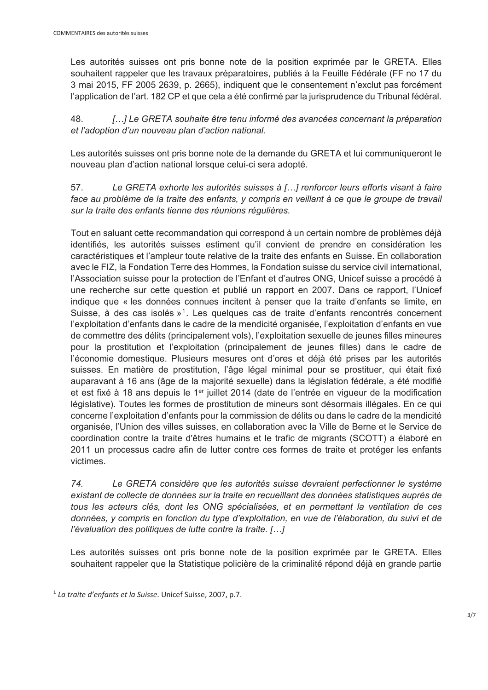Les autorités suisses ont pris bonne note de la position exprimée par le GRETA. Elles souhaitent rappeler que les travaux préparatoires, publiés à la Feuille Fédérale (FF no 17 du 3 mai 2015, FF 2005 2639, p. 2665), indiquent que le consentement n'exclut pas forcément l'application de l'art. 182 CP et que cela a été confirmé par la jurisprudence du Tribunal fédéral.

48. *[…] Le GRETA souhaite être tenu informé des avancées concernant la préparation et l'adoption d'un nouveau plan d'action national.* 

Les autorités suisses ont pris bonne note de la demande du GRETA et lui communiqueront le nouveau plan d'action national lorsque celui-ci sera adopté.

57. *Le GRETA exhorte les autorités suisses à […] renforcer leurs efforts visant à faire*  face au problème de la traite des enfants, y compris en veillant à ce que le groupe de travail *sur la traite des enfants tienne des réunions régulières.* 

Tout en saluant cette recommandation qui correspond à un certain nombre de problèmes déjà identifiés, les autorités suisses estiment qu'il convient de prendre en considération les caractéristiques et l'ampleur toute relative de la traite des enfants en Suisse. En collaboration avec le FIZ, la Fondation Terre des Hommes, la Fondation suisse du service civil international, l'Association suisse pour la protection de l'Enfant et d'autres ONG, Unicef suisse a procédé à une recherche sur cette question et publié un rapport en 2007. Dans ce rapport, l'Unicef indique que « les données connues incitent à penser que la traite d'enfants se limite, en Suisse, à des cas isolés »<sup>1</sup>. Les quelques cas de traite d'enfants rencontrés concernent l'exploitation d'enfants dans le cadre de la mendicité organisée, l'exploitation d'enfants en vue de commettre des délits (principalement vols), l'exploitation sexuelle de jeunes filles mineures pour la prostitution et l'exploitation (principalement de jeunes filles) dans le cadre de l'économie domestique. Plusieurs mesures ont d'ores et déjà été prises par les autorités suisses. En matière de prostitution, l'âge légal minimal pour se prostituer, qui était fixé auparavant à 16 ans (âge de la majorité sexuelle) dans la législation fédérale, a été modifié et est fixé à 18 ans depuis le 1er juillet 2014 (date de l'entrée en vigueur de la modification législative). Toutes les formes de prostitution de mineurs sont désormais illégales. En ce qui concerne l'exploitation d'enfants pour la commission de délits ou dans le cadre de la mendicité organisée, l'Union des villes suisses, en collaboration avec la Ville de Berne et le Service de coordination contre la traite d'êtres humains et le trafic de migrants (SCOTT) a élaboré en 2011 un processus cadre afin de lutter contre ces formes de traite et protéger les enfants victimes.

*74. Le GRETA considère que les autorités suisse devraient perfectionner le système existant de collecte de données sur la traite en recueillant des données statistiques auprès de tous les acteurs clés, dont les ONG spécialisées, et en permettant la ventilation de ces données, y compris en fonction du type d'exploitation, en vue de l'élaboration, du suivi et de l'évaluation des politiques de lutte contre la traite. […]* 

Les autorités suisses ont pris bonne note de la position exprimée par le GRETA. Elles souhaitent rappeler que la Statistique policière de la criminalité répond déjà en grande partie

<sup>1</sup> *La traite d'enfants et la Suisse*. Unicef Suisse, 2007, p.7.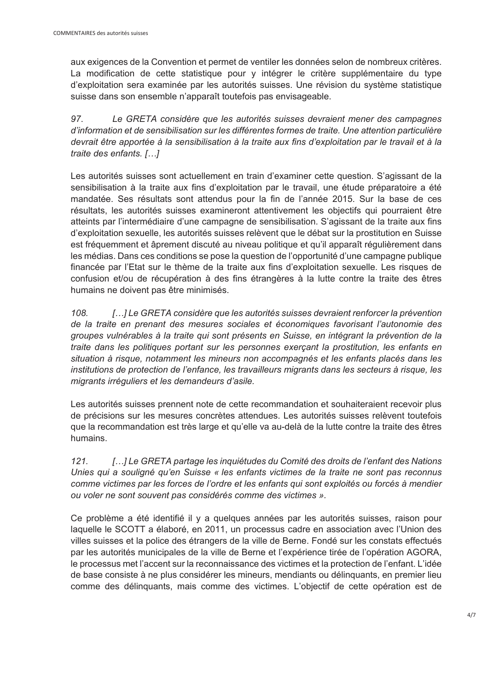aux exigences de la Convention et permet de ventiler les données selon de nombreux critères. La modification de cette statistique pour y intégrer le critère supplémentaire du type d'exploitation sera examinée par les autorités suisses. Une révision du système statistique suisse dans son ensemble n'apparaît toutefois pas envisageable.

*97*. *Le GRETA considère que les autorités suisses devraient mener des campagnes d'information et de sensibilisation sur les différentes formes de traite. Une attention particulière devrait être apportée à la sensibilisation à la traite aux fins d'exploitation par le travail et à la traite des enfants. […]* 

Les autorités suisses sont actuellement en train d'examiner cette question. S'agissant de la sensibilisation à la traite aux fins d'exploitation par le travail, une étude préparatoire a été mandatée. Ses résultats sont attendus pour la fin de l'année 2015. Sur la base de ces résultats, les autorités suisses examineront attentivement les objectifs qui pourraient être atteints par l'intermédiaire d'une campagne de sensibilisation. S'agissant de la traite aux fins d'exploitation sexuelle, les autorités suisses relèvent que le débat sur la prostitution en Suisse est fréquemment et âprement discuté au niveau politique et qu'il apparaît régulièrement dans les médias. Dans ces conditions se pose la question de l'opportunité d'une campagne publique financée par l'Etat sur le thème de la traite aux fins d'exploitation sexuelle. Les risques de confusion et/ou de récupération à des fins étrangères à la lutte contre la traite des êtres humains ne doivent pas être minimisés.

*108. […] Le GRETA considère que les autorités suisses devraient renforcer la prévention de la traite en prenant des mesures sociales et économiques favorisant l'autonomie des groupes vulnérables à la traite qui sont présents en Suisse, en intégrant la prévention de la traite dans les politiques portant sur les personnes exerçant la prostitution, les enfants en situation à risque, notamment les mineurs non accompagnés et les enfants placés dans les institutions de protection de l'enfance, les travailleurs migrants dans les secteurs à risque, les migrants irréguliers et les demandeurs d'asile.* 

Les autorités suisses prennent note de cette recommandation et souhaiteraient recevoir plus de précisions sur les mesures concrètes attendues. Les autorités suisses relèvent toutefois que la recommandation est très large et qu'elle va au-delà de la lutte contre la traite des êtres humains.

*121. […] Le GRETA partage les inquiétudes du Comité des droits de l'enfant des Nations Unies qui a souligné qu'en Suisse « les enfants victimes de la traite ne sont pas reconnus comme victimes par les forces de l'ordre et les enfants qui sont exploités ou forcés à mendier ou voler ne sont souvent pas considérés comme des victimes ».* 

Ce problème a été identifié il y a quelques années par les autorités suisses, raison pour laquelle le SCOTT a élaboré, en 2011, un processus cadre en association avec l'Union des villes suisses et la police des étrangers de la ville de Berne. Fondé sur les constats effectués par les autorités municipales de la ville de Berne et l'expérience tirée de l'opération AGORA, le processus met l'accent sur la reconnaissance des victimes et la protection de l'enfant. L'idée de base consiste à ne plus considérer les mineurs, mendiants ou délinquants, en premier lieu comme des délinquants, mais comme des victimes. L'objectif de cette opération est de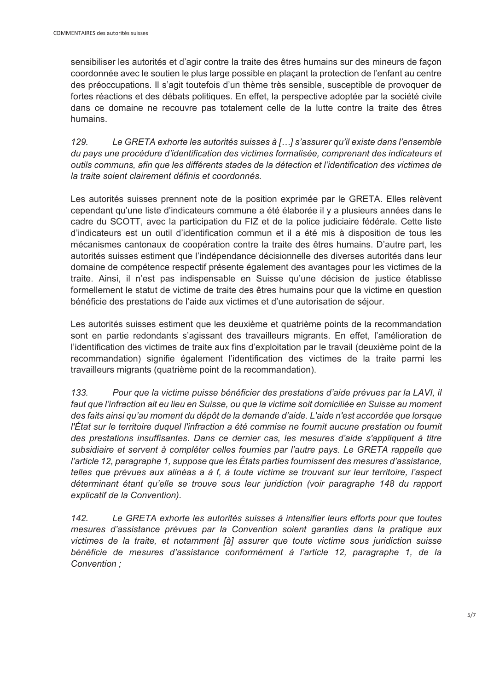sensibiliser les autorités et d'agir contre la traite des êtres humains sur des mineurs de façon coordonnée avec le soutien le plus large possible en plaçant la protection de l'enfant au centre des préoccupations. Il s'agit toutefois d'un thème très sensible, susceptible de provoquer de fortes réactions et des débats politiques. En effet, la perspective adoptée par la société civile dans ce domaine ne recouvre pas totalement celle de la lutte contre la traite des êtres humains.

*129. Le GRETA exhorte les autorités suisses à […] s'assurer qu'il existe dans l'ensemble du pays une procédure d'identification des victimes formalisée, comprenant des indicateurs et outils communs, afin que les différents stades de la détection et l'identification des victimes de la traite soient clairement définis et coordonnés.* 

Les autorités suisses prennent note de la position exprimée par le GRETA. Elles relèvent cependant qu'une liste d'indicateurs commune a été élaborée il y a plusieurs années dans le cadre du SCOTT, avec la participation du FIZ et de la police judiciaire fédérale. Cette liste d'indicateurs est un outil d'identification commun et il a été mis à disposition de tous les mécanismes cantonaux de coopération contre la traite des êtres humains. D'autre part, les autorités suisses estiment que l'indépendance décisionnelle des diverses autorités dans leur domaine de compétence respectif présente également des avantages pour les victimes de la traite. Ainsi, il n'est pas indispensable en Suisse qu'une décision de justice établisse formellement le statut de victime de traite des êtres humains pour que la victime en question bénéficie des prestations de l'aide aux victimes et d'une autorisation de séjour.

Les autorités suisses estiment que les deuxième et quatrième points de la recommandation sont en partie redondants s'agissant des travailleurs migrants. En effet, l'amélioration de l'identification des victimes de traite aux fins d'exploitation par le travail (deuxième point de la recommandation) signifie également l'identification des victimes de la traite parmi les travailleurs migrants (quatrième point de la recommandation).

*133. Pour que la victime puisse bénéficier des prestations d'aide prévues par la LAVI, il faut que l'infraction ait eu lieu en Suisse, ou que la victime soit domiciliée en Suisse au moment des faits ainsi qu'au moment du dépôt de la demande d'aide. L'aide n'est accordée que lorsque l'État sur le territoire duquel l'infraction a été commise ne fournit aucune prestation ou fournit des prestations insuffisantes. Dans ce dernier cas, les mesures d'aide s'appliquent à titre subsidiaire et servent à compléter celles fournies par l'autre pays. Le GRETA rappelle que l'article 12, paragraphe 1, suppose que les États parties fournissent des mesures d'assistance, telles que prévues aux alinéas a à f, à toute victime se trouvant sur leur territoire, l'aspect déterminant étant qu'elle se trouve sous leur juridiction (voir paragraphe 148 du rapport explicatif de la Convention).* 

*142. Le GRETA exhorte les autorités suisses à intensifier leurs efforts pour que toutes mesures d'assistance prévues par la Convention soient garanties dans la pratique aux victimes de la traite, et notamment [à] assurer que toute victime sous juridiction suisse bénéficie de mesures d'assistance conformément à l'article 12, paragraphe 1, de la Convention ;*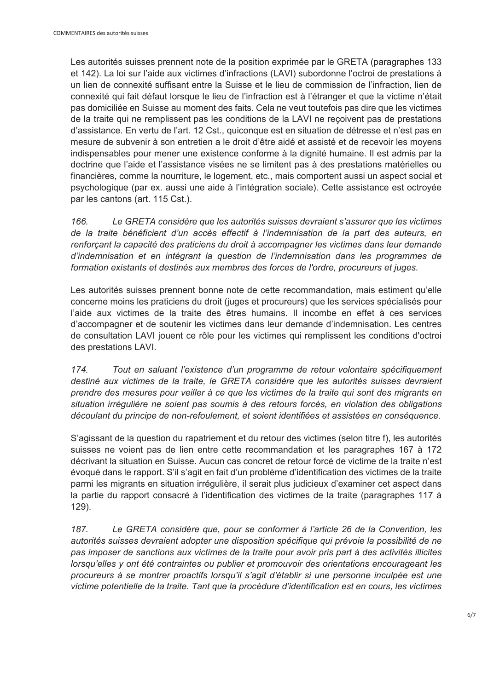Les autorités suisses prennent note de la position exprimée par le GRETA (paragraphes 133 et 142). La loi sur l'aide aux victimes d'infractions (LAVI) subordonne l'octroi de prestations à un lien de connexité suffisant entre la Suisse et le lieu de commission de l'infraction, lien de connexité qui fait défaut lorsque le lieu de l'infraction est à l'étranger et que la victime n'était pas domiciliée en Suisse au moment des faits. Cela ne veut toutefois pas dire que les victimes de la traite qui ne remplissent pas les conditions de la LAVI ne reçoivent pas de prestations d'assistance. En vertu de l'art. 12 Cst., quiconque est en situation de détresse et n'est pas en mesure de subvenir à son entretien a le droit d'être aidé et assisté et de recevoir les moyens indispensables pour mener une existence conforme à la dignité humaine. Il est admis par la doctrine que l'aide et l'assistance visées ne se limitent pas à des prestations matérielles ou financières, comme la nourriture, le logement, etc., mais comportent aussi un aspect social et psychologique (par ex. aussi une aide à l'intégration sociale). Cette assistance est octroyée par les cantons (art. 115 Cst.).

*166. Le GRETA considère que les autorités suisses devraient s'assurer que les victimes de la traite bénéficient d'un accès effectif à l'indemnisation de la part des auteurs, en renforçant la capacité des praticiens du droit à accompagner les victimes dans leur demande d'indemnisation et en intégrant la question de l'indemnisation dans les programmes de formation existants et destinés aux membres des forces de l'ordre, procureurs et juges.* 

Les autorités suisses prennent bonne note de cette recommandation, mais estiment qu'elle concerne moins les praticiens du droit (juges et procureurs) que les services spécialisés pour l'aide aux victimes de la traite des êtres humains. Il incombe en effet à ces services d'accompagner et de soutenir les victimes dans leur demande d'indemnisation. Les centres de consultation LAVI jouent ce rôle pour les victimes qui remplissent les conditions d'octroi des prestations LAVI.

*174. Tout en saluant l'existence d'un programme de retour volontaire spécifiquement destiné aux victimes de la traite, le GRETA considère que les autorités suisses devraient prendre des mesures pour veiller à ce que les victimes de la traite qui sont des migrants en situation irrégulière ne soient pas soumis à des retours forcés, en violation des obligations découlant du principe de non-refoulement, et soient identifiées et assistées en conséquence.* 

S'agissant de la question du rapatriement et du retour des victimes (selon titre f), les autorités suisses ne voient pas de lien entre cette recommandation et les paragraphes 167 à 172 décrivant la situation en Suisse. Aucun cas concret de retour forcé de victime de la traite n'est évoqué dans le rapport. S'il s'agit en fait d'un problème d'identification des victimes de la traite parmi les migrants en situation irrégulière, il serait plus judicieux d'examiner cet aspect dans la partie du rapport consacré à l'identification des victimes de la traite (paragraphes 117 à 129).

*187. Le GRETA considère que, pour se conformer à l'article 26 de la Convention, les autorités suisses devraient adopter une disposition spécifique qui prévoie la possibilité de ne pas imposer de sanctions aux victimes de la traite pour avoir pris part à des activités illicites lorsqu'elles y ont été contraintes ou publier et promouvoir des orientations encourageant les procureurs à se montrer proactifs lorsqu'il s'agit d'établir si une personne inculpée est une victime potentielle de la traite. Tant que la procédure d'identification est en cours, les victimes*